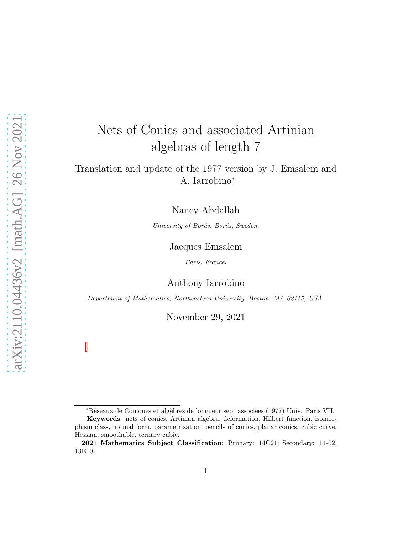# Nets of Conics and associated Artinian algebras of length 7

# Translation and update of the 1977 version by J. Emsalem and A. Iarrobino<sup>∗</sup>

Nancy Abdallah

University of Borås, Borås, Sweden.

### Jacques Emsalem

Paris, France.

Anthony Iarrobino

Department of Mathematics, Northeastern University, Boston, MA 02115, USA.

November 29, 2021

<sup>\*</sup>Réseaux de Coniques et algèbres de longueur sept associées (1977) Univ. Paris VII.

Keywords: nets of conics, Artinian algebra, deformation, Hilbert function, isomorphism class, normal form, parametrization, pencils of conics, planar conics, cubic curve, Hessian, smoothable, ternary cubic.

<sup>2021</sup> Mathematics Subject Classification: Primary: 14C21; Secondary: 14-02, 13E10.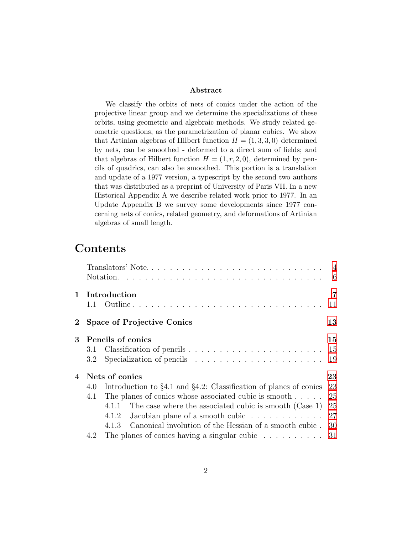#### Abstract

We classify the orbits of nets of conics under the action of the projective linear group and we determine the specializations of these orbits, using geometric and algebraic methods. We study related geometric questions, as the parametrization of planar cubics. We show that Artinian algebras of Hilbert function  $H = (1, 3, 3, 0)$  determined by nets, can be smoothed - deformed to a direct sum of fields; and that algebras of Hilbert function  $H = (1, r, 2, 0)$ , determined by pencils of quadrics, can also be smoothed. This portion is a translation and update of a 1977 version, a typescript by the second two authors that was distributed as a preprint of University of Paris VII. In a new Historical Appendix A we describe related work prior to 1977. In an Update Appendix B we survey some developments since 1977 concerning nets of conics, related geometry, and deformations of Artinian algebras of small length.

# <span id="page-1-0"></span>Contents

|                  |     |                                                                            | $-6$ |
|------------------|-----|----------------------------------------------------------------------------|------|
| $\mathbf{1}$     |     | Introduction                                                               | 7    |
|                  |     |                                                                            | 11   |
| $\bf{2}^-$       |     | <b>Space of Projective Conics</b>                                          | 13   |
| 3                |     | Pencils of conics                                                          | 15   |
|                  | 3.1 |                                                                            | 15   |
|                  | 3.2 |                                                                            | 19   |
| 4 Nets of conics |     |                                                                            | 23   |
|                  | 4.0 | Introduction to $\S 4.1$ and $\S 4.2$ : Classification of planes of conics | 23   |
|                  | 4.1 | The planes of conics whose associated cubic is smooth                      | 25   |
|                  |     | The case where the associated cubic is smooth (Case 1)<br>4.1.1            | 25   |
|                  |     | Jacobian plane of a smooth cubic $\ldots \ldots \ldots \ldots$<br>4.1.2    | 27   |
|                  |     | 4.1.3 Canonical involution of the Hessian of a smooth cubic.               | 30   |
|                  | 4.2 | The planes of conics having a singular cubic $\ldots \ldots \ldots 31$     |      |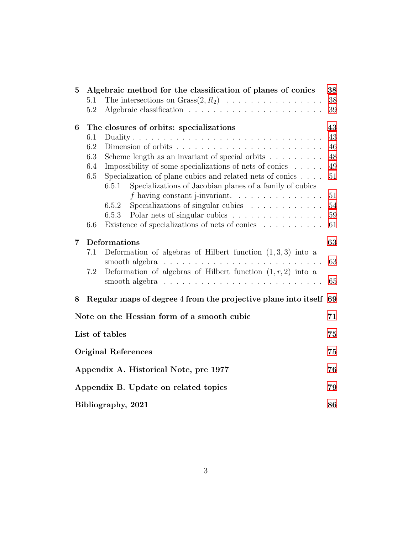| $\overline{5}$                                   | 5.1<br>5.2                             | Algebraic method for the classification of planes of conics<br>The intersections on $Grass(2, R_2) \ldots \ldots \ldots \ldots \ldots$                                                                                                                                                                                                                                                                                                                    | 38<br>38<br>39                                           |  |  |
|--------------------------------------------------|----------------------------------------|-----------------------------------------------------------------------------------------------------------------------------------------------------------------------------------------------------------------------------------------------------------------------------------------------------------------------------------------------------------------------------------------------------------------------------------------------------------|----------------------------------------------------------|--|--|
| 6                                                | 6.1<br>6.2<br>6.3<br>6.4<br>6.5<br>6.6 | The closures of orbits: specializations<br>Scheme length as an invariant of special orbits $\ldots \ldots \ldots$<br>Impossibility of some specializations of nets of conics<br>Specialization of plane cubics and related nets of conics<br>Specializations of Jacobian planes of a family of cubics<br>6.5.1<br>Specializations of singular cubics<br>6.5.2<br>Polar nets of singular cubics<br>6.5.3<br>Existence of specializations of nets of conics | 43<br>43<br>46<br>48<br>49<br>51<br>51<br>54<br>59<br>61 |  |  |
| $\overline{7}$                                   | 7.1<br>7.2                             | Deformations<br>Deformation of algebras of Hilbert function $(1,3,3)$ into a<br>smooth algebra $\ldots \ldots \ldots \ldots \ldots \ldots \ldots \ldots \ldots$<br>Deformation of algebras of Hilbert function $(1, r, 2)$ into a<br>smooth algebra $\dots \dots \dots \dots \dots \dots \dots \dots \dots \dots \dots$                                                                                                                                   | 63<br>63<br>65                                           |  |  |
| 8                                                |                                        | Regular maps of degree 4 from the projective plane into itself 69                                                                                                                                                                                                                                                                                                                                                                                         |                                                          |  |  |
| Note on the Hessian form of a smooth cubic<br>71 |                                        |                                                                                                                                                                                                                                                                                                                                                                                                                                                           |                                                          |  |  |
|                                                  | List of tables                         |                                                                                                                                                                                                                                                                                                                                                                                                                                                           |                                                          |  |  |
|                                                  | <b>Original References</b>             |                                                                                                                                                                                                                                                                                                                                                                                                                                                           |                                                          |  |  |
|                                                  | Appendix A. Historical Note, pre 1977  |                                                                                                                                                                                                                                                                                                                                                                                                                                                           |                                                          |  |  |
|                                                  | Appendix B. Update on related topics   |                                                                                                                                                                                                                                                                                                                                                                                                                                                           |                                                          |  |  |
|                                                  | Bibliography, 2021                     |                                                                                                                                                                                                                                                                                                                                                                                                                                                           |                                                          |  |  |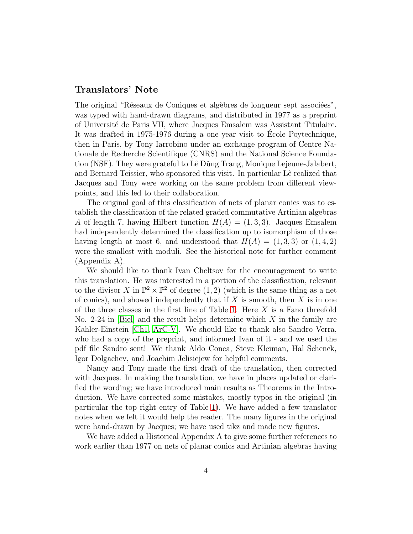#### <span id="page-3-0"></span>Translators' Note

The original "Réseaux de Coniques et algèbres de longueur sept associées", was typed with hand-drawn diagrams, and distributed in 1977 as a preprint of Universit´e de Paris VII, where Jacques Emsalem was Assistant Titulaire. It was drafted in 1975-1976 during a one year visit to Ecole Poytechnique, ´ then in Paris, by Tony Iarrobino under an exchange program of Centre Nationale de Recherche Scientifique (CNRS) and the National Science Foundation (NSF). They were grateful to Lê Dũng Trang, Monique Lejeune-Jalabert, and Bernard Teissier, who sponsored this visit. In particular Lê realized that Jacques and Tony were working on the same problem from different viewpoints, and this led to their collaboration.

The original goal of this classification of nets of planar conics was to establish the classification of the related graded commutative Artinian algebras A of length 7, having Hilbert function  $H(A) = (1, 3, 3)$ . Jacques Emsalem had independently determined the classification up to isomorphism of those having length at most 6, and understood that  $H(A) = (1, 3, 3)$  or  $(1, 4, 2)$ were the smallest with moduli. See the historical note for further comment (Appendix A).

We should like to thank Ivan Cheltsov for the encouragement to write this translation. He was interested in a portion of the classification, relevant to the divisor X in  $\mathbb{P}^2 \times \mathbb{P}^2$  of degree  $(1, 2)$  (which is the same thing as a net of conics), and showed independently that if  $X$  is smooth, then  $X$  is in one of the three classes in the first line of Table [1.](#page-9-0) Here  $X$  is a Fano threefold No. 2-24 in [\[Biel\]](#page-86-0) and the result helps determine which  $X$  in the family are Kahler-Einstein [\[Ch1,](#page-87-0) [ArC-V\]](#page-85-0). We should like to thank also Sandro Verra, who had a copy of the preprint, and informed Ivan of it - and we used the pdf file Sandro sent! We thank Aldo Conca, Steve Kleiman, Hal Schenck, Igor Dolgachev, and Joachim Jelisiejew for helpful comments.

Nancy and Tony made the first draft of the translation, then corrected with Jacques. In making the translation, we have in places updated or clarified the wording; we have introduced main results as Theorems in the Introduction. We have corrected some mistakes, mostly typos in the original (in particular the top right entry of Table [1\)](#page-9-0). We have added a few translator notes when we felt it would help the reader. The many figures in the original were hand-drawn by Jacques; we have used tikz and made new figures.

We have added a Historical Appendix A to give some further references to work earlier than 1977 on nets of planar conics and Artinian algebras having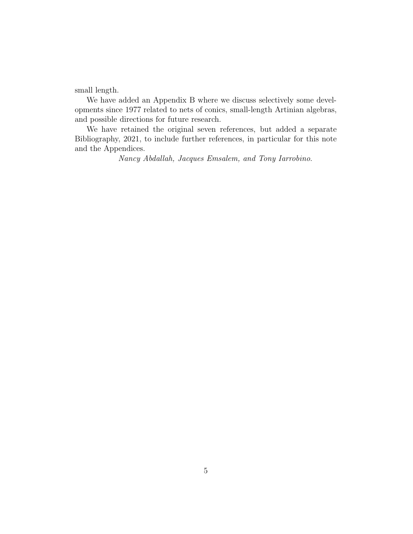small length.

We have added an Appendix B where we discuss selectively some developments since 1977 related to nets of conics, small-length Artinian algebras, and possible directions for future research.

We have retained the original seven references, but added a separate Bibliography, 2021, to include further references, in particular for this note and the Appendices.

Nancy Abdallah, Jacques Emsalem, and Tony Iarrobino.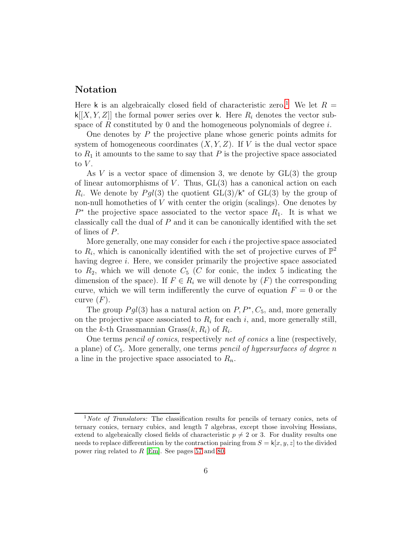### Notation

Here k is an algebraically closed field of characteristic zero.<sup>[1](#page-5-0)</sup> We let  $R =$  $k[[X, Y, Z]]$  the formal power series over k. Here  $R_i$  denotes the vector subspace of R constituted by 0 and the homogeneous polynomials of degree  $i$ .

One denotes by P the projective plane whose generic points admits for system of homogeneous coordinates  $(X, Y, Z)$ . If V is the dual vector space to  $R_1$  it amounts to the same to say that P is the projective space associated to  $V$ .

As V is a vector space of dimension 3, we denote by  $GL(3)$  the group of linear automorphisms of V. Thus,  $GL(3)$  has a canonical action on each  $R_i$ . We denote by  $Pgl(3)$  the quotient  $GL(3)/k^*$  of  $GL(3)$  by the group of non-null homotheties of  $V$  with center the origin (scalings). One denotes by  $P^*$  the projective space associated to the vector space  $R_1$ . It is what we classically call the dual of  $P$  and it can be canonically identified with the set of lines of P.

More generally, one may consider for each  $i$  the projective space associated to  $R_i$ , which is canonically identified with the set of projective curves of  $\mathbb{P}^2$ having degree *i*. Here, we consider primarily the projective space associated to  $R_2$ , which we will denote  $C_5$  (C for conic, the index 5 indicating the dimension of the space). If  $F \in R_i$  we will denote by  $(F)$  the corresponding curve, which we will term indifferently the curve of equation  $F = 0$  or the curve  $(F)$ .

The group  $Pgl(3)$  has a natural action on  $P, P^*, C_5$ , and, more generally on the projective space associated to  $R_i$  for each i, and, more generally still, on the k-th Grassmannian Grass $(k, R_i)$  of  $R_i$ .

One terms pencil of conics, respectively net of conics a line (respectively, a plane) of  $C_5$ . More generally, one terms *pencil of hypersurfaces of degree n* a line in the projective space associated to  $R_n$ .

<span id="page-5-0"></span> $1$ Note of Translators: The classification results for pencils of ternary conics, nets of ternary conics, ternary cubics, and length 7 algebras, except those involving Hessians, extend to algebraically closed fields of characteristic  $p \neq 2$  or 3. For duality results one needs to replace differentiation by the contraction pairing from  $S = k[x, y, z]$  to the divided power ring related to R [\[Em\]](#page-88-0). See pages [57](#page-55-0) and [80.](#page-78-0)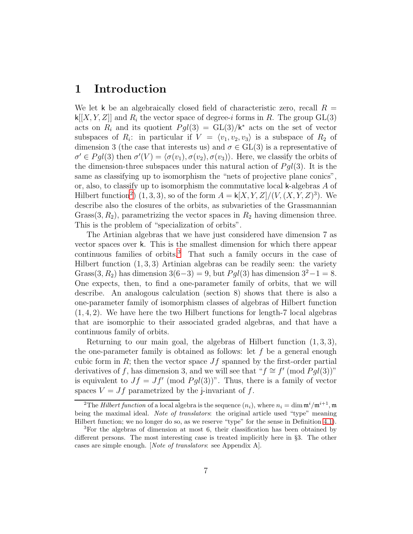## <span id="page-6-0"></span>1 Introduction

We let k be an algebraically closed field of characteristic zero, recall  $R =$  $\kappa[[X, Y, Z]]$  and  $R_i$  the vector space of degree-i forms in R. The group GL(3) acts on  $R_i$  and its quotient  $Pgl(3) = GL(3)/k^*$  acts on the set of vector subspaces of  $R_i$ : in particular if  $V = \langle v_1, v_2, v_3 \rangle$  is a subspace of  $R_2$  of dimension 3 (the case that interests us) and  $\sigma \in GL(3)$  is a representative of  $\sigma' \in Pgl(3)$  then  $\sigma'(V) = \langle \sigma(v_1), \sigma(v_2), \sigma(v_3) \rangle$ . Here, we classify the orbits of the dimension-three subspaces under this natural action of  $Pgl(3)$ . It is the same as classifying up to isomorphism the "nets of projective plane conics", or, also, to classify up to isomorphism the commutative local k-algebras A of Hilbert function<sup>[2](#page-6-1)</sup>)  $(1,3,3)$ , so of the form  $A = \mathsf{k}[X, Y, Z]/(V, (X, Y, Z)^3)$ . We describe also the closures of the orbits, as subvarieties of the Grassmannian Grass $(3, R_2)$ , parametrizing the vector spaces in  $R_2$  having dimension three. This is the problem of "specialization of orbits".

The Artinian algebras that we have just considered have dimension 7 as vector spaces over k. This is the smallest dimension for which there appear continuous families of orbits.[3](#page-6-2) That such a family occurs in the case of Hilbert function  $(1, 3, 3)$  Artinian algebras can be readily seen: the variety Grass(3, R<sub>2</sub>) has dimension 3(6–3) = 9, but  $Pgl(3)$  has dimension  $3^2-1=8$ . One expects, then, to find a one-parameter family of orbits, that we will describe. An analogous calculation (section 8) shows that there is also a one-parameter family of isomorphism classes of algebras of Hilbert function  $(1, 4, 2)$ . We have here the two Hilbert functions for length-7 local algebras that are isomorphic to their associated graded algebras, and that have a continuous family of orbits.

Returning to our main goal, the algebras of Hilbert function  $(1,3,3)$ , the one-parameter family is obtained as follows: let  $f$  be a general enough cubic form in R; then the vector space  $Jf$  spanned by the first-order partial derivatives of f, has dimension 3, and we will see that " $f \cong f' \pmod{Pgl(3)}$ " is equivalent to  $Jf = Jf'$  (mod  $Pgl(3)$ )". Thus, there is a family of vector spaces  $V = Jf$  parametrized by the j-invariant of f.

<span id="page-6-1"></span><sup>&</sup>lt;sup>2</sup>The *Hilbert function* of a local algebra is the sequence  $(n_i)$ , where  $n_i = \dim \mathfrak{m}^i / \mathfrak{m}^{i+1}$ , m being the maximal ideal. Note of translators: the original article used "type" meaning Hilbert function; we no longer do so, as we reserve "type" for the sense in Definition [4.1\)](#page-22-2).

<span id="page-6-2"></span><sup>&</sup>lt;sup>3</sup>For the algebras of dimension at most 6, their classification has been obtained by different persons. The most interesting case is treated implicitly here in §3. The other cases are simple enough. [Note of translators: see Appendix A].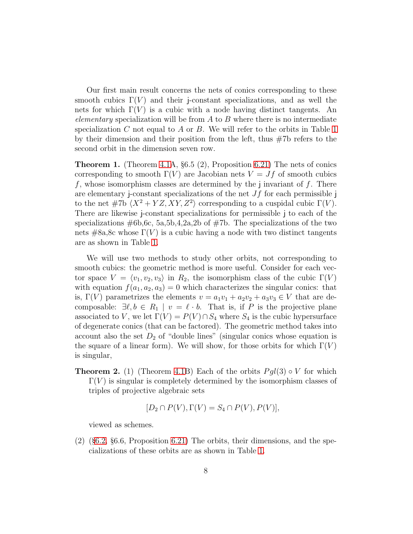Our first main result concerns the nets of conics corresponding to these smooth cubics  $\Gamma(V)$  and their j-constant specializations, and as well the nets for which  $\Gamma(V)$  is a cubic with a node having distinct tangents. An elementary specialization will be from  $A$  to  $B$  where there is no intermediate specialization C not equal to A or B. We will refer to the orbits in Table [1](#page-9-0) by their dimension and their position from the left, thus #7b refers to the second orbit in the dimension seven row.

**Theorem 1.** (Theorem [4.1A](#page-22-2),  $\S 6.5 (2)$ , Proposition [6.21\)](#page-60-1) The nets of conics corresponding to smooth  $\Gamma(V)$  are Jacobian nets  $V = Jf$  of smooth cubics f, whose isomorphism classes are determined by the j invariant of  $f$ . There are elementary j-constant specializations of the net  $Jf$  for each permissible j to the net #7b  $\langle X^2 + YZ, XY, Z^2 \rangle$  corresponding to a cuspidal cubic  $\Gamma(V)$ . There are likewise j-constant specializations for permissible j to each of the specializations  $\#6b,6c, 5a,5b,4,2a,2b$  of  $\#7b$ . The specializations of the two nets  $\#8a,8c$  whose  $\Gamma(V)$  is a cubic having a node with two distinct tangents are as shown in Table [1.](#page-9-0)

We will use two methods to study other orbits, not corresponding to smooth cubics: the geometric method is more useful. Consider for each vector space  $V = \langle v_1, v_2, v_3 \rangle$  in  $R_2$ , the isomorphism class of the cubic  $\Gamma(V)$ with equation  $f(a_1, a_2, a_3) = 0$  which characterizes the singular conics: that is,  $\Gamma(V)$  parametrizes the elements  $v = a_1v_1 + a_2v_2 + a_3v_3 \in V$  that are decomposable:  $\exists \ell, b \in R_1 \mid v = \ell \cdot b$ . That is, if P is the projective plane associated to V, we let  $\Gamma(V) = P(V) \cap S_4$  where  $S_4$  is the cubic hypersurface of degenerate conics (that can be factored). The geometric method takes into account also the set  $D_2$  of "double lines" (singular conics whose equation is the square of a linear form). We will show, for those orbits for which  $\Gamma(V)$ is singular,

**Theorem 2.** (1) (Theorem [4.1B](#page-22-2)) Each of the orbits  $Pgl(3) \circ V$  for which  $\Gamma(V)$  is singular is completely determined by the isomorphism classes of triples of projective algebraic sets

$$
[D_2 \cap P(V), \Gamma(V) = S_4 \cap P(V), P(V)],
$$

viewed as schemes.

(2) (§[6.2,](#page-45-0) §6.6, Proposition [6.21\)](#page-60-1) The orbits, their dimensions, and the specializations of these orbits are as shown in Table [1.](#page-9-0)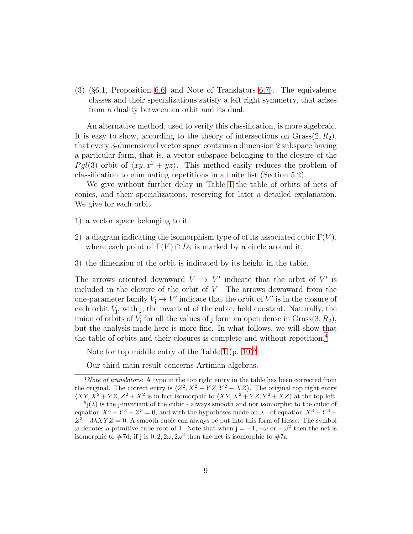(3) (§6.1, Proposition [6.6,](#page-43-0) and Note of Translators [6.7\)](#page-43-1). The equivalence classes and their specializations satisfy a left right symmetry, that arises from a duality between an orbit and its dual.

An alternative method, used to verify this classification, is more algebraic. It is easy to show, according to the theory of intersections on  $Grass(2, R_2)$ , that every 3-dimensional vector space contains a dimension 2 subspace having a particular form, that is, a vector subspace belonging to the closure of the Pql(3) orbit of  $\langle xy, x^2 + yz \rangle$ . This method easily reduces the problem of classification to eliminating repetitions in a finite list (Section 5.2).

We give without further delay in Table [1](#page-9-0) the table of orbits of nets of conics, and their specializations, reserving for later a detailed explanation. We give for each orbit

- 1) a vector space belonging to it
- 2) a diagram indicating the isomorphism type of of its associated cubic  $\Gamma(V)$ , where each point of  $\Gamma(V) \cap D_2$  is marked by a circle around it,
- 3) the dimension of the orbit is indicated by its height in the table.

The arrows oriented downward  $V \rightarrow V'$  indicate that the orbit of V' is included in the closure of the orbit of  $V$ . The arrows downward from the one-parameter family  $V_j \to V'$  indicate that the orbit of V' is in the closure of each orbit  $V_j$ , with  $j$ , the invariant of the cubic, held constant. Naturally, the union of orbits of  $V_j$  for all the values of j form an open dense in  $Grass(3, R_2)$ , but the analysis made here is more fine. In what follows, we will show that the table of orbits and their closures is complete and without repetition.[4](#page-8-0)

Note for top middle entry of the Table [1](#page-9-0)  $(p. 10)^5$  $(p. 10)^5$  $(p. 10)^5$  $(p. 10)^5$ 

Our third main result concerns Artinian algebras.

<span id="page-8-0"></span> $4Note of translators: A type in the top right entry in the table has been corrected from.$ the original. The correct entry is  $\langle Z^2, X^2 - YZ, Y^2 - XZ \rangle$ . The original top right entry  $\langle XY, X^2 + YZ, Z^2 + X^2$  is in fact isomorphic to  $\langle XY, X^2 + YZ, Y^2 + XZ \rangle$  at the top left.

<span id="page-8-1"></span> $5j(\lambda)$  is the j-invariant of the cubic - always smooth and not isomorphic to the cubic of equation  $X^3 + Y^3 + Z^3 = 0$ , and with the hypotheses made on  $\lambda$  - of equation  $X^3 + Y^3 +$  $Z^3 - 3\lambda XYZ = 0$ . A smooth cubic can always be put into this form of Hesse. The symbol  $ω$  denotes a primitive cube root of 1. Note that when  $j = -1, -ω$  or  $-ω<sup>2</sup>$  then the net is isomorphic to #7d; if j is  $0, 2, 2\omega, 2\omega^2$  then the net is isomorphic to #7a.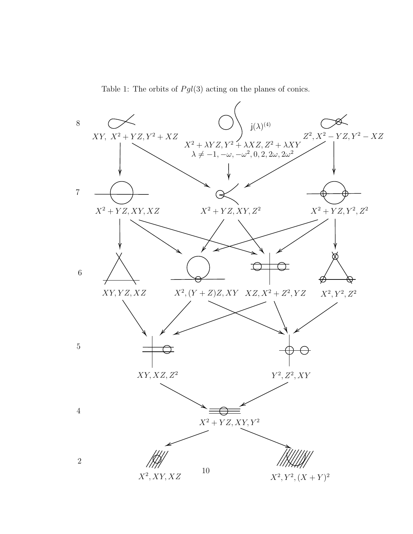Table 1: The orbits of  $Pgl(3)$  acting on the planes of conics.

<span id="page-9-0"></span>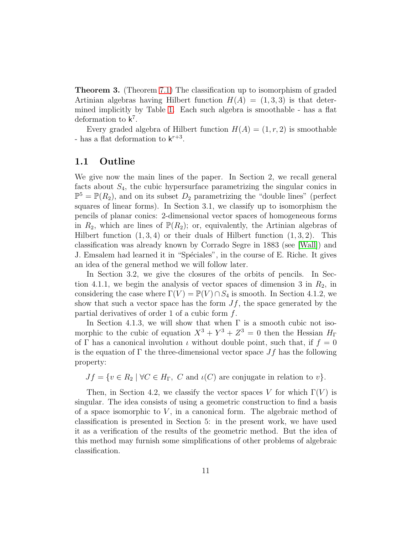Theorem 3. (Theorem 7.1) The classification up to isomorphism of graded Artinian algebras having Hilbert function  $H(A) = (1, 3, 3)$  is that determined implicitly by Table [1.](#page-9-0) Each such algebra is smoothable - has a flat deformation to  $k^7$ .

Every graded algebra of Hilbert function  $H(A) = (1, r, 2)$  is smoothable - has a flat deformation to  $k^{r+3}$ .

#### <span id="page-10-0"></span>1.1 Outline

We give now the main lines of the paper. In Section 2, we recall general facts about  $S_4$ , the cubic hypersurface parametrizing the singular conics in  $\mathbb{P}^5 = \mathbb{P}(R_2)$ , and on its subset  $D_2$  parametrizing the "double lines" (perfect squares of linear forms). In Section 3.1, we classify up to isomorphism the pencils of planar conics: 2-dimensional vector spaces of homogeneous forms in  $R_2$ , which are lines of  $\mathbb{P}(R_2)$ ; or, equivalently, the Artinian algebras of Hilbert function  $(1, 3, 4)$  or their duals of Hilbert function  $(1, 3, 2)$ . This classification was already known by Corrado Segre in 1883 (see [\[Wall\]](#page-75-1)) and J. Emsalem had learned it in "Spéciales", in the course of E. Riche. It gives an idea of the general method we will follow later.

In Section 3.2, we give the closures of the orbits of pencils. In Section 4.1.1, we begin the analysis of vector spaces of dimension 3 in  $R_2$ , in considering the case where  $\Gamma(V) = \mathbb{P}(V) \cap S_4$  is smooth. In Section 4.1.2, we show that such a vector space has the form  $Jf$ , the space generated by the partial derivatives of order 1 of a cubic form  $f$ .

In Section 4.1.3, we will show that when  $\Gamma$  is a smooth cubic not isomorphic to the cubic of equation  $X^3 + Y^3 + Z^3 = 0$  then the Hessian  $H_{\Gamma}$ of Γ has a canonical involution  $\iota$  without double point, such that, if  $f = 0$ is the equation of  $\Gamma$  the three-dimensional vector space  $Jf$  has the following property:

 $Jf = \{v \in R_2 \mid \forall C \in H_{\Gamma}, C \text{ and } \iota(C) \text{ are conjugate in relation to } v\}.$ 

Then, in Section 4.2, we classify the vector spaces V for which  $\Gamma(V)$  is singular. The idea consists of using a geometric construction to find a basis of a space isomorphic to  $V$ , in a canonical form. The algebraic method of classification is presented in Section 5: in the present work, we have used it as a verification of the results of the geometric method. But the idea of this method may furnish some simplifications of other problems of algebraic classification.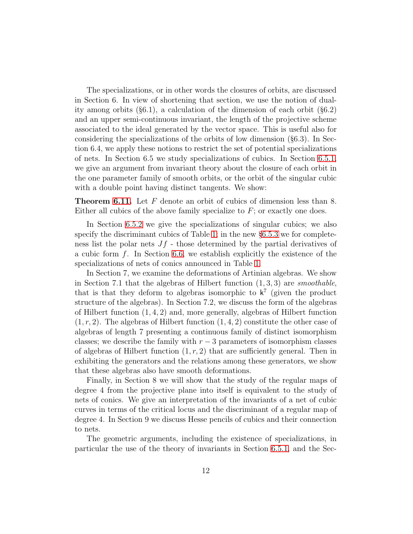The specializations, or in other words the closures of orbits, are discussed in Section 6. In view of shortening that section, we use the notion of duality among orbits (§6.1), a calculation of the dimension of each orbit (§6.2) and an upper semi-continuous invariant, the length of the projective scheme associated to the ideal generated by the vector space. This is useful also for considering the specializations of the orbits of low dimension (§6.3). In Section 6.4, we apply these notions to restrict the set of potential specializations of nets. In Section 6.5 we study specializations of cubics. In Section [6.5.1,](#page-50-1) we give an argument from invariant theory about the closure of each orbit in the one parameter family of smooth orbits, or the orbit of the singular cubic with a double point having distinct tangents. We show:

Theorem [6.11.](#page-51-0) Let F denote an orbit of cubics of dimension less than 8. Either all cubics of the above family specialize to  $F$ ; or exactly one does.

In Section [6.5.2](#page-53-0) we give the specializations of singular cubics; we also specify the discriminant cubics of Table [1;](#page-9-0) in the new §[6.5.3](#page-58-0) we for completeness list the polar nets  $Jf$  - those determined by the partial derivatives of a cubic form  $f$ . In Section [6.6,](#page-60-0) we establish explicitly the existence of the specializations of nets of conics announced in Table [1.](#page-9-0)

In Section 7, we examine the deformations of Artinian algebras. We show in Section 7.1 that the algebras of Hilbert function  $(1, 3, 3)$  are *smoothable*, that is that they deform to algebras isomorphic to  $k^7$  (given the product structure of the algebras). In Section 7.2, we discuss the form of the algebras of Hilbert function  $(1, 4, 2)$  and, more generally, algebras of Hilbert function  $(1, r, 2)$ . The algebras of Hilbert function  $(1, 4, 2)$  constitute the other case of algebras of length 7 presenting a continuous family of distinct isomorphism classes; we describe the family with  $r-3$  parameters of isomorphism classes of algebras of Hilbert function  $(1, r, 2)$  that are sufficiently general. Then in exhibiting the generators and the relations among these generators, we show that these algebras also have smooth deformations.

Finally, in Section 8 we will show that the study of the regular maps of degree 4 from the projective plane into itself is equivalent to the study of nets of conics. We give an interpretation of the invariants of a net of cubic curves in terms of the critical locus and the discriminant of a regular map of degree 4. In Section 9 we discuss Hesse pencils of cubics and their connection to nets.

The geometric arguments, including the existence of specializations, in particular the use of the theory of invariants in Section [6.5.1,](#page-50-1) and the Sec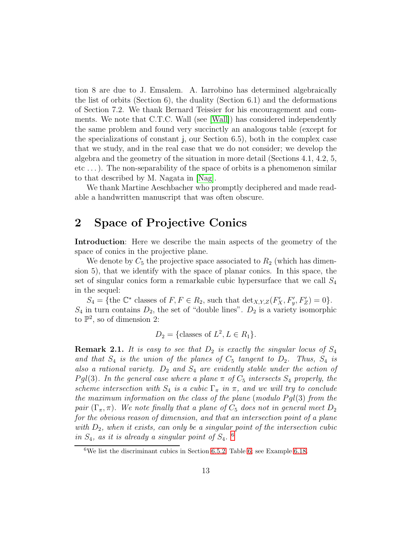tion 8 are due to J. Emsalem. A. Iarrobino has determined algebraically the list of orbits (Section 6), the duality (Section 6.1) and the deformations of Section 7.2. We thank Bernard Teissier for his encouragement and comments. We note that C.T.C. Wall (see [\[Wall\]](#page-75-1)) has considered independently the same problem and found very succinctly an analogous table (except for the specializations of constant j, our Section 6.5), both in the complex case that we study, and in the real case that we do not consider; we develop the algebra and the geometry of the situation in more detail (Sections 4.1, 4.2, 5, etc . . .). The non-separability of the space of orbits is a phenomenon similar to that described by M. Nagata in [\[Nag\]](#page-74-2).

We thank Martine Aeschbacher who promptly deciphered and made readable a handwritten manuscript that was often obscure.

# <span id="page-12-0"></span>2 Space of Projective Conics

Introduction: Here we describe the main aspects of the geometry of the space of conics in the projective plane.

We denote by  $C_5$  the projective space associated to  $R_2$  (which has dimension 5), that we identify with the space of planar conics. In this space, the set of singular conics form a remarkable cubic hypersurface that we call  $S_4$ in the sequel:

 $S_4 = \{\text{the } \mathbb{C}^* \text{ classes of } F, F \in R_2 \text{, such that } \text{det}_{X,Y,Z}(F_X', F_y', F_Z') = 0\}.$  $S_4$  in turn contains  $D_2$ , the set of "double lines".  $D_2$  is a variety isomorphic to  $\mathbb{P}^2$ , so of dimension 2:

$$
D_2 = \{\text{classes of } L^2, L \in R_1\}.
$$

<span id="page-12-2"></span>**Remark 2.1.** It is easy to see that  $D_2$  is exactly the singular locus of  $S_4$ and that  $S_4$  is the union of the planes of  $C_5$  tangent to  $D_2$ . Thus,  $S_4$  is also a rational variety.  $D_2$  and  $S_4$  are evidently stable under the action of Pgl(3). In the general case where a plane  $\pi$  of  $C_5$  intersects  $S_4$  properly, the scheme intersection with  $S_4$  is a cubic  $\Gamma_\pi$  in  $\pi$ , and we will try to conclude the maximum information on the class of the plane (modulo  $Pgl(3)$  from the pair  $(\Gamma_{\pi}, \pi)$ . We note finally that a plane of  $C_5$  does not in general meet  $D_2$ for the obvious reason of dimension, and that an intersection point of a plane with  $D_2$ , when it exists, can only be a singular point of the intersection cubic in  $S_4$ , as it is already a singular point of  $S_4$ . <sup>[6](#page-12-1)</sup>

<span id="page-12-1"></span><sup>&</sup>lt;sup>6</sup>We list the discriminant cubics in Section [6.5.2,](#page-53-0) Table [6;](#page-55-1) see Example [6.18.](#page-54-0)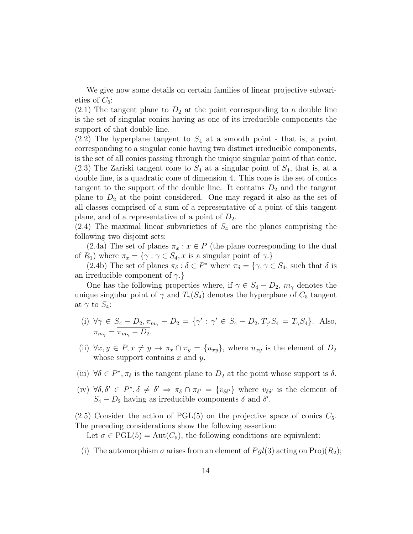We give now some details on certain families of linear projective subvarieties of  $C_5$ :

 $(2.1)$  The tangent plane to  $D_2$  at the point corresponding to a double line is the set of singular conics having as one of its irreducible components the support of that double line.

 $(2.2)$  The hyperplane tangent to  $S_4$  at a smooth point - that is, a point corresponding to a singular conic having two distinct irreducible components, is the set of all conics passing through the unique singular point of that conic.  $(2.3)$  The Zariski tangent cone to  $S_4$  at a singular point of  $S_4$ , that is, at a double line, is a quadratic cone of dimension 4. This cone is the set of conics tangent to the support of the double line. It contains  $D_2$  and the tangent plane to  $D_2$  at the point considered. One may regard it also as the set of all classes comprised of a sum of a representative of a point of this tangent plane, and of a representative of a point of  $D_2$ .

 $(2.4)$  The maximal linear subvarieties of  $S_4$  are the planes comprising the following two disjoint sets:

(2.4a) The set of planes  $\pi_x : x \in P$  (the plane corresponding to the dual of  $R_1$ ) where  $\pi_x = {\gamma : \gamma \in S_4, x \text{ is a singular point of } \gamma}.$ 

(2.4b) The set of planes  $\pi_{\delta}$ :  $\delta \in P^*$  where  $\pi_{\delta} = {\gamma, \gamma \in S_4}$ , such that  $\delta$  is an irreducible component of  $\gamma$ .}

One has the following properties where, if  $\gamma \in S_4 - D_2$ ,  $m_{\gamma}$  denotes the unique singular point of  $\gamma$  and  $T_{\gamma}(S_4)$  denotes the hyperplane of  $C_5$  tangent at  $\gamma$  to  $S_4$ :

- (i)  $\forall \gamma \in S_4 D_2, \pi_{m_\gamma} D_2 = \{ \gamma' : \gamma' \in S_4 D_2, T_{\gamma'} S_4 = T_{\gamma} S_4 \}.$  Also,  $\pi_{m_{\gamma}} = \pi_{m_{\gamma}} - D_2.$
- (ii)  $\forall x, y \in P, x \neq y \rightarrow \pi_x \cap \pi_y = \{u_{xy}\}\$ , where  $u_{xy}$  is the element of  $D_2$ whose support contains  $x$  and  $y$ .
- (iii)  $\forall \delta \in P^*$ ,  $\pi_{\delta}$  is the tangent plane to  $D_2$  at the point whose support is  $\delta$ .
- (iv)  $\forall \delta, \delta' \in P^*, \delta \neq \delta' \Rightarrow \pi_{\delta} \cap \pi_{\delta'} = \{v_{\delta\delta'}\}\$  where  $v_{\delta\delta'}$  is the element of  $S_4 - D_2$  having as irreducible components  $\delta$  and  $\delta'$ .

 $(2.5)$  Consider the action of PGL(5) on the projective space of conics  $C_5$ . The preceding considerations show the following assertion:

Let  $\sigma \in \text{PGL}(5) = \text{Aut}(C_5)$ , the following conditions are equivalent:

(i) The automorphism  $\sigma$  arises from an element of  $Pgl(3)$  acting on Proj $(R_2)$ ;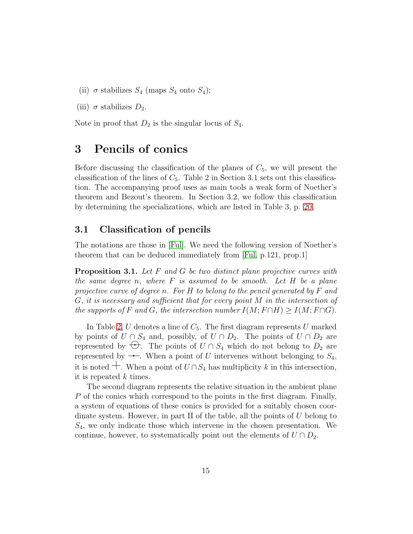- (ii)  $\sigma$  stabilizes  $S_4$  (maps  $S_4$  onto  $S_4$ );
- (iii)  $\sigma$  stabilizes  $D_2$ .

<span id="page-14-0"></span>Note in proof that  $D_2$  is the singular locus of  $S_4$ .

# 3 Pencils of conics

Before discussing the classification of the planes of  $C_5$ , we will present the classification of the lines of  $C_5$ . Table 2 in Section 3.1 sets out this classification. The accompanying proof uses as main tools a weak form of Noether's theorem and Bezout's theorem. In Section 3.2, we follow this classification by determining the specializations, which are listed in Table 3, p. [20.](#page-19-0)

### <span id="page-14-1"></span>3.1 Classification of pencils

The notations are those in [\[Ful\]](#page-74-3). We need the following version of Noether's theorem that can be deduced immediately from [\[Ful,](#page-74-3) p.121, prop.1]

**Proposition 3.1.** Let  $F$  and  $G$  be two distinct plane projective curves with the same degree n, where  $F$  is assumed to be smooth. Let  $H$  be a plane projective curve of degree n. For H to belong to the pencil generated by F and  $G$ , it is necessary and sufficient that for every point M in the intersection of the supports of F and G, the intersection number  $I(M; F \cap H) \geq I(M; F \cap G)$ .

In Table [2,](#page-15-0)  $U$  denotes a line of  $C_5$ . The first diagram represents  $U$  marked by points of  $U \cap S_4$  and, possibly, of  $U \cap D_2$ . The points of  $U \cap D_2$  are represented by  $\bigoplus$ . The points of  $U \cap S_4$  which do not belong to  $D_2$  are represented by  $\rightarrow$ . When a point of U intervenes without belonging to  $S_4$ , it is noted  $\pm$ . When a point of  $U \cap S_4$  has multiplicity k in this intersection, it is repeated  $k$  times.

The second diagram represents the relative situation in the ambient plane P of the conics which correspond to the points in the first diagram. Finally, a system of equations of these conics is provided for a suitably chosen coordinate system. However, in part II of the table, all the points of  $U$  belong to  $S_4$ , we only indicate those which intervene in the chosen presentation. We continue, however, to systematically point out the elements of  $U \cap D_2$ .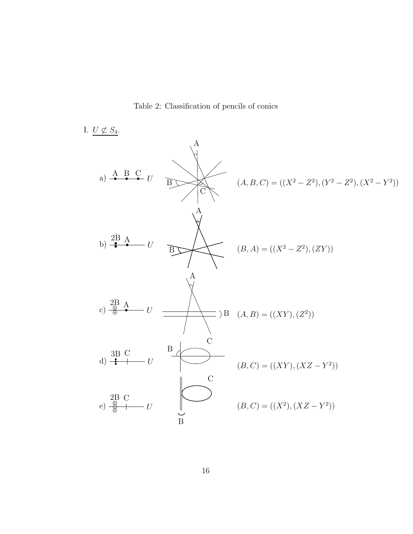Table 2: Classification of pencils of conics

<span id="page-15-0"></span>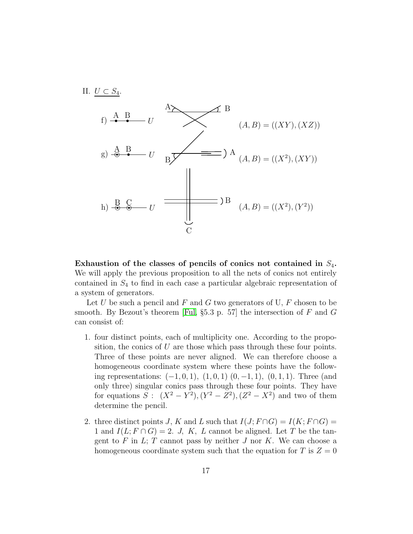

Exhaustion of the classes of pencils of conics not contained in  $S_4$ . We will apply the previous proposition to all the nets of conics not entirely contained in  $S_4$  to find in each case a particular algebraic representation of a system of generators.

Let U be such a pencil and F and G two generators of U, F chosen to be smooth. By Bezout's theorem [\[Ful,](#page-74-3) §5.3 p. 57] the intersection of  $F$  and  $G$ can consist of:

- 1. four distinct points, each of multiplicity one. According to the proposition, the conics of  $U$  are those which pass through these four points. Three of these points are never aligned. We can therefore choose a homogeneous coordinate system where these points have the following representations:  $(-1, 0, 1)$ ,  $(1, 0, 1)$ ,  $(0, -1, 1)$ ,  $(0, 1, 1)$ . Three (and only three) singular conics pass through these four points. They have for equations  $S: (X^2 - Y^2), (Y^2 - Z^2), (Z^2 - X^2)$  and two of them determine the pencil.
- 2. three distinct points J, K and L such that  $I(J; F \cap G) = I(K; F \cap G)$ 1 and  $I(L; F \cap G) = 2$ . J, K, L cannot be aligned. Let T be the tangent to  $F$  in  $L$ ;  $T$  cannot pass by neither  $J$  nor  $K$ . We can choose a homogeneous coordinate system such that the equation for T is  $Z = 0$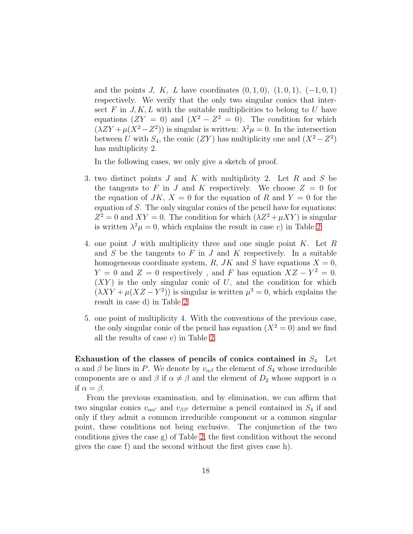and the points J, K, L have coordinates  $(0, 1, 0), (1, 0, 1), (-1, 0, 1)$ respectively. We verify that the only two singular conics that intersect F in  $J, K, L$  with the suitable multiplicities to belong to U have equations  $(ZY = 0)$  and  $(X^2 - Z^2 = 0)$ . The condition for which  $(\lambda ZY + \mu(X^2 - Z^2))$  is singular is written:  $\lambda^2 \mu = 0$ . In the intersection between U with  $S_4$ , the conic  $(ZY)$  has multiplicity one and  $(X^2 - Z^2)$ has multiplicity 2.

In the following cases, we only give a sketch of proof.

- 3. two distinct points J and K with multiplicity 2. Let R and S be the tangents to F in J and K respectively. We choose  $Z = 0$  for the equation of  $JK, X = 0$  for the equation of R and  $Y = 0$  for the equation of S. The only singular conics of the pencil have for equations:  $Z^2 = 0$  and  $XY = 0$ . The condition for which  $(\lambda Z^2 + \mu XY)$  is singular is written  $\lambda^2 \mu = 0$ , which explains the result in case c) in Table [2.](#page-15-0)
- 4. one point  $J$  with multiplicity three and one single point  $K$ . Let  $R$ and  $S$  be the tangents to  $F$  in  $J$  and  $K$  respectively. In a suitable homogeneous coordinate system, R, JK and S have equations  $X = 0$ ,  $Y = 0$  and  $Z = 0$  respectively, and F has equation  $XZ - Y^2 = 0$ .  $(XY)$  is the only singular conic of U, and the condition for which  $(\lambda XY + \mu(XZ - Y^2))$  is singular is written  $\mu^3 = 0$ , which explains the result in case d) in Table [2.](#page-15-0)
- 5. one point of multiplicity 4. With the conventions of the previous case, the only singular conic of the pencil has equation  $(X^2 = 0)$  and we find all the results of case e) in Table [2.](#page-15-0)

Exhaustion of the classes of pencils of conics contained in  $S_4$  Let  $\alpha$  and  $\beta$  be lines in P. We denote by  $v_{\alpha\beta}$  the element of  $S_4$  whose irreducible components are  $\alpha$  and  $\beta$  if  $\alpha \neq \beta$  and the element of  $D_2$  whose support is  $\alpha$ if  $\alpha = \beta$ .

From the previous examination, and by elimination, we can affirm that two singular conics  $v_{\alpha\alpha'}$  and  $v_{\beta\beta'}$  determine a pencil contained in  $S_4$  if and only if they admit a common irreducible component or a common singular point, these conditions not being exclusive. The conjunction of the two conditions gives the case g) of Table [2,](#page-15-0) the first condition without the second gives the case f) and the second without the first gives case h).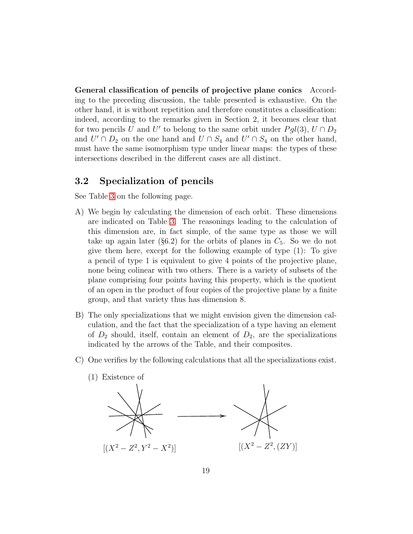General classification of pencils of projective plane conics According to the preceding discussion, the table presented is exhaustive. On the other hand, it is without repetition and therefore constitutes a classification: indeed, according to the remarks given in Section 2, it becomes clear that for two pencils U and U' to belong to the same orbit under  $Pgl(3)$ ,  $U \cap D_2$ and  $U' \cap D_2$  on the one hand and  $U \cap S_4$  and  $U' \cap S_4$  on the other hand, must have the same isomorphism type under linear maps: the types of these intersections described in the different cases are all distinct.

### <span id="page-18-0"></span>3.2 Specialization of pencils

See Table [3](#page-19-0) on the following page.

- A) We begin by calculating the dimension of each orbit. These dimensions are indicated on Table [3.](#page-19-0) The reasonings leading to the calculation of this dimension are, in fact simple, of the same type as those we will take up again later (§6.2) for the orbits of planes in  $C_5$ . So we do not give them here, except for the following example of type (1): To give a pencil of type 1 is equivalent to give 4 points of the projective plane, none being colinear with two others. There is a variety of subsets of the plane comprising four points having this property, which is the quotient of an open in the product of four copies of the projective plane by a finite group, and that variety thus has dimension 8.
- B) The only specializations that we might envision given the dimension calculation, and the fact that the specialization of a type having an element of  $D_2$  should, itself, contain an element of  $D_2$ , are the specializations indicated by the arrows of the Table, and their composites.
- C) One verifies by the following calculations that all the specializations exist.
	- (1) Existence of  $[(X^2 - Z^2, Y^2 - X^2)]$ )]  $[(X^2 - Z^2, (ZY)]$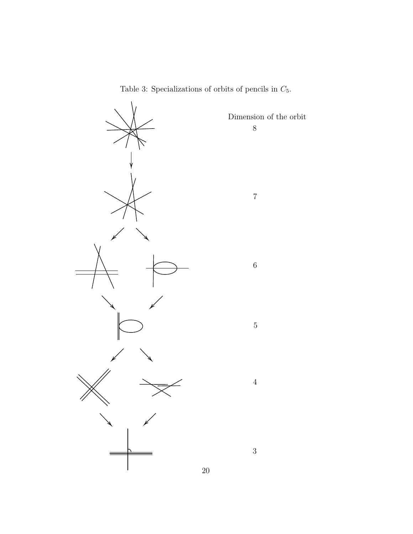

<span id="page-19-0"></span>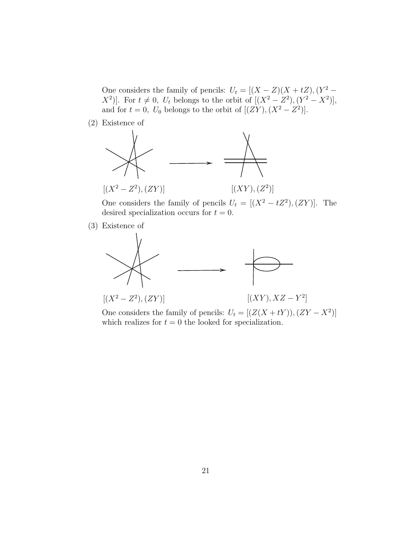One considers the family of pencils:  $U_t = [(X - Z)(X + tZ), (Y^2 - Z^2)]$  $[X^2]$ . For  $t \neq 0$ ,  $U_t$  belongs to the orbit of  $[(X^2 - Z^2), (Y^2 - X^2)]$ , and for  $t = 0$ ,  $U_0$  belongs to the orbit of  $[(ZY), (X^2 - Z^2)]$ .

(2) Existence of



One considers the family of pencils  $U_t = [(X^2 - tZ^2), (ZY)]$ . The desired specialization occurs for  $t = 0$ .

(3) Existence of



One considers the family of pencils:  $U_t = [(Z(X + tY)), (ZY - X^2)]$ which realizes for  $t = 0$  the looked for specialization.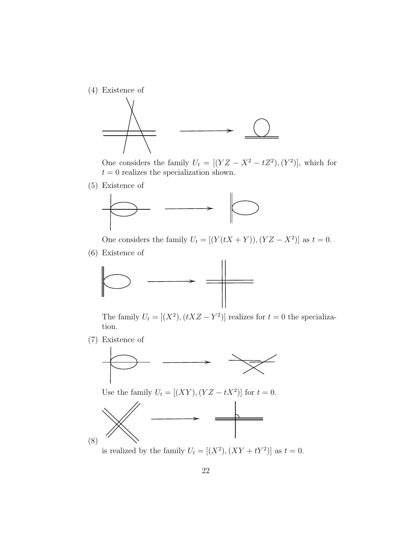(4) Existence of



One considers the family  $U_t = [(YZ - X^2 - tZ^2), (Y^2)]$ , which for  $t = 0$  realizes the specialization shown.

(5) Existence of



One considers the family  $U_t = [(Y(tX + Y)), (YZ - X^2)]$  as  $t = 0$ .

(6) Existence of



The family  $U_t = [(X^2), (tXZ - Y^2)]$  realizes for  $t = 0$  the specialization.

(7) Existence of



Use the family  $U_t = [(XY), (YZ - tX^2)]$  for  $t = 0$ .



is realized by the family  $U_t = [(X^2), (XY + tY^2)]$  as  $t = 0$ .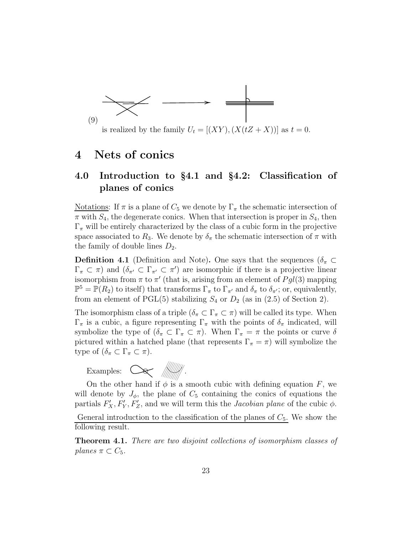

is realized by the family  $U_t = [(XY), (X(tZ + X))]$  as  $t = 0$ .

# <span id="page-22-1"></span><span id="page-22-0"></span>4 Nets of conics

### 4.0 Introduction to §4.1 and §4.2: Classification of planes of conics

Notations: If  $\pi$  is a plane of  $C_5$  we denote by  $\Gamma_{\pi}$  the schematic intersection of  $\pi$  with  $S_4$ , the degenerate conics. When that intersection is proper in  $S_4$ , then  $\Gamma_{\pi}$  will be entirely characterized by the class of a cubic form in the projective space associated to  $R_3$ . We denote by  $\delta_{\pi}$  the schematic intersection of  $\pi$  with the family of double lines  $D_2$ .

**Definition 4.1** (Definition and Note). One says that the sequences ( $\delta_{\pi} \subset$  $\Gamma_{\pi} \subset \pi$ ) and  $(\delta_{\pi'} \subset \Gamma_{\pi'} \subset \pi')$  are isomorphic if there is a projective linear isomorphism from  $\pi$  to  $\pi'$  (that is, arising from an element of  $Pgl(3)$  mapping  $\mathbb{P}^5 = \mathbb{P}(R_2)$  to itself) that transforms  $\Gamma_{\pi}$  to  $\Gamma_{\pi'}$  and  $\delta_{\pi}$  to  $\delta_{\pi'}$ ; or, equivalently, from an element of PGL(5) stabilizing  $S_4$  or  $D_2$  (as in (2.5) of Section 2).

The isomorphism class of a triple  $(\delta_{\pi} \subset \Gamma_{\pi} \subset \pi)$  will be called its type. When  $\Gamma_{\pi}$  is a cubic, a figure representing  $\Gamma_{\pi}$  with the points of  $\delta_{\pi}$  indicated, will symbolize the type of  $(\delta_{\pi} \subset \Gamma_{\pi} \subset \pi)$ . When  $\Gamma_{\pi} = \pi$  the points or curve  $\delta$ pictured within a hatched plane (that represents  $\Gamma_{\pi} = \pi$ ) will symbolize the type of  $(\delta_{\pi} \subset \Gamma_{\pi} \subset \pi)$ .



On the other hand if  $\phi$  is a smooth cubic with defining equation F, we will denote by  $J_{\phi}$ , the plane of  $C_5$  containing the conics of equations the partials  $F'_X, F'_Y, F'_Z$ , and we will term this the *Jacobian plane* of the cubic  $\phi$ .

General introduction to the classification of the planes of  $C_5$ . We show the following result.

<span id="page-22-2"></span>Theorem 4.1. There are two disjoint collections of isomorphism classes of planes  $\pi \subset C_5$ .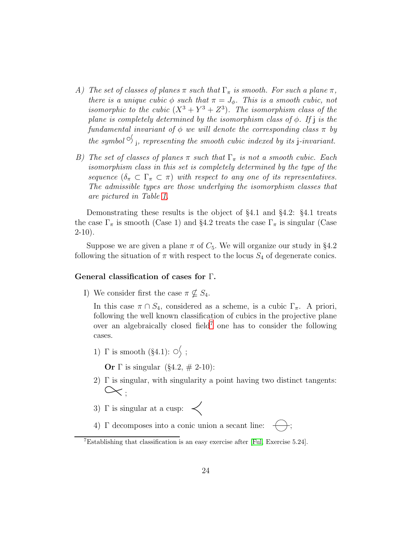- A) The set of classes of planes  $\pi$  such that  $\Gamma_{\pi}$  is smooth. For such a plane  $\pi$ , there is a unique cubic  $\phi$  such that  $\pi = J_{\phi}$ . This is a smooth cubic, not isomorphic to the cubic  $(X^3 + Y^3 + Z^3)$ . The isomorphism class of the plane is completely determined by the isomorphism class of  $\phi$ . If j is the fundamental invariant of  $\phi$  we will denote the corresponding class  $\pi$  by the symbol  $\mathcal{O}_{j}$ , representing the smooth cubic indexed by its j-invariant.
- B) The set of classes of planes  $\pi$  such that  $\Gamma_{\pi}$  is not a smooth cubic. Each isomorphism class in this set is completely determined by the type of the sequence  $(\delta_{\pi} \subset \Gamma_{\pi} \subset \pi)$  with respect to any one of its representatives. The admissible types are those underlying the isomorphism classes that are pictured in Table [1.](#page-9-0)

Demonstrating these results is the object of §4.1 and §4.2: §4.1 treats the case  $\Gamma_{\pi}$  is smooth (Case 1) and §4.2 treats the case  $\Gamma_{\pi}$  is singular (Case  $2-10$ ).

Suppose we are given a plane  $\pi$  of  $C_5$ . We will organize our study in §4.2 following the situation of  $\pi$  with respect to the locus  $S_4$  of degenerate conics.

#### General classification of cases for Γ.

I) We consider first the case  $\pi \nsubseteq S_4$ .

In this case  $\pi \cap S_4$ , considered as a scheme, is a cubic  $\Gamma_{\pi}$ . A priori, following the well known classification of cubics in the projective plane over an algebraically closed field<sup>[7](#page-23-0)</sup> one has to consider the following cases.

1)  $\Gamma$  is smooth (§4.1):  $\circ$  ;

**Or** Γ is singular (§4.2,  $\#$  2-10):

- 2)  $\Gamma$  is singular, with singularity a point having two distinct tangents:  $\propto$
- 3)  $\Gamma$  is singular at a cusp:  $\prec$

4) Γ decomposes into a conic union a secant line:  $\leftarrow$ ;

<span id="page-23-0"></span><sup>&</sup>lt;sup>7</sup>Establishing that classification is an easy exercise after [\[Ful,](#page-74-3) Exercise 5.24].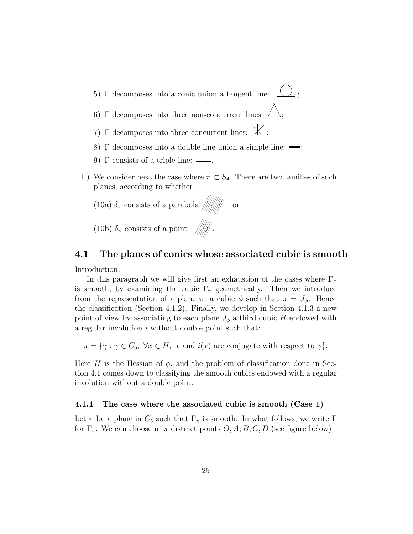- 5) Γ decomposes into a conic union a tangent line:  $\bigcup$ ; 6) Γ decomposes into three non-concurrent lines:  $\neq$ 7)  $\Gamma$  decomposes into three concurrent lines:  $\mathcal{K}$ :
- 8)  $\Gamma$  decomposes into a double line union a simple line:  $\Rightarrow$ ;
- 9)  $\Gamma$  consists of a triple line:  $\equiv$
- II) We consider next the case where  $\pi \subset S_4$ . There are two families of such planes, according to whether



### <span id="page-24-0"></span>4.1 The planes of conics whose associated cubic is smooth

Introduction.

In this paragraph we will give first an exhaustion of the cases where  $\Gamma_{\pi}$ is smooth, by examining the cubic  $\Gamma_{\pi}$  geometrically. Then we introduce from the representation of a plane  $\pi$ , a cubic  $\phi$  such that  $\pi = J_{\phi}$ . Hence the classification (Section 4.1.2). Finally, we develop in Section 4.1.3 a new point of view by associating to each plane  $J_{\phi}$  a third cubic H endowed with a regular involution  $i$  without double point such that:

 $\pi = {\gamma : \gamma \in C_5, \ \forall x \in H, \ x \text{ and } i(x) \text{ are conjugate with respect to } \gamma}.$ 

Here H is the Hessian of  $\phi$ , and the problem of classification done in Section 4.1 comes down to classifying the smooth cubics endowed with a regular involution without a double point.

#### <span id="page-24-1"></span>4.1.1 The case where the associated cubic is smooth (Case 1)

Let  $\pi$  be a plane in  $C_5$  such that  $\Gamma_{\pi}$  is smooth. In what follows, we write  $\Gamma$ for  $\Gamma_{\pi}$ . We can choose in  $\pi$  distinct points O, A, B, C, D (see figure below)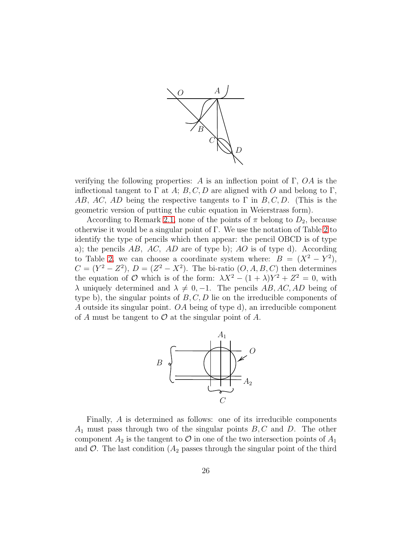

verifying the following properties: A is an inflection point of  $\Gamma$ ,  $OA$  is the inflectional tangent to  $\Gamma$  at A; B, C, D are aligned with O and belong to  $\Gamma$ , AB, AC, AD being the respective tangents to  $\Gamma$  in B, C, D. (This is the geometric version of putting the cubic equation in Weierstrass form).

According to Remark [2.1,](#page-12-2) none of the points of  $\pi$  belong to  $D_2$ , because otherwise it would be a singular point of Γ. We use the notation of Table [2](#page-15-0) to identify the type of pencils which then appear: the pencil OBCD is of type a); the pencils  $AB$ ,  $AC$ ,  $AD$  are of type b);  $AO$  is of type d). According to Table [2,](#page-15-0) we can choose a coordinate system where:  $B = (X^2 - Y^2)$ ,  $C = (Y^2 - Z^2), D = (Z^2 - X^2).$  The bi-ratio  $(O, A, B, C)$  then determines the equation of O which is of the form:  $\lambda X^2 - (1 + \lambda)Y^2 + Z^2 = 0$ , with  $\lambda$  uniquely determined and  $\lambda \neq 0, -1$ . The pencils AB, AC, AD being of type b), the singular points of  $B, C, D$  lie on the irreducible components of A outside its singular point. OA being of type d), an irreducible component of A must be tangent to  $\mathcal O$  at the singular point of A.



Finally, A is determined as follows: one of its irreducible components  $A_1$  must pass through two of the singular points  $B, C$  and  $D$ . The other component  $A_2$  is the tangent to  $\mathcal O$  in one of the two intersection points of  $A_1$ and  $\mathcal{O}$ . The last condition  $(A_2)$  passes through the singular point of the third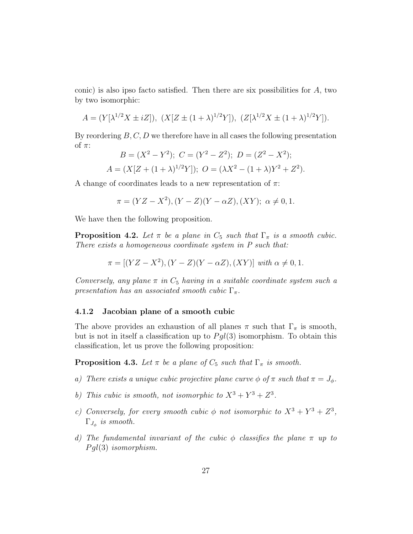conic) is also ipso facto satisfied. Then there are six possibilities for A, two by two isomorphic:

$$
A = (Y[\lambda^{1/2}X \pm iZ]), \ (X[Z \pm (1+\lambda)^{1/2}Y]), \ (Z[\lambda^{1/2}X \pm (1+\lambda)^{1/2}Y]).
$$

By reordering  $B, C, D$  we therefore have in all cases the following presentation of  $\pi$ :

$$
B = (X2 - Y2); C = (Y2 - Z2); D = (Z2 - X2);
$$
  

$$
A = (X[Z + (1 + \lambda)1/2Y]); O = (\lambda X2 - (1 + \lambda)Y2 + Z2).
$$

A change of coordinates leads to a new representation of  $\pi$ :

$$
\pi = (YZ - X^2), (Y - Z)(Y - \alpha Z), (XY); \ \alpha \neq 0, 1.
$$

We have then the following proposition.

**Proposition 4.2.** Let  $\pi$  be a plane in  $C_5$  such that  $\Gamma_{\pi}$  is a smooth cubic. There exists a homogeneous coordinate system in P such that:

$$
\pi = [(YZ - X^2), (Y - Z)(Y - \alpha Z), (XY)] \text{ with } \alpha \neq 0, 1.
$$

Conversely, any plane  $\pi$  in  $C_5$  having in a suitable coordinate system such a presentation has an associated smooth cubic  $\Gamma_{\pi}$ .

#### <span id="page-26-0"></span>4.1.2 Jacobian plane of a smooth cubic

The above provides an exhaustion of all planes  $\pi$  such that  $\Gamma_{\pi}$  is smooth, but is not in itself a classification up to  $Pgl(3)$  isomorphism. To obtain this classification, let us prove the following proposition:

**Proposition 4.3.** Let  $\pi$  be a plane of  $C_5$  such that  $\Gamma_{\pi}$  is smooth.

- a) There exists a unique cubic projective plane curve  $\phi$  of  $\pi$  such that  $\pi = J_{\phi}$ .
- b) This cubic is smooth, not isomorphic to  $X^3 + Y^3 + Z^3$ .
- c) Conversely, for every smooth cubic  $\phi$  not isomorphic to  $X^3 + Y^3 + Z^3$ ,  $\Gamma_{J_\phi}$  is smooth.
- d) The fundamental invariant of the cubic  $\phi$  classifies the plane  $\pi$  up to  $Pql(3)$  isomorphism.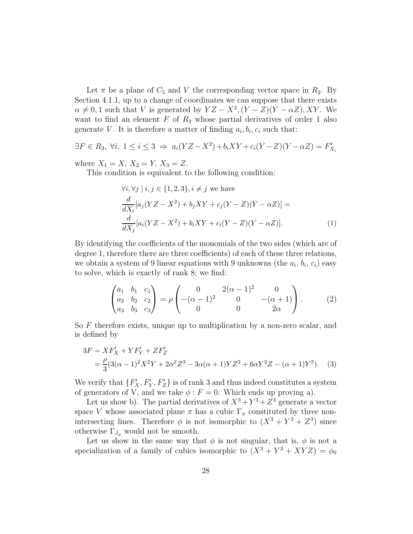Let  $\pi$  be a plane of  $C_5$  and V the corresponding vector space in  $R_2$ . By Section 4.1.1, up to a change of coordinates we can suppose that there exists  $\alpha \neq 0, 1$  such that V is generated by  $YZ - X^2$ ,  $(Y - Z)(Y - \alpha Z)$ , XY. We want to find an element  $F$  of  $R_3$  whose partial derivatives of order 1 also generate V. It is therefore a matter of finding  $a_i, b_i, c_i$  such that:

$$
\exists F \in R_3, \ \forall i, \ 1 \le i \le 3 \ \Rightarrow \ a_i(YZ - X^2) + b_iXY + c_i(Y - Z)(Y - \alpha Z) = F'_{X_i}
$$

where  $X_1 = X$ ,  $X_2 = Y$ ,  $X_3 = Z$ .

This condition is equivalent to the following condition:

$$
\forall i, \forall j \mid i, j \in \{1, 2, 3\}, i \neq j \text{ we have}
$$
  
\n
$$
\frac{d}{dX_i}[a_j(YZ - X^2) + b_jXY + c_j(Y - Z)(Y - \alpha Z)] =
$$
  
\n
$$
\frac{d}{dX_j}[a_i(YZ - X^2) + b_iXY + c_i(Y - Z)(Y - \alpha Z)].
$$
\n(1)

By identifying the coefficients of the monomials of the two sides (which are of degree 1, therefore there are three coefficients) of each of these three relations, we obtain a system of 9 linear equations with 9 unknowns (the  $a_i, b_i, c_i$ ) easy to solve, which is exactly of rank 8; we find:

$$
\begin{pmatrix} a_1 & b_1 & c_1 \ a_2 & b_2 & c_2 \ a_3 & b_3 & c_3 \end{pmatrix} = \rho \begin{pmatrix} 0 & 2(\alpha - 1)^2 & 0 \\ -(\alpha - 1)^2 & 0 & -(\alpha + 1) \\ 0 & 0 & 2\alpha \end{pmatrix}.
$$
 (2)

So F therefore exists, unique up to multiplication by a non-zero scalar, and is defined by

$$
3F = XF'_X + YF'_Y + ZF'_Z
$$
  
=  $\frac{\rho}{3}(3(\alpha - 1)^2X^2Y + 2\alpha^2Z^3 - 3\alpha(\alpha + 1)YZ^2 + 6\alpha Y^2Z - (\alpha + 1)Y^3).$  (3)

We verify that  $\{F'_X, F'_Y, F'_Z\}$  is of rank 3 and thus indeed constitutes a system of generators of V, and we take  $\phi$ :  $F = 0$ . Which ends up proving a).

Let us show b). The partial derivatives of  $X^3 + Y^3 + Z^3$  generate a vector space V whose associated plane  $\pi$  has a cubic  $\Gamma_{\pi}$  constituted by three nonintersecting lines. Therefore  $\phi$  is not isomorphic to  $(X^3 + Y^3 + Z^3)$  since otherwise  $\Gamma_{J_{\phi}}$  would not be smooth.

Let us show in the same way that  $\phi$  is not singular, that is,  $\phi$  is not a specialization of a family of cubics isomorphic to  $(X^3 + Y^3 + XYZ) = \phi_0$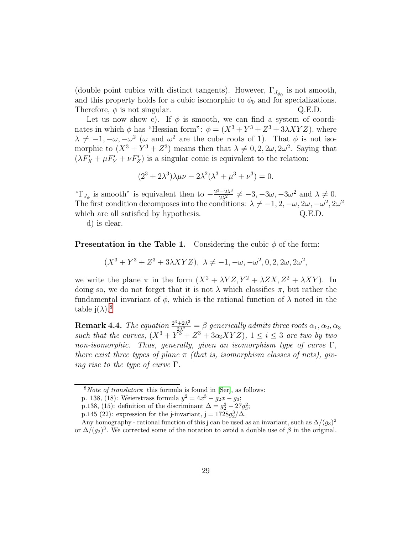(double point cubics with distinct tangents). However,  $\Gamma_{J_{\phi_0}}$  is not smooth, and this property holds for a cubic isomorphic to  $\phi_0$  and for specializations. Therefore,  $\phi$  is not singular.  $Q.E.D.$ 

Let us now show c). If  $\phi$  is smooth, we can find a system of coordinates in which  $\phi$  has "Hessian form":  $\phi = (X^3 + Y^3 + Z^3 + 3\lambda XYZ)$ , where  $\lambda \neq -1, -\omega, -\omega^2 \ (\omega \text{ and } \omega^2 \text{ are the cube roots of 1).}$  That  $\phi$  is not isomorphic to  $(X^3 + Y^3 + Z^3)$  means then that  $\lambda \neq 0, 2, 2\omega, 2\omega^2$ . Saying that  $(\lambda F'_X + \mu F'_Y + \nu F'_Z)$  is a singular conic is equivalent to the relation:

$$
(23 + 2\lambda3)\lambda\mu\nu - 2\lambda2(\lambda3 + \mu3 + \nu3) = 0.
$$

" $\Gamma_{J_\phi}$  is smooth" is equivalent then to  $-\frac{2^3+2\lambda^3}{2\lambda^2} \neq -3, -3\omega, -3\omega^2$  and  $\lambda \neq 0$ . The first condition decomposes into the conditions:  $\lambda \neq -1, 2, -\omega, 2\omega, -\omega^2, 2\omega^2$ which are all satisfied by hypothesis.  $Q.E.D.$ 

d) is clear.

**Presentation in the Table 1.** Considering the cubic  $\phi$  of the form:

 $(X^3 + Y^3 + Z^3 + 3\lambda XYZ), \ \lambda \neq -1, -\omega, -\omega^2, 0, 2, 2\omega, 2\omega^2,$ 

we write the plane  $\pi$  in the form  $(X^2 + \lambda YZ, Y^2 + \lambda ZX, Z^2 + \lambda XY)$ . In doing so, we do not forget that it is not  $\lambda$  which classifies  $\pi$ , but rather the fundamental invariant of  $\phi$ , which is the rational function of  $\lambda$  noted in the table  $i(\lambda)$ <sup>[8](#page-28-0)</sup>

**Remark 4.4.** The equation  $\frac{2^3+2\lambda^3}{2\lambda^2} = \beta$  generically admits three roots  $\alpha_1, \alpha_2, \alpha_3$ such that the curves,  $(X^3 + Y^3 + Z^3 + 3\alpha_i XYZ)$ ,  $1 \leq i \leq 3$  are two by two non-isomorphic. Thus, generally, given an isomorphism type of curve  $\Gamma$ , there exist three types of plane  $\pi$  (that is, isomorphism classes of nets), giv*ing rise to the type of curve*  $\Gamma$ .

 $8$ *Note of translators*: this formula is found in [\[Ser\]](#page-91-0), as follows:

<span id="page-28-0"></span>p. 138, (18): Weierstrass formula  $y^2 = 4x^3 - g_2x - g_3$ ;

p.138, (15): definition of the discriminant  $\Delta = g_2^3 - 27g_3^2$ ;

p.145 (22): expression for the j-invariant, j =  $1728g_2^3/\Delta$ .

Any homography - rational function of this j can be used as an invariant, such as  $\Delta/(g_3)^2$ or  $\Delta/(g_2)^3$ . We corrected some of the notation to avoid a double use of  $\beta$  in the original.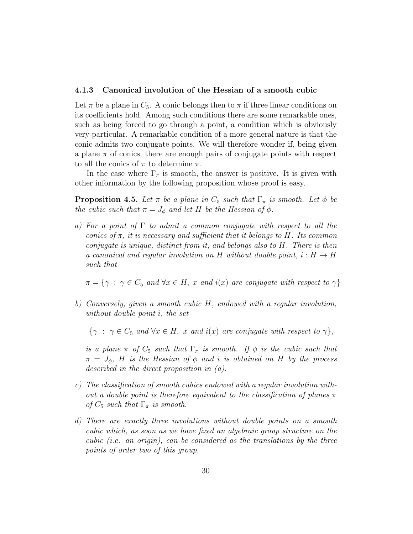#### <span id="page-29-0"></span>4.1.3 Canonical involution of the Hessian of a smooth cubic

Let  $\pi$  be a plane in  $C_5$ . A conic belongs then to  $\pi$  if three linear conditions on its coefficients hold. Among such conditions there are some remarkable ones, such as being forced to go through a point, a condition which is obviously very particular. A remarkable condition of a more general nature is that the conic admits two conjugate points. We will therefore wonder if, being given a plane  $\pi$  of conics, there are enough pairs of conjugate points with respect to all the conics of  $\pi$  to determine  $\pi$ .

In the case where  $\Gamma_{\pi}$  is smooth, the answer is positive. It is given with other information by the following proposition whose proof is easy.

**Proposition 4.5.** Let  $\pi$  be a plane in  $C_5$  such that  $\Gamma_{\pi}$  is smooth. Let  $\phi$  be the cubic such that  $\pi = J_{\phi}$  and let H be the Hessian of  $\phi$ .

a) For a point of  $\Gamma$  to admit a common conjugate with respect to all the conics of  $\pi$ , it is necessary and sufficient that it belongs to H. Its common conjugate is unique, distinct from it, and belongs also to H. There is then a canonical and regular involution on H without double point,  $i : H \to H$ such that

 $\pi = \{ \gamma : \gamma \in C_5 \text{ and } \forall x \in H, x \text{ and } i(x) \text{ are conjugate with respect to } \gamma \}$ 

b) Conversely, given a smooth cubic H, endowed with a regular involution, without double point i, the set

 ${\gamma : \gamma \in C_5 \text{ and } \forall x \in H, x \text{ and } i(x) \text{ are conjugate with respect to } \gamma},$ 

is a plane  $\pi$  of  $C_5$  such that  $\Gamma_{\pi}$  is smooth. If  $\phi$  is the cubic such that  $\pi = J_{\phi}$ , H is the Hessian of  $\phi$  and i is obtained on H by the process described in the direct proposition in (a).

- c) The classification of smooth cubics endowed with a regular involution without a double point is therefore equivalent to the classification of planes  $\pi$ of  $C_5$  such that  $\Gamma_{\pi}$  is smooth.
- d) There are exactly three involutions without double points on a smooth cubic which, as soon as we have fixed an algebraic group structure on the cubic (i.e. an origin), can be considered as the translations by the three points of order two of this group.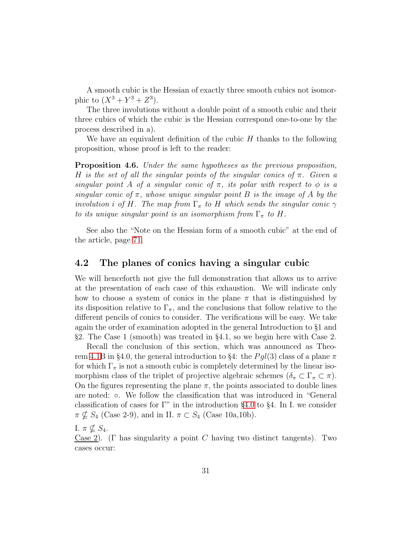A smooth cubic is the Hessian of exactly three smooth cubics not isomorphic to  $(X^3 + Y^3 + Z^3)$ .

The three involutions without a double point of a smooth cubic and their three cubics of which the cubic is the Hessian correspond one-to-one by the process described in a).

We have an equivalent definition of the cubic  $H$  thanks to the following proposition, whose proof is left to the reader:

Proposition 4.6. Under the same hypotheses as the previous proposition, H is the set of all the singular points of the singular conics of  $\pi$ . Given a singular point A of a singular conic of  $\pi$ , its polar with respect to  $\phi$  is a singular conic of  $\pi$ , whose unique singular point B is the image of A by the involution i of H. The map from  $\Gamma_{\pi}$  to H which sends the singular conic  $\gamma$ to its unique singular point is an isomorphism from  $\Gamma_{\pi}$  to H.

See also the "Note on the Hessian form of a smooth cubic" at the end of the article, page [71.](#page-70-1)

### <span id="page-30-0"></span>4.2 The planes of conics having a singular cubic

We will henceforth not give the full demonstration that allows us to arrive at the presentation of each case of this exhaustion. We will indicate only how to choose a system of conics in the plane  $\pi$  that is distinguished by its disposition relative to  $\Gamma_{\pi}$ , and the conclusions that follow relative to the different pencils of conics to consider. The verifications will be easy. We take again the order of examination adopted in the general Introduction to §1 and §2. The Case 1 (smooth) was treated in §4.1, so we begin here with Case 2.

Recall the conclusion of this section, which was announced as Theo-rem [4.1B](#page-22-2) in §4.0, the general introduction to §4: the  $Pgl(3)$  class of a plane  $\pi$ for which  $\Gamma_{\pi}$  is not a smooth cubic is completely determined by the linear isomorphism class of the triplet of projective algebraic schemes  $(\delta_{\pi} \subset \Gamma_{\pi} \subset \pi)$ . On the figures representing the plane  $\pi$ , the points associated to double lines are noted: ◦. We follow the classification that was introduced in "General classification of cases for Γ" in the introduction §[4.0](#page-22-1) to §4. In I. we consider  $\pi \nsubseteq S_4$  (Case 2-9), and in II.  $\pi \subset S_4$  (Case 10a,10b).

I.  $\pi \nsubseteq S_4$ .

Case 2). (Γ has singularity a point C having two distinct tangents). Two cases occur: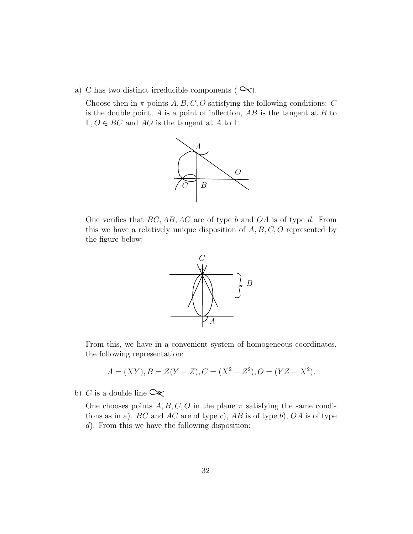a) C has two distinct irreducible components ( $\infty$ ).

Choose then in  $\pi$  points A, B, C, O satisfying the following conditions: C is the double point,  $A$  is a point of inflection,  $AB$  is the tangent at  $B$  to  $\Gamma, O \in BC$  and AO is the tangent at A to  $\Gamma$ .



One verifies that  $BC, AB, AC$  are of type b and  $OA$  is of type d. From this we have a relatively unique disposition of  $A, B, C, O$  represented by the figure below:



From this, we have in a convenient system of homogeneous coordinates, the following representation:

$$
A = (XY), B = Z(Y - Z), C = (X2 – Z2), O = (YZ – X2).
$$

b) C is a double line  $\infty$ 

One chooses points  $A, B, C, O$  in the plane  $\pi$  satisfying the same conditions as in a). BC and AC are of type c), AB is of type b),  $OA$  is of type d). From this we have the following disposition: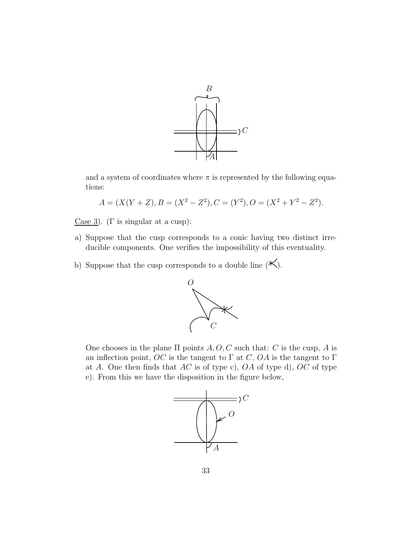

and a system of coordinates where  $\pi$  is represented by the following equations:

$$
A = (X(Y + Z), B = (X2 – Z2), C = (Y2), O = (X2 + Y2 – Z2).
$$

- Case 3). (Γ is singular at a cusp):
- a) Suppose that the cusp corresponds to a conic having two distinct irreducible components. One verifies the impossibility of this eventuality.
- b) Suppose that the cusp corresponds to a double line  $(\mathbb{K}).$



One chooses in the plane  $\Pi$  points  $A, O, C$  such that: C is the cusp, A is an inflection point, OC is the tangent to  $\Gamma$  at C, OA is the tangent to  $\Gamma$ at A. One then finds that  $AC$  is of type c),  $OA$  of type d),  $OC$  of type e). From this we have the disposition in the figure below,

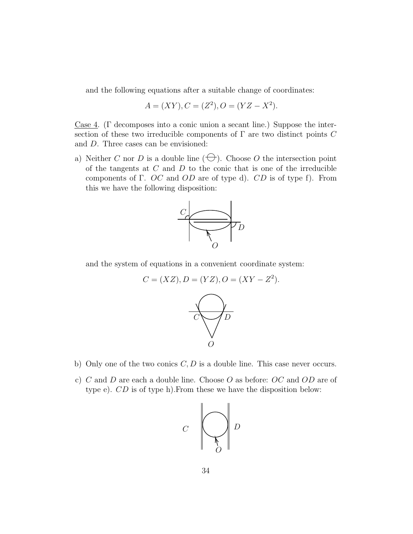and the following equations after a suitable change of coordinates:

$$
A = (XY), C = (Z2), O = (YZ - X2).
$$

Case 4. (Γ decomposes into a conic union a secant line.) Suppose the intersection of these two irreducible components of  $\Gamma$  are two distinct points C and D. Three cases can be envisioned:

a) Neither C nor D is a double line  $(\bigoplus)$ . Choose O the intersection point of the tangents at  $C$  and  $D$  to the conic that is one of the irreducible components of Γ. OC and OD are of type d). CD is of type f). From this we have the following disposition:



and the system of equations in a convenient coordinate system:

$$
C = (XZ), D = (YZ), O = (XY - Z2).
$$

- b) Only one of the two conics  $C, D$  is a double line. This case never occurs.
- c) C and D are each a double line. Choose O as before:  $OC$  and  $OD$  are of type e). CD is of type h).From these we have the disposition below:

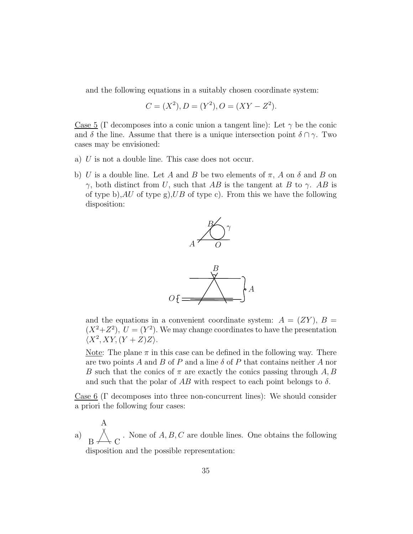and the following equations in a suitably chosen coordinate system:

$$
C = (X2), D = (Y2), O = (XY – Z2).
$$

Case 5 (Γ decomposes into a conic union a tangent line): Let  $\gamma$  be the conic and  $\delta$  the line. Assume that there is a unique intersection point  $\delta \cap \gamma$ . Two cases may be envisioned:

- a) U is not a double line. This case does not occur.
- b) U is a double line. Let A and B be two elements of  $\pi$ , A on  $\delta$  and B on γ, both distinct from U, such that AB is the tangent at B to γ. AB is of type b), AU of type g), UB of type c). From this we have the following disposition:



and the equations in a convenient coordinate system:  $A = (ZY)$ ,  $B =$  $(X^2+Z^2)$ ,  $U=(Y^2)$ . We may change coordinates to have the presentation  $\langle X^2, XY, (Y + Z)Z \rangle$ .

Note: The plane  $\pi$  in this case can be defined in the following way. There are two points A and B of P and a line  $\delta$  of P that contains neither A nor B such that the conics of  $\pi$  are exactly the conics passing through A, B and such that the polar of  $AB$  with respect to each point belongs to  $\delta$ .

Case 6 (Γ decomposes into three non-concurrent lines): We should consider a priori the following four cases:

a)  $\mathcal{C}$ A B . None of  $A, B, C$  are double lines. One obtains the following disposition and the possible representation: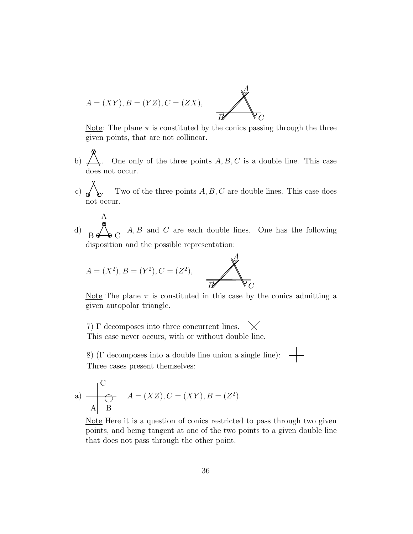

Note: The plane  $\pi$  is constituted by the conics passing through the three given points, that are not collinear.

- b)  $\overrightarrow{A}$ . One only of the three points  $A, B, C$  is a double line. This case does not occur.
- c)  $\bigotimes$ . Two of the three points A, B, C are double lines. This case does not occur.
- d)  $B \nleftrightarrow C$  $A, B$  and  $C$  are each double lines. One has the following disposition and the possible representation:

A

$$
A = (X^2), B = (Y^2), C = (Z^2),
$$

A

Note The plane  $\pi$  is constituted in this case by the conics admitting a given autopolar triangle.

7) Γ decomposes into three concurrent lines. This case never occurs, with or without double line.

8) ( $\Gamma$  decomposes into a double line union a single line):  $\Rightarrow$ Three cases present themselves:

a) 
$$
\frac{\begin{pmatrix} C \\ \overline{C} \end{pmatrix}}{A \begin{pmatrix} B \end{pmatrix}} A = (XZ), C = (XY), B = (Z^2).
$$

Note Here it is a question of conics restricted to pass through two given points, and being tangent at one of the two points to a given double line that does not pass through the other point.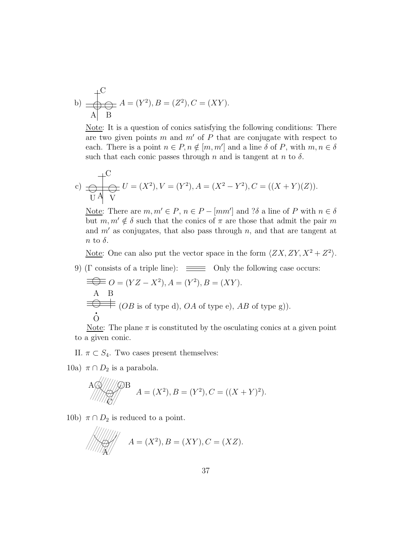b) 
$$
\frac{\ }{A} \xrightarrow{C} A = (Y^2), B = (Z^2), C = (XY).
$$

Note: It is a question of conics satisfying the following conditions: There are two given points  $m$  and  $m'$  of  $P$  that are conjugate with respect to each. There is a point  $n \in P, n \notin [m, m']$  and a line  $\delta$  of P, with  $m, n \in \delta$ such that each conic passes through n and is tangent at n to  $\delta$ .

c) 
$$
\bigoplus_{U} \bigoplus_{V} U = (X^2), V = (Y^2), A = (X^2 - Y^2), C = ((X + Y)(Z)).
$$

Note: There are  $m, m' \in P$ ,  $n \in P - [mm']$  and  $\partial \delta$  a line of P with  $n \in \delta$ but  $m, m' \notin \delta$  such that the conics of  $\pi$  are those that admit the pair m and  $m'$  as conjugates, that also pass through n, and that are tangent at  $n$  to  $\delta$ .

<u>Note</u>: One can also put the vector space in the form  $\langle ZX, ZY, X^2 + Z^2 \rangle$ .

9) (Γ consists of a triple line):  $\equiv$  Only the following case occurs:

$$
\overline{\Longleftrightarrow} O = (YZ - X^2), A = (Y^2), B = (XY).
$$
  
A B  

$$
\overline{\Longleftrightarrow} = (OB \text{ is of type d}), OA \text{ of type e}), AB \text{ of type g}).
$$
  
O

Note: The plane  $\pi$  is constituted by the osculating conics at a given point to a given conic.

- II.  $\pi \subset S_4$ . Two cases present themselves:
- 10a)  $\pi \cap D_2$  is a parabola.

$$
\overbrace{A\otimes}^{A\otimes}/\overbrace{A}^{AB} = (X^2), B = (Y^2), C = ((X+Y)^2).
$$

10b)  $\pi \cap D_2$  is reduced to a point.

$$
A=(X^2), B=(XY), C=(XZ).
$$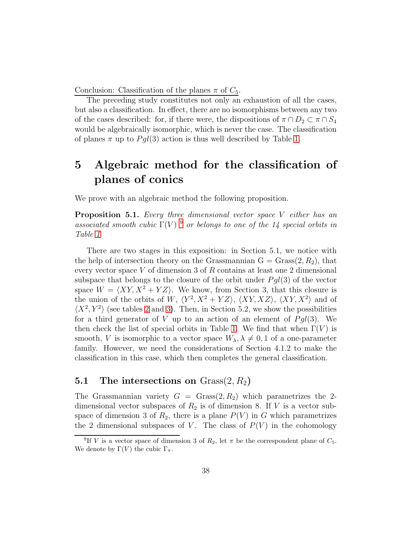Conclusion: Classification of the planes  $\pi$  of  $C_5$ .

The preceding study constitutes not only an exhaustion of all the cases, but also a classification. In effect, there are no isomorphisms between any two of the cases described: for, if there were, the dispositions of  $\pi \cap D_2 \subset \pi \cap S_4$ would be algebraically isomorphic, which is never the case. The classification of planes  $\pi$  up to  $Pgl(3)$  action is thus well described by Table [1.](#page-9-0)

# 5 Algebraic method for the classification of planes of conics

We prove with an algebraic method the following proposition.

**Proposition 5.1.** Every three dimensional vector space  $V$  either has an associated smooth cubic  $\Gamma(V)$ <sup>[9](#page-37-0)</sup> or belongs to one of the 14 special orbits in Table [1](#page-9-0)

There are two stages in this exposition: in Section 5.1, we notice with the help of intersection theory on the Grassmannian  $G =$  Grass $(2, R_2)$ , that every vector space V of dimension 3 of R contains at least one 2 dimensional subspace that belongs to the closure of the orbit under  $Pgl(3)$  of the vector space  $W = \langle XY, X^2 + YZ \rangle$ . We know, from Section 3, that this closure is the union of the orbits of W,  $\langle Y^2, X^2 + YZ \rangle$ ,  $\langle XY, XZ \rangle$ ,  $\langle XY, X^2 \rangle$  and of  $\langle X^2, Y^2 \rangle$  (see tables [2](#page-15-0) and [3\)](#page-19-0). Then, in Section 5.2, we show the possibilities for a third generator of V up to an action of an element of  $Pgl(3)$ . We then check the list of special orbits in Table [1.](#page-9-0) We find that when  $\Gamma(V)$  is smooth, V is isomorphic to a vector space  $W_{\lambda}, \lambda \neq 0, 1$  of a one-parameter family. However, we need the considerations of Section 4.1.2 to make the classification in this case, which then completes the general classification.

#### 5.1 The intersections on  $Grass(2, R_2)$

The Grassmannian variety  $G =$  Grass $(2, R_2)$  which parametrizes the 2dimensional vector subspaces of  $R_2$  is of dimension 8. If V is a vector subspace of dimension 3 of  $R_2$ , there is a plane  $P(V)$  in G which parametrizes the 2 dimensional subspaces of V. The class of  $P(V)$  in the cohomology

<span id="page-37-0"></span><sup>&</sup>lt;sup>9</sup>If V is a vector space of dimension 3 of  $R_2$ , let  $\pi$  be the correspondent plane of  $C_5$ . We denote by  $\Gamma(V)$  the cubic  $\Gamma_{\pi}$ .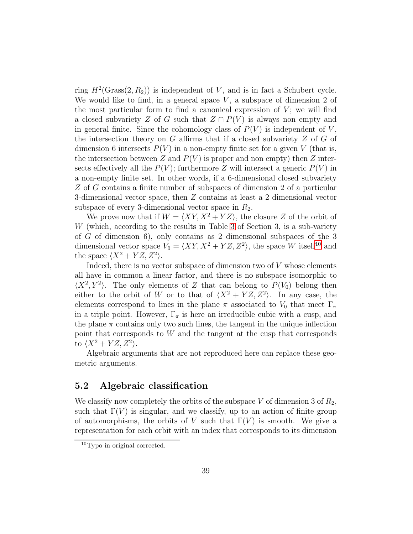ring  $H^2(\text{Grass}(2, R_2))$  is independent of V, and is in fact a Schubert cycle. We would like to find, in a general space  $V$ , a subspace of dimension 2 of the most particular form to find a canonical expression of  $V$ ; we will find a closed subvariety Z of G such that  $Z \cap P(V)$  is always non empty and in general finite. Since the cohomology class of  $P(V)$  is independent of V, the intersection theory on  $G$  affirms that if a closed subvariety  $Z$  of  $G$  of dimension 6 intersects  $P(V)$  in a non-empty finite set for a given V (that is, the intersection between Z and  $P(V)$  is proper and non empty) then Z intersects effectively all the  $P(V)$ ; furthermore Z will intersect a generic  $P(V)$  in a non-empty finite set. In other words, if a 6-dimensional closed subvariety Z of G contains a finite number of subspaces of dimension 2 of a particular 3-dimensional vector space, then Z contains at least a 2 dimensional vector subspace of every 3-dimensional vector space in  $R_2$ .

We prove now that if  $W = \langle XY, X^2 + YZ \rangle$ , the closure Z of the orbit of W (which, according to the results in Table [3](#page-19-0) of Section 3, is a sub-variety of G of dimension 6), only contains as 2 dimensional subspaces of the 3 dimensional vector space  $V_0 = \langle XY, X^2 + YZ, Z^2 \rangle$ , the space W itself<sup>[10](#page-38-0)</sup> and the space  $\langle X^2 + YZ, Z^2 \rangle$ .

Indeed, there is no vector subspace of dimension two of  $V$  whose elements all have in common a linear factor, and there is no subspace isomorphic to  $\langle X^2, Y^2 \rangle$ . The only elements of Z that can belong to  $P(V_0)$  belong then either to the orbit of W or to that of  $\langle X^2 + YZ, Z^2 \rangle$ . In any case, the elements correspond to lines in the plane  $\pi$  associated to  $V_0$  that meet  $\Gamma_{\pi}$ in a triple point. However,  $\Gamma_{\pi}$  is here an irreducible cubic with a cusp, and the plane  $\pi$  contains only two such lines, the tangent in the unique inflection point that corresponds to W and the tangent at the cusp that corresponds to  $\langle X^2+YZ, Z^2\rangle$ .

Algebraic arguments that are not reproduced here can replace these geometric arguments.

#### 5.2 Algebraic classification

We classify now completely the orbits of the subspace V of dimension 3 of  $R_2$ , such that  $\Gamma(V)$  is singular, and we classify, up to an action of finite group of automorphisms, the orbits of V such that  $\Gamma(V)$  is smooth. We give a representation for each orbit with an index that corresponds to its dimension

<span id="page-38-0"></span><sup>10</sup>Typo in original corrected.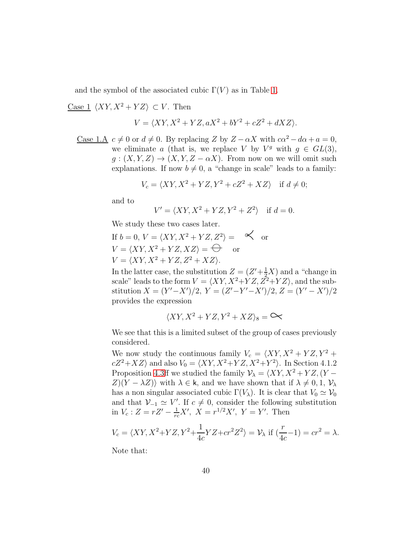and the symbol of the associated cubic  $\Gamma(V)$  as in Table [1.](#page-9-0)

<u>Case 1</u>  $\langle XY, X^2 + YZ \rangle \subset V$ . Then

$$
V = \langle XY, X^2 + YZ, aX^2 + bY^2 + cZ^2 + dXZ \rangle.
$$

<u>Case 1.A</u>  $c \neq 0$  or  $d \neq 0$ . By replacing Z by  $Z - \alpha X$  with  $c\alpha^2 - d\alpha + a = 0$ , we eliminate a (that is, we replace V by  $V^g$  with  $g \in GL(3)$ ,  $g: (X, Y, Z) \to (X, Y, Z - \alpha X)$ . From now on we will omit such explanations. If now  $b \neq 0$ , a "change in scale" leads to a family:

$$
V_c = \langle XY, X^2 + YZ, Y^2 + cZ^2 + XZ \rangle \quad \text{if } d \neq 0;
$$

and to

$$
V' = \langle XY, X^2 + YZ, Y^2 + Z^2 \rangle \quad \text{if } d = 0.
$$

We study these two cases later.

If 
$$
b = 0
$$
,  $V = \langle XY, X^2 + YZ, Z^2 \rangle = \mathfrak{S}$  or  
\n $V = \langle XY, X^2 + YZ, XZ \rangle = \mathfrak{\Theta}$  or  
\n $V = \langle XY, X^2 + YZ, Z^2 + XZ \rangle$ .

In the latter case, the substitution  $Z = (Z' + \frac{1}{2}X)$  and a "change in scale" leads to the form  $V = \langle XY, X^2+YZ, Z^2+YZ \rangle$ , and the substitution  $X = (Y' - X')/2$ ,  $Y = (Z' - Y' - X')/2$ ,  $Z = (Y' - X')/2$ provides the expression

$$
\langle XY, X^2 + YZ, Y^2 + XZ \rangle_8 = \infty
$$

We see that this is a limited subset of the group of cases previously considered.

We now study the continuous family  $V_c = \langle XY, X^2 + YZ, Y^2 + \rangle$  $cZ^2+XZ$  and also  $V_0 = \langle XY, X^2+YZ, X^2+Y^2 \rangle$ . In Section 4.1.2 Proposition [4.3ff](#page-26-0) we studied the family  $\mathcal{V}_{\lambda} = \langle XY, X^2 + YZ, (Y Z(Y - \lambda Z)$  with  $\lambda \in \mathsf{k}$ , and we have shown that if  $\lambda \neq 0, 1, \mathcal{V}_{\lambda}$ has a non singular associated cubic  $\Gamma(V_\lambda)$ . It is clear that  $V_0 \simeq V_0$ and that  $V_{-1} \simeq V'$ . If  $c \neq 0$ , consider the following substitution in  $V_c: Z = rZ' - \frac{1}{rc}X'$ ,  $X = r^{1/2}X'$ ,  $Y = Y'$ . Then

$$
V_c = \langle XY, X^2 + YZ, Y^2 + \frac{1}{4c} YZ + cr^2 Z^2 \rangle = \mathcal{V}_\lambda \text{ if } (\frac{r}{4c} - 1) = cr^2 = \lambda.
$$

Note that: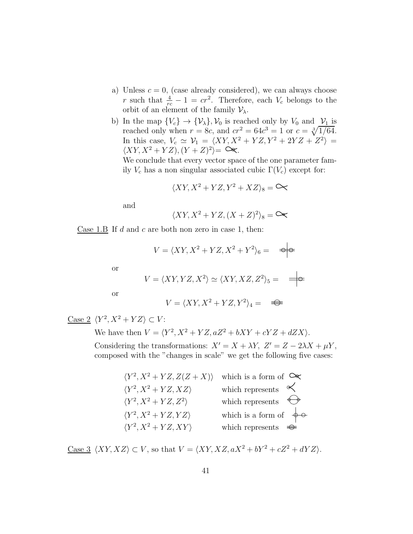- a) Unless  $c = 0$ , (case already considered), we can always choose r such that  $\frac{4}{rc} - 1 = cr^2$ . Therefore, each  $V_c$  belongs to the orbit of an element of the family  $\mathcal{V}_{\lambda}$ .
- b) In the map  $\{V_c\} \to \{\mathcal{V}_\lambda\}, \mathcal{V}_0$  is reached only by  $V_0$  and  $\mathcal{V}_1$  is reached only when  $r = 8c$ , and  $cr^2 = 64c^3 = 1$  or  $c = \sqrt[3]{1/64}$ . In this case,  $V_c \simeq \mathcal{V}_1 = \langle XY, X^2 + YZ, Y^2 + 2YZ + Z^2 \rangle =$  $\langle XY, X^2+YZ \rangle, (Y+Z)^2 \rangle = \infty.$

We conclude that every vector space of the one parameter family  $V_c$  has a non singular associated cubic  $\Gamma(V_c)$  except for:

$$
\langle XY, X^2 + YZ, Y^2 + XZ \rangle_8 = \infty
$$

and

$$
\langle XY, X^2+YZ, (X+Z)^2 \rangle_8 = \mathfrak{S}_8
$$

Case 1.B If d and c are both non zero in case 1, then:

$$
V = \langle XY, X^2 + YZ, X^2 + Y^2 \rangle_6 = \quad \Rightarrow
$$

or

$$
V = \langle XY, YZ, X^2 \rangle \simeq \langle XY, XZ, Z^2 \rangle_5 = \implies
$$

or

$$
V = \langle XY, X^2 + YZ, Y^2 \rangle_4 = \implies
$$

Case 2  $\langle Y^2, X^2 + YZ \rangle \subset V$ :

We have then  $V = \langle Y^2, X^2 + YZ, aZ^2 + bXY + cYZ + dZX \rangle$ .

Considering the transformations:  $X' = X + \lambda Y$ ,  $Z' = Z - 2\lambda X + \mu Y$ , composed with the "changes in scale" we get the following five cases:

| $\langle Y^2, X^2 + YZ, Z(Z+X) \rangle$ which is a form of $\infty$ |                                    |
|---------------------------------------------------------------------|------------------------------------|
| $\langle Y^2, X^2+YZ, XZ \rangle$                                   | which represents $\leq$            |
| $\langle Y^2, X^2+YZ, Z^2 \rangle$                                  | which represents $\leftrightarrow$ |
| $\langle Y^2, X^2+YZ, YZ \rangle$                                   | which is a form of $\phi$ $\in$    |
| $\langle Y^2, X^2+YZ, XY \rangle$                                   | which represents $\Rightarrow$     |

Case 3  $\langle XY, XZ \rangle \subset V$ , so that  $V = \langle XY, XZ, aX^2 + bY^2 + cZ^2 + dYZ \rangle$ .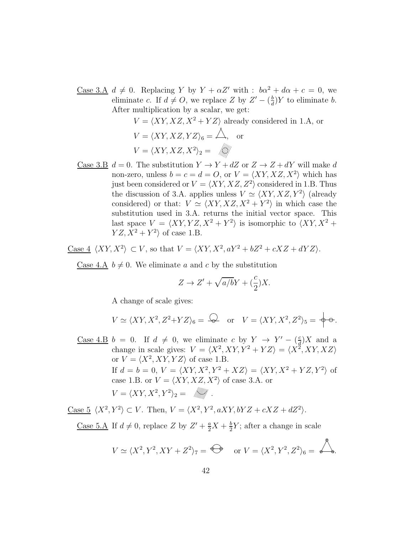Case 3.A  $d \neq 0$ . Replacing Y by  $Y + \alpha Z'$  with :  $b\alpha^2 + d\alpha + c = 0$ , we eliminate c. If  $d \neq O$ , we replace Z by  $Z' - \left(\frac{b}{d}\right)$  $\frac{b}{d}$ )Y to eliminate b. After multiplication by a scalar, we get:

$$
V = \langle XY, XZ, X^2 + YZ \rangle \text{ already considered in 1.A, or}
$$

$$
V = \langle XY, XZ, YZ \rangle_6 = \triangle, \text{ or}
$$

$$
V = \langle XY, XZ, X^2 \rangle_2 = \text{mod}
$$

Case 3.B  $d = 0$ . The substitution  $Y \to Y + dZ$  or  $Z \to Z + dY$  will make d non-zero, unless  $b = c = d = 0$ , or  $V = \langle XY, XZ, X^2 \rangle$  which has just been considered or  $V = \langle XY, XZ, Z^2 \rangle$  considered in 1.B. Thus the discussion of 3.A. applies unless  $V \simeq \langle XY, XZ, Y^2 \rangle$  (already considered) or that:  $V \simeq \langle XY, XZ, X^2 + Y^2 \rangle$  in which case the substitution used in 3.A. returns the initial vector space. This last space  $V = \langle XY, YZ, X^2 + Y^2 \rangle$  is isomorphic to  $\langle XY, X^2 + Z^2 \rangle$  $YZ, X^2 + Y^2$  of case 1.B.

<u>Case 4</u>  $\langle XY, X^2 \rangle \subset V$ , so that  $V = \langle XY, X^2, aY^2 + bZ^2 + cXZ + dYZ \rangle$ .

Case 4.A  $b \neq 0$ . We eliminate a and c by the substitution

$$
Z \to Z' + \sqrt{a/b}Y + \left(\frac{c}{2}\right)X.
$$

A change of scale gives:

$$
V \simeq \langle XY, X^2, Z^2+YZ \rangle_6 = \bigodot
$$
 or  $V = \langle XY, X^2, Z^2 \rangle_5 = \oint \phi.$ 

<u>Case 4.B</u>  $b = 0$ . If  $d \neq 0$ , we eliminate c by  $Y \rightarrow Y' - \left(\frac{c}{d}\right)$  $\frac{c}{d}$ )X and a change in scale gives:  $V = \langle X^2, XY, Y^2 + YZ \rangle = \langle X^2, XY, XZ \rangle$ or  $V = \langle X^2, XY, YZ \rangle$  of case 1.B. If  $d = b = 0, V = \langle XY, X^2, Y^2 + XZ \rangle = \langle XY, X^2 + YZ, Y^2 \rangle$  of case 1.B. or  $V = \langle XY, XZ, X^2 \rangle$  of case 3.A. or  $V = \langle XY, X^2, Y^2 \rangle_2 =$ 

Case  $5 \langle X^2, Y^2 \rangle \subset V$ . Then,  $V = \langle X^2, Y^2, aXY, bYZ + cXZ + dZ^2 \rangle$ .

<u>Case 5.A</u> If  $d \neq 0$ , replace Z by  $Z' + \frac{a}{2}X + \frac{b}{2}$  $\frac{b}{2}Y$ ; after a change in scale

$$
V \simeq \langle X^2, Y^2, XY + Z^2 \rangle_7 = \bigoplus \quad \text{or } V = \langle X^2, Y^2, Z^2 \rangle_6 = \bigotimes.
$$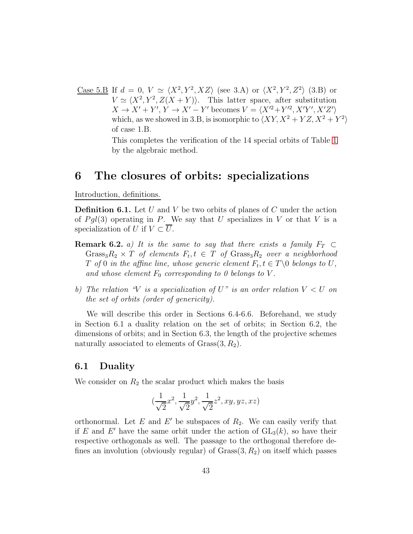<u>Case 5.B</u> If  $d = 0, V \simeq \langle X^2, Y^2, XZ \rangle$  (see 3.A) or  $\langle X^2, Y^2, Z^2 \rangle$  (3.B) or  $V \simeq \langle X^2, Y^2, Z(X+Y) \rangle$ . This latter space, after substitution  $X \to X' + Y', Y \to X' - Y'$  becomes  $V = \langle X'^2 + Y'^2, X'Y', X'Z' \rangle$ which, as we showed in 3.B, is isomorphic to  $\langle XY, X^2 + YZ, X^2 + Y^2 \rangle$ of case 1.B.

> This completes the verification of the 14 special orbits of Table [1](#page-9-0) by the algebraic method.

## 6 The closures of orbits: specializations

Introduction, definitions.

**Definition 6.1.** Let U and V be two orbits of planes of C under the action of  $Pgl(3)$  operating in P. We say that U specializes in V or that V is a specialization of U if  $V \subset \overline{U}$ .

- **Remark 6.2.** a) It is the same to say that there exists a family  $F_T \subset$  $Gras<sub>3</sub>R<sub>2</sub> × T$  of elements  $F<sub>t</sub>, t ∈ T$  of  $Grass<sub>3</sub>R<sub>2</sub> over a neighborhood$ T of 0 in the affine line, whose generic element  $F_t, t \in T \backslash 0$  belongs to U, and whose element  $F_0$  corresponding to 0 belongs to V.
- b) The relation "V is a specialization of U" is an order relation  $V < U$  on the set of orbits (order of genericity).

We will describe this order in Sections 6.4-6.6. Beforehand, we study in Section 6.1 a duality relation on the set of orbits; in Section 6.2, the dimensions of orbits; and in Section 6.3, the length of the projective schemes naturally associated to elements of  $Grass(3, R_2)$ .

#### 6.1 Duality

We consider on  $R_2$  the scalar product which makes the basis

$$
(\frac{1}{\sqrt{2}}x^2, \frac{1}{\sqrt{2}}y^2, \frac{1}{\sqrt{2}}z^2, xy, yz, xz)
$$

orthonormal. Let  $E$  and  $E'$  be subspaces of  $R_2$ . We can easily verify that if E and E' have the same orbit under the action of  $GL_3(k)$ , so have their respective orthogonals as well. The passage to the orthogonal therefore defines an involution (obviously regular) of  $Grass(3, R_2)$  on itself which passes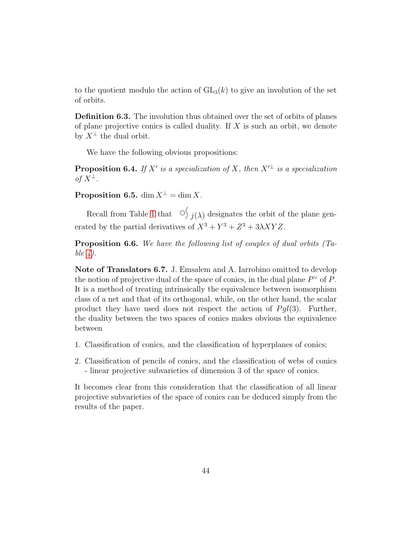to the quotient modulo the action of  $GL_3(k)$  to give an involution of the set of orbits.

Definition 6.3. The involution thus obtained over the set of orbits of planes of plane projective conics is called duality. If  $X$  is such an orbit, we denote by  $X^{\perp}$  the dual orbit.

We have the following obvious propositions:

**Proposition 6.4.** If X' is a specialization of X, then  $X'^{\perp}$  is a specialization of  $X^{\perp}$ .

**Proposition 6.5.** dim  $X^{\perp} = \dim X$ .

Recall from Table [1](#page-9-0) that  $\int_{\gamma}$  j( $\lambda$ ) designates the orbit of the plane generated by the partial derivatives of  $X^3 + Y^3 + Z^3 + 3\lambda XYZ$ .

Proposition 6.6. We have the following list of couples of dual orbits (Table  $\lambda$ ).

Note of Translators 6.7. J. Emsalem and A. Iarrobino omitted to develop the notion of projective dual of the space of conics, in the dual plane  $P^{\vee}$  of P. It is a method of treating intrinsically the equivalence between isomorphism class of a net and that of its orthogonal, while, on the other hand, the scalar product they have used does not respect the action of  $P \cdot gl(3)$ . Further, the duality between the two spaces of conics makes obvious the equivalence between

- 1. Classification of conics, and the classification of hyperplanes of conics;
- 2. Classification of pencils of conics, and the classification of webs of conics - linear projective subvarieties of dimension 3 of the space of conics.

It becomes clear from this consideration that the classification of all linear projective subvarieties of the space of conics can be deduced simply from the results of the paper.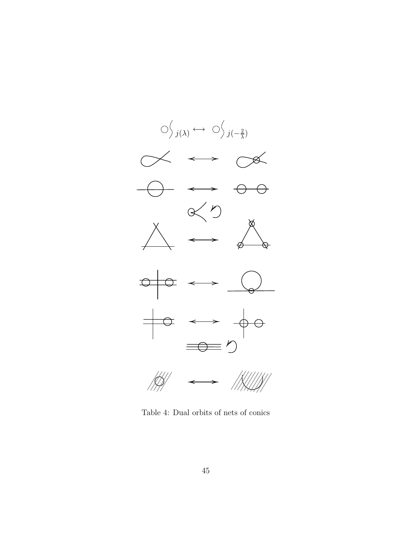<span id="page-44-0"></span>

Table 4: Dual orbits of nets of conics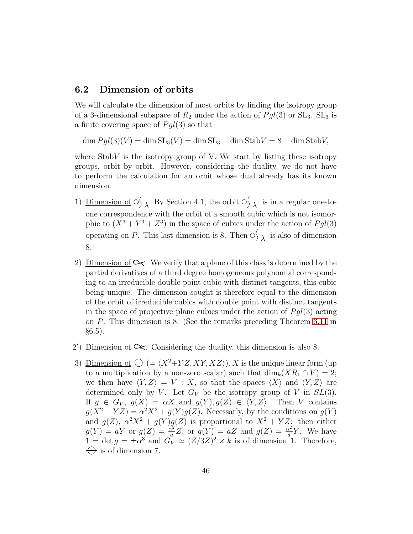#### 6.2 Dimension of orbits

We will calculate the dimension of most orbits by finding the isotropy group of a 3-dimensional subspace of  $R_2$  under the action of  $Pgl(3)$  or  $SL_3$ .  $SL_3$  is a finite covering space of  $Pgl(3)$  so that

 $\dim P \cdot d(3)(V) = \dim SL_3(V) = \dim SL_3 - \dim StabV = 8 - \dim StabV,$ 

where  $StabV$  is the isotropy group of V. We start by listing these isotropy groups, orbit by orbit. However, considering the duality, we do not have to perform the calculation for an orbit whose dual already has its known dimension.

- 1) Dimension of  $\circlearrowright_{\lambda}$  By Section 4.1, the orbit  $\circlearrowright_{\lambda}$  is in a regular one-toone correspondence with the orbit of a smooth cubic which is not isomorphic to  $(X^3 + Y^3 + Z^3)$  in the space of cubics under the action of  $Pgl(3)$ operating on P. This last dimension is 8. Then  $\circlearrowright_{\lambda}$  is also of dimension 8.
- 2) Dimension of  $\sim$ . We verify that a plane of this class is determined by the partial derivatives of a third degree homogeneous polynomial corresponding to an irreducible double point cubic with distinct tangents, this cubic being unique. The dimension sought is therefore equal to the dimension of the orbit of irreducible cubics with double point with distinct tangents in the space of projective plane cubics under the action of  $P \cdot q l(3)$  acting on P. This dimension is 8. (See the remarks preceding Theorem [6.11](#page-51-0) in  $\S 6.5$ ).
- 2') <u>Dimension of</u>  $\infty$ . Considering the duality, this dimension is also 8.
- 3) Dimension of  $\bigoplus$  (=  $\langle X^2+YZ, XY, XZ \rangle$ ). X is the unique linear form (up to a multiplication by a non-zero scalar) such that  $\dim_k(XR_1 \cap V) = 2$ ; we then have  $\langle Y, Z \rangle = V : X$ , so that the spaces  $\langle X \rangle$  and  $\langle Y, Z \rangle$  are determined only by V. Let  $G_V$  be the isotropy group of V in  $SL(3)$ . If  $g \in G_V$ ,  $g(X) = \alpha X$  and  $g(Y)$ ,  $g(Z) \in \langle Y, Z \rangle$ . Then V contains  $g(X^2+YZ) = \alpha^2 X^2 + g(Y)g(Z)$ . Necessarly, by the conditions on  $g(Y)$ and  $g(Z)$ ,  $\alpha^2 X^2 + g(Y)g(Z)$  is proportional to  $X^2 + YZ$ : then either  $g(Y) = aY$  or  $g(Z) = \frac{\alpha^2}{g}$  $\frac{\alpha^2}{a}Z$ , or  $g(Y) = aZ$  and  $g(Z) = \frac{\alpha^2}{a}$  $\frac{\alpha^2}{a}Y$ . We have  $1 = \det g = \pm \alpha^3$  and  $\tilde{G_V} \simeq (Z/3Z)^2 \times k$  is of dimension 1. Therefore,  $\leftrightarrow$  is of dimension 7.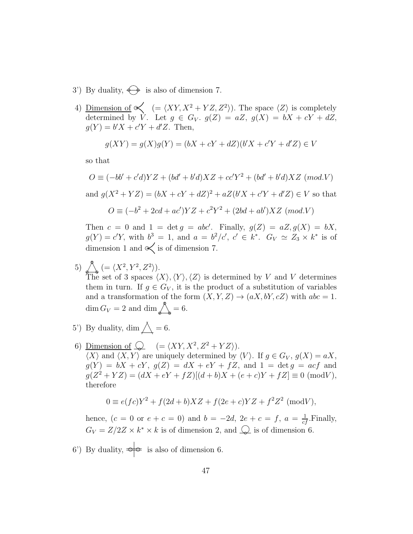- 3') By duality,  $\bigoplus$  is also of dimension 7.
- 4) Dimension of  $\ll$  (=  $\langle XY, X^2 + YZ, Z^2 \rangle$ ). The space  $\langle Z \rangle$  is completely determined by V. Let  $g \in G_V$ .  $g(Z) = aZ$ ,  $g(X) = bX + cY + dZ$ ,  $g(Y) = b'X + c'Y + d'Z$ . Then,

$$
g(XY) = g(X)g(Y) = (bX + cY + dZ)(b'X + c'Y + d'Z) \in V
$$

so that

$$
O \equiv (-bb' + c'd)YZ + (bd' + b'd)XZ + cc'Y^{2} + (bd' + b'd)XZ \pmod{V}
$$
  
and  $g(X^{2} + YZ) = (bX + cY + dZ)^{2} + aZ(b'X + c'Y + d'Z) \in V$  so that  

$$
O \equiv (-b^{2} + 2cd + ac')YZ + c^{2}Y^{2} + (2bd + ab')XZ \pmod{V}
$$

Then  $c = 0$  and  $1 = \det g = abc'$ . Finally,  $g(Z) = aZ, g(X) = bX$ ,  $g(Y) = c'Y$ , with  $b^3 = 1$ , and  $a = b^2/c'$ ,  $c' \in k^*$ .  $G_V \simeq Z_3 \times k^*$  is of dimension 1 and  $\ll$  is of dimension 7.

5)  $\bigotimes_{\Theta} (= \langle X^2, Y^2, Z^2 \rangle).$ 

The set of 3 spaces  $\langle X \rangle$ ,  $\langle Y \rangle$ ,  $\langle Z \rangle$  is determined by V and V determines them in turn. If  $g \in G_V$ , it is the product of a substitution of variables and a transformation of the form  $(X, Y, Z) \rightarrow (aX, bY, cZ)$  with  $abc = 1$ .  $\dim G_V = 2$  and  $\dim \bigwedge_{\mathfrak{m}}^{\mathfrak{R}} = 6.$ 

- 5') By duality, dim  $\triangle = 6$ .
- 6) Dimension of  $\bigcirc$   $(=\langle XY, X^2, Z^2+YZ \rangle).$  $\langle X \rangle$  and  $\langle X, Y \rangle$  are uniquely determined by  $\langle V \rangle$ . If  $g \in G_V$ ,  $g(X) = aX$ ,  $g(Y) = bX + cY$ ,  $g(Z) = dX + eY + fZ$ , and  $1 = \det g = acf$  and  $g(Z^2 + YZ) = (dX + eY + fZ)[(d+b)X + (e+c)Y + fZ] \equiv 0 \pmod{V},$ therefore

$$
0 \equiv e(fc)Y^2 + f(2d+b)XZ + f(2e+c)YZ + f^2Z^2 \pmod{V},
$$

hence,  $(c = 0 \text{ or } e + c = 0)$  and  $b = -2d$ ,  $2e + c = f$ ,  $a = \frac{1}{cf}$ . Finally,  $G_V = Z/2Z \times k^* \times k$  is of dimension 2, and  $\mathbb{Q}$  is of dimension 6.

6') By duality,  $\Rightarrow$  is also of dimension 6.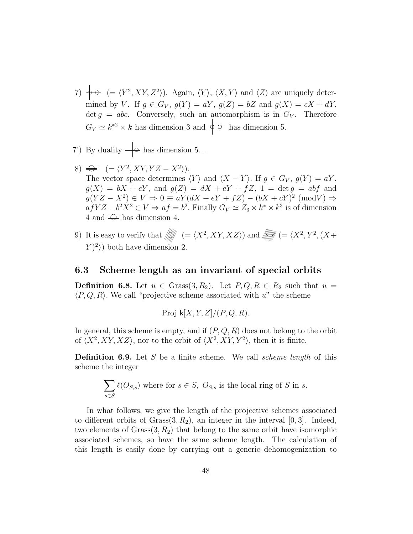- 7)  $\phi \circ (= \langle Y^2, XY, Z^2 \rangle)$ . Again,  $\langle Y \rangle$ ,  $\langle X, Y \rangle$  and  $\langle Z \rangle$  are uniquely determined by V. If  $g \in G_V$ ,  $g(Y) = aY$ ,  $g(Z) = bZ$  and  $g(X) = cX + dY$ , det  $g = abc$ . Conversely, such an automorphism is in  $G_V$ . Therefore  $G_V \simeq k^{*2} \times k$  has dimension 3 and  $\phi \circ \phi$  has dimension 5.
- 7') By duality  $\Rightarrow$  has dimension 5..
- $( = \langle Y^2, XY, YZ X^2 \rangle).$ The vector space determines  $\langle Y \rangle$  and  $\langle X - Y \rangle$ . If  $g \in G_V$ ,  $g(Y) = aY$ ,  $g(X) = bX + cY$ , and  $g(Z) = dX + eY + fZ$ ,  $1 = \det g = abf$  and  $g(YZ - X^2) \in V \Rightarrow 0 \equiv aY(dX + eY + fZ) - (bX + cY)^2 \pmod{V} \Rightarrow$  $afYZ - b^2X^2 \in V \Rightarrow af = b^2$ . Finally  $G_V \simeq Z_3 \times k^* \times k^3$  is of dimension 4 and  $\implies$  has dimension 4.
- 9) It is easy to verify that  $\langle\!\langle\!\langle \psi\rangle\!\rangle\!\rangle = \langle X^2, XY, XZ\rangle\!\rangle$  and  $\langle\!\langle\!\langle \psi|\!\rangle\!\rangle\!\rangle = \langle X^2, Y^2, (X +$  $\langle Y \rangle^2$ ) both have dimension 2.

#### 6.3 Scheme length as an invariant of special orbits

**Definition 6.8.** Let  $u \in \text{Grass}(3, R_2)$ . Let  $P, Q, R \in R_2$  such that  $u =$  $\langle P, Q, R \rangle$ . We call "projective scheme associated with u" the scheme

$$
Proj k[X, Y, Z]/(P, Q, R).
$$

In general, this scheme is empty, and if  $(P, Q, R)$  does not belong to the orbit of  $\langle X^2, XY, XZ \rangle$ , nor to the orbit of  $\langle X^2, XY, Y^2 \rangle$ , then it is finite.

**Definition 6.9.** Let S be a finite scheme. We call *scheme length* of this scheme the integer

$$
\sum_{s \in S} \ell(O_{S,s})
$$
 where for  $s \in S$ ,  $O_{S,s}$  is the local ring of S in s.

In what follows, we give the length of the projective schemes associated to different orbits of  $Grass(3, R_2)$ , an integer in the interval [0,3]. Indeed, two elements of  $Grass(3, R_2)$  that belong to the same orbit have isomorphic associated schemes, so have the same scheme length. The calculation of this length is easily done by carrying out a generic dehomogenization to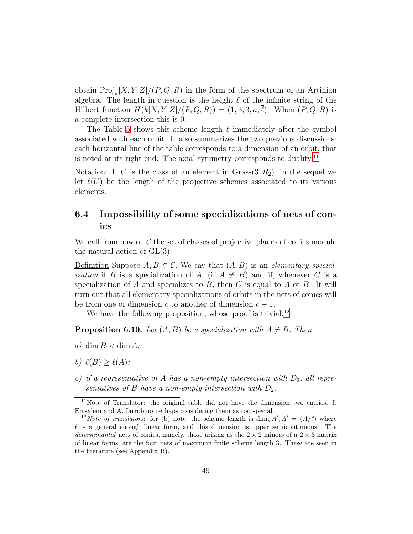obtain  $\text{Proj}_k[X, Y, Z]/(P, Q, R)$  in the form of the spectrum of an Artinian algebra. The length in question is the height  $\ell$  of the infinite string of the Hilbert function  $H(k[X, Y, Z]/(P, Q, R)) = (1, 3, 3, a, \overline{\ell})$ . When  $(P, Q, R)$  is a complete intersection this is 0.

The Table [5](#page-49-0) shows this scheme length  $\ell$  immediately after the symbol associated with each orbit. It also summarizes the two previous discussions: each horizontal line of the table corresponds to a dimension of an orbit, that is noted at its right end. The axial symmetry corresponds to duality.<sup>[11](#page-48-0)</sup>

Notation: If U is the class of an element in  $Grass(3, R_2)$ , in the sequel we let  $\ell(U)$  be the length of the projective schemes associated to its various elements.

### 6.4 Impossibility of some specializations of nets of conics

We call from now on  $\mathcal C$  the set of classes of projective planes of conics modulo the natural action of GL(3).

Definition Suppose  $A, B \in \mathcal{C}$ . We say that  $(A, B)$  is an elementary special*ization* if B is a specialization of A, (if  $A \neq B$ ) and if, whenever C is a specialization of A and specializes to B, then C is equal to A or B. It will turn out that all elementary specializations of orbits in the nets of conics will be from one of dimension c to another of dimension  $c - 1$ .

We have the following proposition, whose proof is trivial.<sup>[12](#page-48-1)</sup>

**Proposition 6.10.** Let  $(A, B)$  be a specialization with  $A \neq B$ . Then

- a) dim  $B < \dim A$ ;
- b)  $\ell(B) \geq \ell(A);$
- c) if a representative of  $A$  has a non-empty intersection with  $D_2$ , all representatives of B have a non-empty intersection with  $D_2$ .

<span id="page-48-0"></span><sup>11</sup>Note of Translator: the original table did not have the dimension two entries, J. Emsalem and A. Iarrobino perhaps considering them as too special.

<span id="page-48-1"></span><sup>&</sup>lt;sup>12</sup>Note of translators: for (b) note, the scheme length is  $\dim_k A', A' = (A/\ell)$  where  $\ell$  is a general enough linear form, and this dimension is upper semicontinuous. The determinantal nets of conics, namely, those arising as the  $2 \times 2$  minors of a  $2 \times 3$  matrix of linear forms, are the four nets of maximum finite scheme length 3. These are seen in the literature (see Appendix B).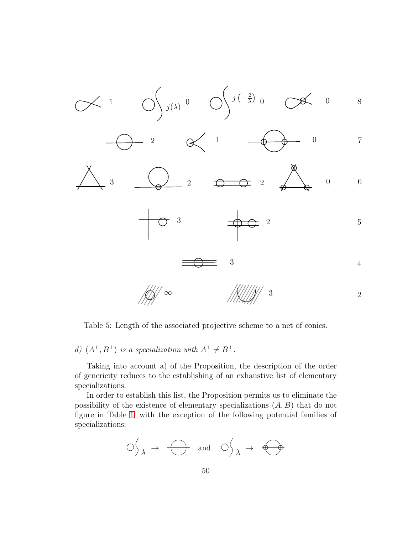<span id="page-49-0"></span>

Table 5: Length of the associated projective scheme to a net of conics.

# d)  $(A^{\perp}, B^{\perp})$  is a specialization with  $A^{\perp} \neq B^{\perp}$ .

Taking into account a) of the Proposition, the description of the order of genericity reduces to the establishing of an exhaustive list of elementary specializations.

In order to establish this list, the Proposition permits us to eliminate the possibility of the existence of elementary specializations  $(A, B)$  that do not figure in Table [1,](#page-9-0) with the exception of the following potential families of specializations:

$$
\circlearrowleft_{\lambda} \rightarrow \bigoplus \text{ and } \circlearrowleft_{\lambda} \rightarrow \bigoplus
$$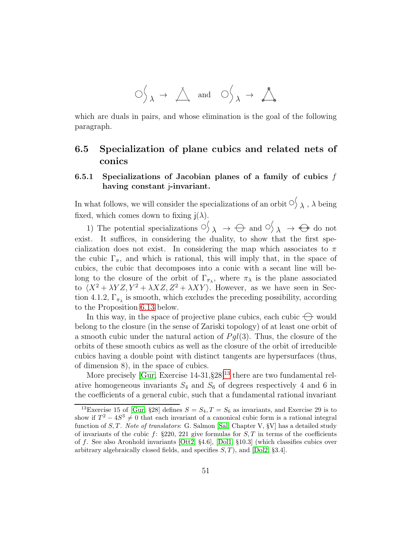$$
\bigcirc \bigcirc_{\lambda} \rightarrow \bigcirc_{\lambda} \quad \text{and} \quad \bigcirc \bigcirc_{\lambda} \rightarrow \bigcirc_{\bullet}
$$

which are duals in pairs, and whose elimination is the goal of the following paragraph.

### 6.5 Specialization of plane cubics and related nets of conics

#### 6.5.1 Specializations of Jacobian planes of a family of cubics  $f$ having constant *j*-invariant.

In what follows, we will consider the specializations of an orbit  $\circlearrowleft \searrow \lambda$ ,  $\lambda$  being fixed, which comes down to fixing  $i(\lambda)$ .

1) The potential specializations  $\circlearrowleft_{\lambda} \rightarrow \bigoplus$  and  $\circlearrowleft_{\lambda} \rightarrow \bigoplus$  do not exist. It suffices, in considering the duality, to show that the first specialization does not exist. In considering the map which associates to  $\pi$ the cubic  $\Gamma_{\pi}$ , and which is rational, this will imply that, in the space of cubics, the cubic that decomposes into a conic with a secant line will belong to the closure of the orbit of  $\Gamma_{\pi_{\lambda}}$ , where  $\pi_{\lambda}$  is the plane associated to  $(X^2 + \lambda YZ, Y^2 + \lambda XZ, Z^2 + \lambda XY)$ . However, as we have seen in Section 4.1.2,  $\Gamma_{\pi_{\lambda}}$  is smooth, which excludes the preceding possibility, according to the Proposition [6.13](#page-51-1) below.

In this way, in the space of projective plane cubics, each cubic  $\ominus$  would belong to the closure (in the sense of Zariski topology) of at least one orbit of a smooth cubic under the natural action of  $Pgl(3)$ . Thus, the closure of the orbits of these smooth cubics as well as the closure of the orbit of irreducible cubics having a double point with distinct tangents are hypersurfaces (thus, of dimension 8), in the space of cubics.

More precisely [\[Gur,](#page-74-0) Exercise  $14-31,\S 28$ ]<sup>[13](#page-50-0)</sup> there are two fundamental relative homogeneous invariants  $S_4$  and  $S_6$  of degrees respectively 4 and 6 in the coefficients of a general cubic, such that a fundamental rational invariant

<span id="page-50-0"></span><sup>&</sup>lt;sup>13</sup>Exercise 15 of [\[Gur,](#page-74-0) §28] defines  $S = S_4, T = S_6$  as invariants, and Exercise 29 is to show if  $T^2 - 4S^3 \neq 0$  that each invariant of a canonical cubic form is a rational integral function of  $S, T$ . Note of translators: G. Salmon [\[Sal,](#page-91-0) Chapter V,  $\S V$ ] has a detailed study of invariants of the cubic f:  $\S 220$ , 221 give formulas for  $S, T$  in terms of the coefficients of f. See also Aronhold invariants [\[Ott2,](#page-90-0) §4.6], [\[Dol1,](#page-87-0) §10.3] (which classifies cubics over arbitrary algebraically closed fields, and specifies  $S$ , T), and [\[Dol2,](#page-87-1) §3.4].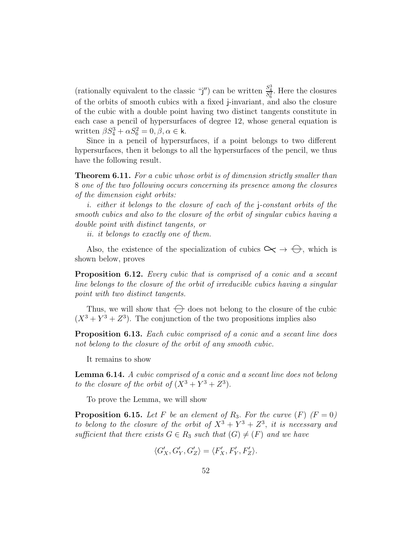(rationally equivalent to the classic "j") can be written  $\frac{S_4^3}{S_6^2}$ . Here the closures of the orbits of smooth cubics with a fixed j-invariant, and also the closure of the cubic with a double point having two distinct tangents constitute in each case a pencil of hypersurfaces of degree 12, whose general equation is written  $\beta S_4^3 + \alpha S_6^2 = 0, \beta, \alpha \in \mathbf{k}$ .

Since in a pencil of hypersurfaces, if a point belongs to two different hypersurfaces, then it belongs to all the hypersurfaces of the pencil, we thus have the following result.

<span id="page-51-0"></span>**Theorem 6.11.** For a cubic whose orbit is of dimension strictly smaller than 8 one of the two following occurs concerning its presence among the closures of the dimension eight orbits:

i. either it belongs to the closure of each of the j-constant orbits of the smooth cubics and also to the closure of the orbit of singular cubics having a double point with distinct tangents, or

ii. it belongs to exactly one of them.

Also, the existence of the specialization of cubics  $\leftarrow \rightarrow \ominus$ , which is shown below, proves

Proposition 6.12. Every cubic that is comprised of a conic and a secant line belongs to the closure of the orbit of irreducible cubics having a singular point with two distinct tangents.

Thus, we will show that  $\bigoplus$  does not belong to the closure of the cubic  $(X^3 + Y^3 + Z^3)$ . The conjunction of the two propositions implies also

<span id="page-51-1"></span>**Proposition 6.13.** Each cubic comprised of a conic and a secant line does not belong to the closure of the orbit of any smooth cubic.

It remains to show

<span id="page-51-3"></span>Lemma 6.14. A cubic comprised of a conic and a secant line does not belong to the closure of the orbit of  $(X^3 + Y^3 + Z^3)$ .

To prove the Lemma, we will show

<span id="page-51-2"></span>**Proposition 6.15.** Let F be an element of R<sub>3</sub>. For the curve  $(F)$   $(F = 0)$ to belong to the closure of the orbit of  $X^3 + Y^3 + Z^3$ , it is necessary and sufficient that there exists  $G \in R_3$  such that  $(G) \neq (F)$  and we have

$$
\langle G'_X, G'_Y, G'_Z \rangle = \langle F'_X, F'_Y, F'_Z \rangle.
$$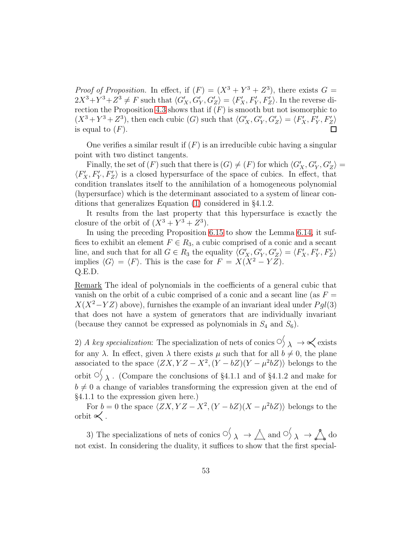*Proof of Proposition.* In effect, if  $(F) = (X^3 + Y^3 + Z^3)$ , there exists  $G =$  $2X^3 + Y^3 + Z^3 \neq F$  such that  $\langle G'_X, G'_Y, G'_Z \rangle = \langle F'_X, F'_Y, F'_Z \rangle$ . In the reverse di-rection the Proposition [4.3](#page-26-0) shows that if  $(F)$  is smooth but not isomorphic to  $(X^3 + Y^3 + Z^3)$ , then each cubic  $(G)$  such that  $\langle G'_X, G'_Y, G'_Z \rangle = \langle F'_X, F'_Y, F'_Z \rangle$ is equal to  $(F)$ .

One verifies a similar result if  $(F)$  is an irreducible cubic having a singular point with two distinct tangents.

Finally, the set of  $(F)$  such that there is  $(G) \neq (F)$  for which  $\langle G'_{X}, G'_{Y}, G'_{Z} \rangle =$  $\langle F'_X, F'_Y, F'_Z \rangle$  is a closed hypersurface of the space of cubics. In effect, that condition translates itself to the annihilation of a homogeneous polynomial (hypersurface) which is the determinant associated to a system of linear conditions that generalizes Equation [\(1\)](#page-27-0) considered in §4.1.2.

It results from the last property that this hypersurface is exactly the closure of the orbit of  $(X^3 + Y^3 + Z^3)$ .

In using the preceding Proposition [6.15](#page-51-2) to show the Lemma [6.14,](#page-51-3) it suffices to exhibit an element  $F \in R_3$ , a cubic comprised of a conic and a secant line, and such that for all  $G \in R_3$  the equality  $\langle G'_X, G'_Y, G'_Z \rangle = \langle F'_X, F'_Y, F'_Z \rangle$ implies  $\langle G \rangle = \langle F \rangle$ . This is the case for  $F = X(X^2 - YZ)$ . Q.E.D.

Remark The ideal of polynomials in the coefficients of a general cubic that vanish on the orbit of a cubic comprised of a conic and a secant line (as  $F =$  $X(X^2-YZ)$  above), furnishes the example of an invariant ideal under  $Pgl(3)$ that does not have a system of generators that are individually invariant (because they cannot be expressed as polynomials in  $S_4$  and  $S_6$ ).

2) A key specialization: The specialization of nets of conics  $\circ'_{\lambda} \to \check{\prec}$  exists for any  $\lambda$ . In effect, given  $\lambda$  there exists  $\mu$  such that for all  $b \neq 0$ , the plane associated to the space  $\langle ZX, YZ - X^2, (Y - bZ)(Y - \mu^2 bZ) \rangle$  belongs to the orbit  $\circlearrowleft$   $\lambda$  . (Compare the conclusions of §4.1.1 and of §4.1.2 and make for  $b \neq 0$  a change of variables transforming the expression given at the end of §4.1.1 to the expression given here.)

For  $b = 0$  the space  $\langle ZX, YZ - X^2, (Y - bZ)(X - \mu^2 bZ) \rangle$  belongs to the orbit  $\ll$ .

3) The specializations of nets of conics  $\Diamond \rightarrow \Diamond$  and  $\Diamond' \rightarrow \Diamond$  do not exist. In considering the duality, it suffices to show that the first special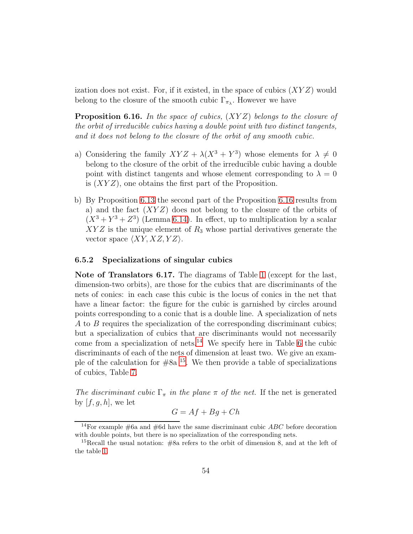ization does not exist. For, if it existed, in the space of cubics  $(XYZ)$  would belong to the closure of the smooth cubic  $\Gamma_{\pi_{\lambda}}$ . However we have

<span id="page-53-0"></span>**Proposition 6.16.** In the space of cubics,  $(XYZ)$  belongs to the closure of the orbit of irreducible cubics having a double point with two distinct tangents, and it does not belong to the closure of the orbit of any smooth cubic.

- a) Considering the family  $XYZ + \lambda(X^3 + Y^3)$  whose elements for  $\lambda \neq 0$ belong to the closure of the orbit of the irreducible cubic having a double point with distinct tangents and whose element corresponding to  $\lambda = 0$ is  $(XYZ)$ , one obtains the first part of the Proposition.
- b) By Proposition [6.13](#page-51-1) the second part of the Proposition [6.16](#page-53-0) results from a) and the fact  $(XYZ)$  does not belong to the closure of the orbits of  $(X^3 + Y^3 + Z^3)$  (Lemma [6.14\)](#page-51-3). In effect, up to multiplication by a scalar  $XYZ$  is the unique element of  $R_3$  whose partial derivatives generate the vector space  $\langle XY, XZ, YZ \rangle$ .

#### 6.5.2 Specializations of singular cubics

Note of Translators 6.17. The diagrams of Table [1](#page-9-0) (except for the last, dimension-two orbits), are those for the cubics that are discriminants of the nets of conics: in each case this cubic is the locus of conics in the net that have a linear factor: the figure for the cubic is garnished by circles around points corresponding to a conic that is a double line. A specialization of nets A to B requires the specialization of the corresponding discriminant cubics; but a specialization of cubics that are discriminants would not necessarily come from a specialization of nets.<sup>[14](#page-53-1)</sup> We specify here in Table [6](#page-55-0) the cubic discriminants of each of the nets of dimension at least two. We give an example of the calculation for  $#8a$  <sup>[15](#page-53-2)</sup>. We then provide a table of specializations of cubics, Table [7.](#page-57-0)

The discriminant cubic  $\Gamma_{\pi}$  in the plane  $\pi$  of the net. If the net is generated by  $[f, g, h]$ , we let

$$
G = Af + Bg + Ch
$$

<span id="page-53-1"></span><sup>&</sup>lt;sup>14</sup>For example  $#6a$  and  $#6d$  have the same discriminant cubic  $ABC$  before decoration with double points, but there is no specialization of the corresponding nets.

<span id="page-53-2"></span><sup>&</sup>lt;sup>15</sup>Recall the usual notation:  $#8a$  refers to the orbit of dimension 8, and at the left of the table [1.](#page-9-0)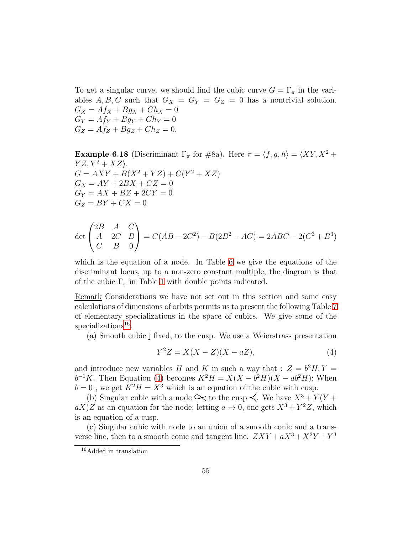To get a singular curve, we should find the cubic curve  $G = \Gamma_{\pi}$  in the variables A, B, C such that  $G_X = G_Y = G_Z = 0$  has a nontrivial solution.  $G_X = Af_X + Bg_X + Ch_X = 0$  $G_Y = Af_Y + Bg_Y + Ch_Y = 0$  $G_Z = Af_Z + Bg_Z + Ch_Z = 0.$ 

**Example 6.18** (Discriminant  $\Gamma_{\pi}$  for #8a). Here  $\pi = \langle f, g, h \rangle = \langle XY, X^2 +$  $YZ, Y^2 + XZ$ .  $G = AXY + B(X^2 + YZ) + C(Y^2 + XZ)$  $G_X = AY + 2BX + CZ = 0$  $G_Y = AX + BZ + 2CY = 0$  $G_Z = BY + CX = 0$ 

$$
\det \begin{pmatrix} 2B & A & C \\ A & 2C & B \\ C & B & 0 \end{pmatrix} = C(AB - 2C^2) - B(2B^2 - AC) = 2ABC - 2(C^3 + B^3)
$$

which is the equation of a node. In Table [6](#page-55-0) we give the equations of the discriminant locus, up to a non-zero constant multiple; the diagram is that of the cubic  $\Gamma_{\pi}$  in Table [1](#page-9-0) with double points indicated.

Remark Considerations we have not set out in this section and some easy calculations of dimensions of orbits permits us to present the following Table [7](#page-57-0) of elementary specializations in the space of cubics. We give some of the specializations<sup>[16](#page-54-0)</sup>.

(a) Smooth cubic j fixed, to the cusp. We use a Weierstrass presentation

<span id="page-54-1"></span>
$$
Y^2Z = X(X - Z)(X - aZ),\tag{4}
$$

and introduce new variables H and K in such a way that :  $Z = b^2 H, Y =$  $b^{-1}K$ . Then Equation [\(4\)](#page-54-1) becomes  $K^2H = X(X - b^2H)(X - ab^2H)$ ; When  $b = 0$ , we get  $K^2H = X^3$  which is an equation of the cubic with cusp.

(b) Singular cubic with a node  $\leftarrow$  to the cusp  $\prec$ . We have  $X^3 + Y(Y + \sigma)$  $aX)Z$  as an equation for the node; letting  $a \to 0$ , one gets  $X^3 + Y^2Z$ , which is an equation of a cusp.

(c) Singular cubic with node to an union of a smooth conic and a transverse line, then to a smooth conic and tangent line.  $ZXY + aX^3 + X^2Y + Y^3$ 

<span id="page-54-0"></span><sup>16</sup>Added in translation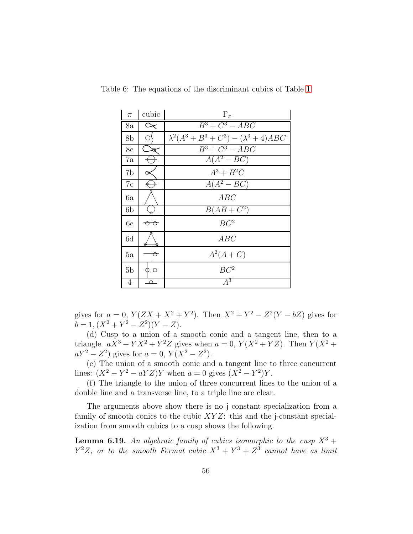| $\pi$          | cubic         | $\Gamma_{\pi}$                                    |  |
|----------------|---------------|---------------------------------------------------|--|
| 8a             | $\propto$     | $B^3+C^3-ABC$                                     |  |
| 8b             | О             | $\lambda^2(A^3 + B^3 + C^3) - (\lambda^3 + 4)ABC$ |  |
| 8c             |               | $B^3+C^3-ABC$                                     |  |
| 7a             |               | $A(A^2 - BC)$                                     |  |
| 7b             |               | $A^3+B^2C$                                        |  |
| 7c             |               | $A(A^2 - BC)$                                     |  |
| 6a             |               | ABC                                               |  |
| 6b             |               | $B(AB+C^2)$                                       |  |
| 6c             | $\Rightarrow$ | BC <sup>2</sup>                                   |  |
| 6d             |               | ABC                                               |  |
| 5a             | ⇔             | $A^2(A+C)$                                        |  |
| 5 <sub>b</sub> | ⊖             | BC <sup>2</sup>                                   |  |
| 4              | ≡≎≡           | $A^3$                                             |  |

<span id="page-55-0"></span>Table 6: The equations of the discriminant cubics of Table [1](#page-9-0)

gives for  $a = 0$ ,  $Y(ZX + X^2 + Y^2)$ . Then  $X^2 + Y^2 - Z^2(Y - bZ)$  gives for  $b = 1, (X^2 + Y^2 - Z^2)(Y - Z).$ 

(d) Cusp to a union of a smooth conic and a tangent line, then to a triangle.  $aX^3 + YX^2 + Y^2Z$  gives when  $a = 0$ ,  $Y(X^2 + YZ)$ . Then  $Y(X^2 + YZ)$  $aY^2 - Z^2$ ) gives for  $a = 0$ ,  $Y(X^2 - Z^2)$ .

(e) The union of a smooth conic and a tangent line to three concurrent lines:  $(X^2 - Y^2 - aYZ)Y$  when  $a = 0$  gives  $(X^2 - Y^2)Y$ .

(f) The triangle to the union of three concurrent lines to the union of a double line and a transverse line, to a triple line are clear.

The arguments above show there is no j constant specialization from a family of smooth conics to the cubic  $XYZ$ : this and the j-constant specialization from smooth cubics to a cusp shows the following.

**Lemma 6.19.** An algebraic family of cubics isomorphic to the cusp  $X^3$  +  $Y^2Z$ , or to the smooth Fermat cubic  $X^3 + Y^3 + Z^3$  cannot have as limit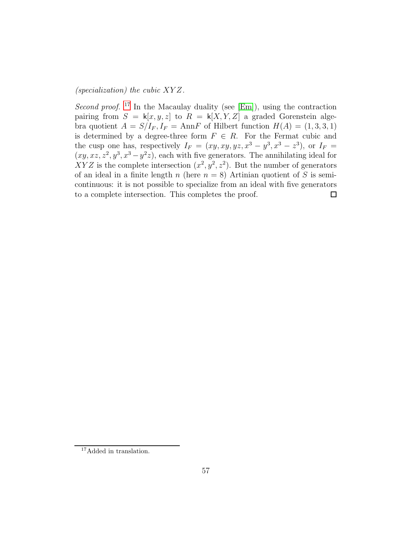(specialization) the cubic XY Z.

Second proof. <sup>[17](#page-56-0)</sup> In the Macaulay duality (see [\[Em\]](#page-88-0)), using the contraction pairing from  $S = k[x, y, z]$  to  $R = k[X, Y, Z]$  a graded Gorenstein algebra quotient  $A = S/I_F$ ,  $I_F = AnnF$  of Hilbert function  $H(A) = (1, 3, 3, 1)$ is determined by a degree-three form  $F \in R$ . For the Fermat cubic and the cusp one has, respectively  $I_F = (xy, xy, yz, x^3 - y^3, x^3 - z^3)$ , or  $I_F =$  $(xy, xz, z^2, y^3, x^3 - y^2z)$ , each with five generators. The annihilating ideal for XYZ is the complete intersection  $(x^2, y^2, z^2)$ . But the number of generators of an ideal in a finite length n (here  $n = 8$ ) Artinian quotient of S is semicontinuous: it is not possible to specialize from an ideal with five generators to a complete intersection. This completes the proof.  $\Box$ 

<span id="page-56-0"></span><sup>&</sup>lt;sup>17</sup>Added in translation.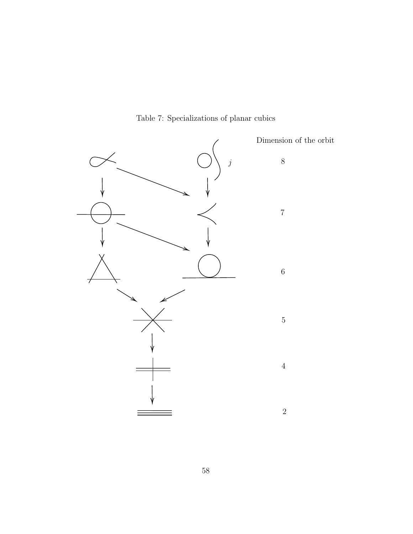<span id="page-57-0"></span>

Table 7: Specializations of planar cubics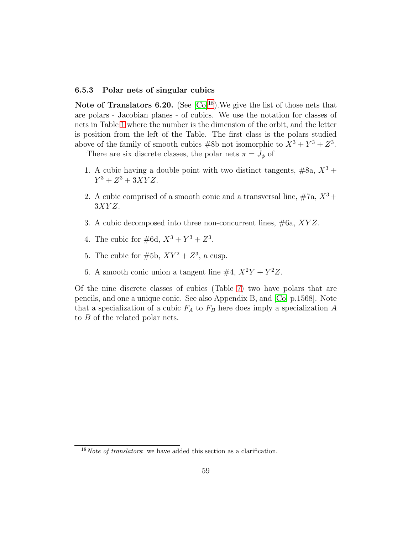#### 6.5.3 Polar nets of singular cubics

Note of Translators 6.20. (See  $\lbrack \text{Co} \rbrack^{18}$  $\lbrack \text{Co} \rbrack^{18}$  $\lbrack \text{Co} \rbrack^{18}$ ). We give the list of those nets that are polars - Jacobian planes - of cubics. We use the notation for classes of nets in Table [1](#page-9-0) where the number is the dimension of the orbit, and the letter is position from the left of the Table. The first class is the polars studied above of the family of smooth cubics  $#8b$  not isomorphic to  $X^3 + Y^3 + Z^3$ .

There are six discrete classes, the polar nets  $\pi = J_{\phi}$  of

- 1. A cubic having a double point with two distinct tangents,  $#8a, X^3 +$  $Y^3 + Z^3 + 3XYZ.$
- 2. A cubic comprised of a smooth conic and a transversal line,  $#7a, X^3 +$  $3XYZ$ .
- 3. A cubic decomposed into three non-concurrent lines, #6a, XY Z.
- 4. The cubic for  $\#6d$ ,  $X^3 + Y^3 + Z^3$ .
- 5. The cubic for  $#5b$ ,  $XY^2 + Z^3$ , a cusp.
- 6. A smooth conic union a tangent line  $\#4$ ,  $X^2Y + Y^2Z$ .

Of the nine discrete classes of cubics (Table [7\)](#page-57-0) two have polars that are pencils, and one a unique conic. See also Appendix B, and [\[Co,](#page-87-2) p.1568]. Note that a specialization of a cubic  $F_A$  to  $F_B$  here does imply a specialization A to B of the related polar nets.

<span id="page-58-0"></span> $18Note$  of translators: we have added this section as a clarification.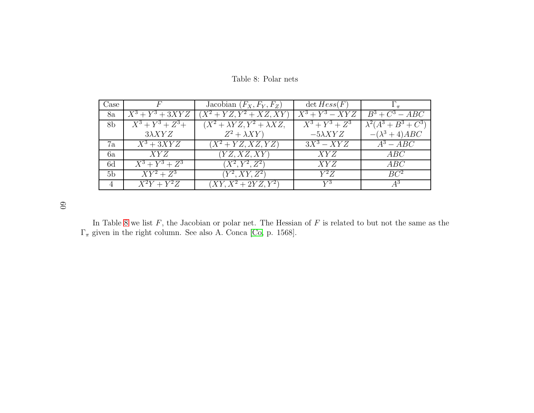| Case           |                         | Jacobian $(F_X, F_Y, F_Z)$                        | $\det Hess(F)$    |                          |
|----------------|-------------------------|---------------------------------------------------|-------------------|--------------------------|
| 8a             | $X^3+Y^3+3XYZ$          | $(X^2+YZ, Y^2+XZ, XY)$                            | $X^3 + Y^3 - XYZ$ | $\overline{B^3+C^3}-ABC$ |
| 8 <sub>b</sub> | $X^3 + Y^3 + Z^3 +$     | $(X^2 + \lambda YZ, \overline{Y^2 + \lambda XZ})$ | $X^3 + Y^3 + Z^3$ | $\lambda^2(A^3+B^3+C^3)$ |
|                | $3\lambda XYZ$          | $Z^2 + \lambda XY$                                | $-5\lambda XYZ$   | $-(\lambda^3 + 4)ABC$    |
| 7a             | $\overline{X^3} + 3XYZ$ | $(X^2 + YZ, XZ, YZ)$                              | $3X^3 - XYZ$      | $A^3 - ABC$              |
| 6a             | XYZ                     | (YZ, XZ, XY)                                      | XYZ               | ABC                      |
| 6d             | $X^3 + Y^3 + Z^3$       | $(X^2, Y^2, Z^2)$                                 | XYZ               | ABC                      |
| 5 <sub>b</sub> | $\overline{XY^2} + Z^3$ | $(Y^2, XY, Z^2)$                                  | $Y^2Z$            | BC <sup>2</sup>          |
| 4              | $X^2Y+Y^2Z$             | $(XY, X^2 + 2YZ, Y^2)$                            | $V^3$             |                          |

<span id="page-59-0"></span>Table 8: Polar nets

60

In Table [8](#page-59-0) we list F, the Jacobian or polar net. The Hessian of F is related to but not the same as the  $\Gamma_{\pi}$  given in the right column. See also A. Conca [\[Co](#page-87-3), p. 1568].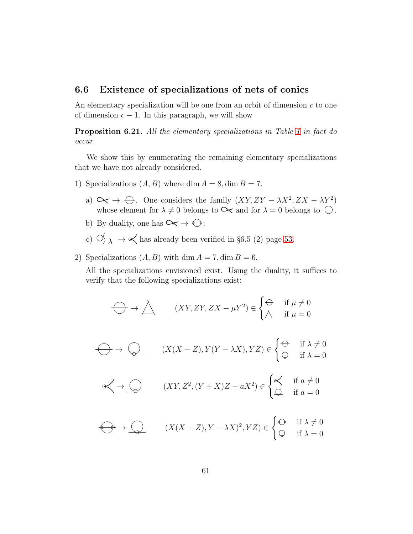### 6.6 Existence of specializations of nets of conics

An elementary specialization will be one from an orbit of dimension  $c$  to one of dimension  $c - 1$ . In this paragraph, we will show

Proposition 6.21. All the elementary specializations in Table [1](#page-9-0) in fact do occur.

We show this by enumerating the remaining elementary specializations that we have not already considered.

- 1) Specializations  $(A, B)$  where dim  $A = 8$ , dim  $B = 7$ .
	- a)  $\leftrightarrow \leftrightarrow$  One considers the family  $(XY, ZY \lambda X^2, ZX \lambda Y^2)$ whose element for  $\lambda \neq 0$  belongs to  $\leftarrow$  and for  $\lambda = 0$  belongs to  $\leftarrow$ .
	- b) By duality, one has  $\infty \to \bigoplus$ ;
	- c)  $\bigcirc$   $\bigcirc$   $\bigwedge$   $\rightarrow \infty$  has already been verified in §6.5 (2) page [53.](#page-51-2)
- 2) Specializations  $(A, B)$  with dim  $A = 7$ , dim  $B = 6$ .

All the specializations envisioned exist. Using the duality, it suffices to verify that the following specializations exist:

$$
\bigoplus \to \bigwedge \qquad (XY, ZY, ZX - \mu Y^2) \in \begin{cases} \bigoplus & \text{if } \mu \neq 0 \\ \bigtriangleup & \text{if } \mu = 0 \end{cases}
$$

$$
\bigoplus \to \bigotimes \qquad (X(X-Z), Y(Y-\lambda X), YZ) \in \begin{cases} \oplus & \text{if } \lambda \neq 0 \\ \mathcal{Q} & \text{if } \lambda = 0 \end{cases}
$$

$$
\swarrow \to \bigcirc \searrow \qquad (XY, Z^2, (Y + X)Z - aX^2) \in \begin{cases} \swarrow & \text{if } a \neq 0 \\ \varphi & \text{if } a = 0 \end{cases}
$$

$$
\bigoplus \rightarrow \bigodot \qquad (X(X-Z), Y - \lambda X)^2, YZ) \in \begin{cases} \bigoplus & \text{if } \lambda \neq 0 \\ \bigodot & \text{if } \lambda = 0 \end{cases}
$$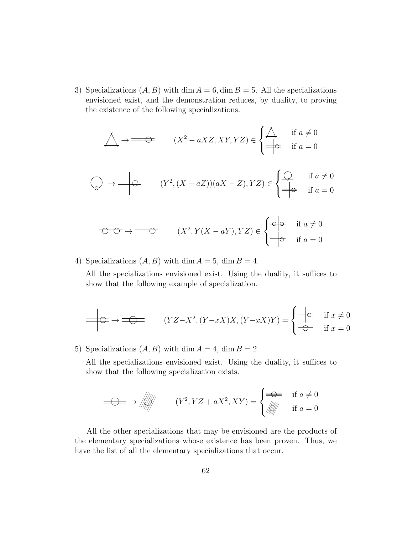3) Specializations  $(A, B)$  with dim  $A = 6$ , dim  $B = 5$ . All the specializations envisioned exist, and the demonstration reduces, by duality, to proving the existence of the following specializations.

$$
\triangle \rightarrow \Longrightarrow (X^2 - aXZ, XY, YZ) \in \begin{cases} \triangle & \text{if } a \neq 0 \\ \Longrightarrow & \text{if } a = 0 \end{cases}
$$

$$
\bigotimes \rightarrow \longrightarrow (Y^2, (X - aZ))(aX - Z), YZ) \in \begin{cases} \bigotimes \text{ if } a \neq 0 \\ \Longrightarrow & \text{ if } a = 0 \end{cases}
$$

$$
\Rightarrow \Rightarrow \Rightarrow \Rightarrow \qquad (X^2, Y(X - aY), YZ) \in \begin{cases} \Rightarrow \Rightarrow & \text{if } a \neq 0 \\ \Rightarrow & \text{if } a = 0 \end{cases}
$$

4) Specializations  $(A, B)$  with dim  $A = 5$ , dim  $B = 4$ .

All the specializations envisioned exist. Using the duality, it suffices to show that the following example of specialization.

$$
\longrightarrow \longrightarrow \longrightarrow \longrightarrow \text{ }\qquad (YZ-X^2, (Y-xX)X, (Y-xX)Y) = \begin{cases} \downarrow & \text{if } x \neq 0 \\ \downarrow & \text{if } x = 0 \end{cases}
$$

5) Specializations  $(A, B)$  with dim  $A = 4$ , dim  $B = 2$ .

All the specializations envisioned exist. Using the duality, it suffices to show that the following specialization exists.

$$
\implies \Longrightarrow \left\langle \left\langle \left\langle \left\langle \right\rangle \right\rangle \right\rangle \right\rangle \qquad (Y^2, YZ + aX^2, XY) = \begin{cases} \Longrightarrow & \text{if } a \neq 0 \\ \parallel & \text{if } a = 0 \end{cases}
$$

All the other specializations that may be envisioned are the products of the elementary specializations whose existence has been proven. Thus, we have the list of all the elementary specializations that occur.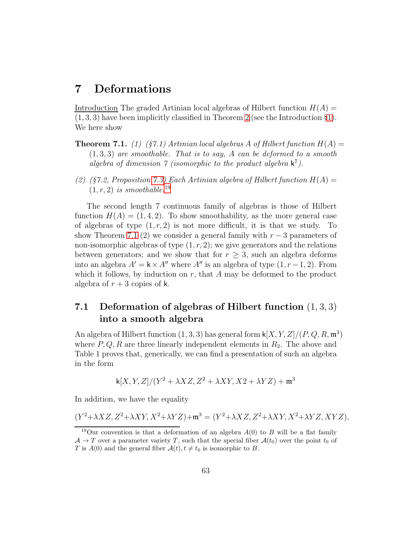# 7 Deformations

Introduction The graded Artinian local algebras of Hilbert function  $H(A)$  =  $(1, 3, 3)$  have been implicitly classified in Theorem 2 (see the Introduction §[1\)](#page-6-0). We here show

- **Theorem 7.1.** (1) (§7.1) Artinian local algebras A of Hilbert function  $H(A)$  =  $(1, 3, 3)$  are smoothable. That is to say, A can be deformed to a smooth algebra of dimension  $\gamma$  (isomorphic to the product algebra  $\mathsf{k}^7$ ).
- (2) (§7.2, Proposition [7.3\)](#page-67-0) Each Artinian algebra of Hilbert function  $H(A) =$  $(1, r, 2)$  is smoothable.<sup>[19](#page-62-0)</sup>

The second length 7 continuous family of algebras is those of Hilbert function  $H(A) = (1, 4, 2)$ . To show smoothability, as the more general case of algebras of type  $(1, r, 2)$  is not more difficult, it is that we study. To show Theorem 7.1 (2) we consider a general family with  $r-3$  parameters of non-isomorphic algebras of type  $(1, r, 2)$ ; we give generators and the relations between generators; and we show that for  $r \geq 3$ , such an algebra deforms into an algebra  $A' = \mathbf{k} \times A''$  where  $A''$  is an algebra of type  $(1, r - 1, 2)$ . From which it follows, by induction on  $r$ , that  $A$  may be deformed to the product algebra of  $r + 3$  copies of k.

## 7.1 Deformation of algebras of Hilbert function  $(1,3,3)$ into a smooth algebra

An algebra of Hilbert function  $(1, 3, 3)$  has general form  $\mathsf{k}[X, Y, Z]/(P, Q, R, \mathfrak{m}^3)$ where  $P, Q, R$  are three linearly independent elements in  $R_2$ . The above and Table 1 proves that, generically, we can find a presentation of such an algebra in the form

$$
k[X, Y, Z]/(Y^2 + \lambda XZ, Z^2 + \lambda XY, X2 + \lambda YZ) + \mathfrak{m}^3
$$

In addition, we have the equality

$$
(Y^2+\lambda XZ,Z^2+\lambda XY,X^2+\lambda YZ)+\mathfrak{m}^3=(Y^2+\lambda XZ,Z^2+\lambda XY,X^2+\lambda YZ,XYZ),
$$

<span id="page-62-0"></span><sup>&</sup>lt;sup>19</sup>Our convention is that a deformation of an algebra  $A(0)$  to B will be a flat family  $\mathcal{A} \to T$  over a parameter variety T, such that the special fiber  $\mathcal{A}(t_0)$  over the point  $t_0$  of T is  $A(0)$  and the general fiber  $A(t)$ ,  $t \neq t_0$  is isomorphic to B.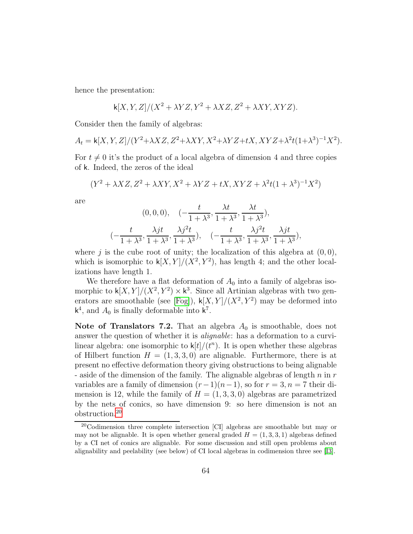hence the presentation:

$$
\mathsf k[X,Y,Z]/(X^2+\lambda YZ, Y^2+\lambda XZ, Z^2+\lambda XY, XYZ).
$$

Consider then the family of algebras:

$$
A_t = \mathsf{k}[X,Y,Z]/(Y^2 + \lambda XZ, Z^2 + \lambda XY, X^2 + \lambda YZ + tX, XYZ + \lambda^2 t(1+\lambda^3)^{-1}X^2).
$$

For  $t \neq 0$  it's the product of a local algebra of dimension 4 and three copies of k. Indeed, the zeros of the ideal

$$
(Y^2+\lambda XZ, Z^2+\lambda XY, X^2+\lambda YZ+tX, XYZ+\lambda^2t(1+\lambda^3)^{-1}X^2)
$$

are

$$
(0,0,0), \quad \left(-\frac{t}{1+\lambda^3}, \frac{\lambda t}{1+\lambda^3}, \frac{\lambda t}{1+\lambda^3}\right),
$$

$$
\left(-\frac{t}{1+\lambda^3}, \frac{\lambda j t}{1+\lambda^3}, \frac{\lambda j^2 t}{1+\lambda^3}, \frac{t}{1+\lambda^3}, \frac{\lambda j^2 t}{1+\lambda^3}, \frac{\lambda j t}{1+\lambda^3}, \frac{\lambda j t}{1+\lambda^3}\right),
$$

where j is the cube root of unity; the localization of this algebra at  $(0, 0)$ , which is isomorphic to  $\mathsf{k}[X,Y]/(X^2, Y^2)$ , has length 4; and the other localizations have length 1.

We therefore have a flat deformation of  $A_0$  into a family of algebras isomorphic to  $\mathsf{k}[X,Y]/(X^2, Y^2) \times \mathsf{k}^3$ . Since all Artinian algebras with two gen-erators are smoothable (see [\[Fog\]](#page-74-1)),  $\mathsf{k}[X,Y]/(X^2, Y^2)$  may be deformed into  $\mathsf{k}^4$ , and  $A_0$  is finally deformable into  $\mathsf{k}^7$ .

Note of Translators 7.2. That an algebra  $A_0$  is smoothable, does not answer the question of whether it is alignable: has a deformation to a curvilinear algebra: one isomorphic to  $\mathsf{k}[t]/(t^n)$ . It is open whether these algebras of Hilbert function  $H = (1, 3, 3, 0)$  are alignable. Furthermore, there is at present no effective deformation theory giving obstructions to being alignable - aside of the dimension of the family. The alignable algebras of length  $n$  in  $r$ variables are a family of dimension  $(r-1)(n-1)$ , so for  $r = 3$ ,  $n = 7$  their dimension is 12, while the family of  $H = (1, 3, 3, 0)$  algebras are parametrized by the nets of conics, so have dimension 9: so here dimension is not an obstruction.[20](#page-63-0)

<span id="page-63-0"></span> $20$ Codimension three complete intersection [CI] algebras are smoothable but may or may not be alignable. It is open whether general graded  $H = (1, 3, 3, 1)$  algebras defined by a CI net of conics are alignable. For some discussion and still open problems about alignability and peelability (see below) of CI local algebras in codimension three see [\[I3\]](#page-89-0).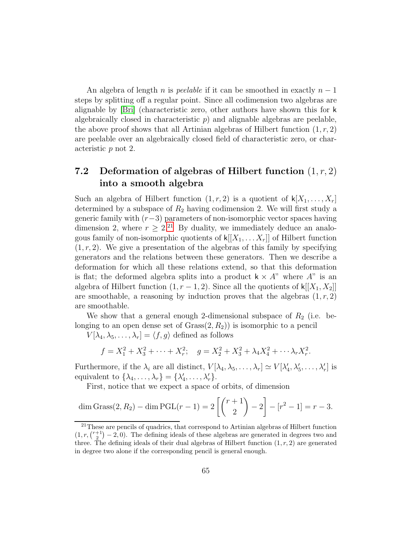An algebra of length n is *peelable* if it can be smoothed in exactly  $n-1$ steps by splitting off a regular point. Since all codimension two algebras are alignable by [\[Bri\]](#page-86-0) (characteristic zero, other authors have shown this for k algebraically closed in characteristic  $p$ ) and alignable algebras are peelable, the above proof shows that all Artinian algebras of Hilbert function  $(1, r, 2)$ are peelable over an algebraically closed field of characteristic zero, or characteristic p not 2.

## 7.2 Deformation of algebras of Hilbert function  $(1, r, 2)$ into a smooth algebra

Such an algebra of Hilbert function  $(1, r, 2)$  is a quotient of  $\mathsf{k}[X_1, \ldots, X_r]$ determined by a subspace of  $R_2$  having codimension 2. We will first study a generic family with  $(r-3)$  parameters of non-isomorphic vector spaces having dimension 2, where  $r \geq 2^{21}$  $r \geq 2^{21}$  $r \geq 2^{21}$  By duality, we immediately deduce an analogous family of non-isomorphic quotients of  $\mathsf{k}[[X_1, \ldots, X_r]]$  of Hilbert function  $(1, r, 2)$ . We give a presentation of the algebras of this family by specifying generators and the relations between these generators. Then we describe a deformation for which all these relations extend, so that this deformation is flat; the deformed algebra splits into a product  $k \times A$ " where  $A$ " is an algebra of Hilbert function  $(1, r - 1, 2)$ . Since all the quotients of k[[X<sub>1</sub>, X<sub>2</sub>]] are smoothable, a reasoning by induction proves that the algebras  $(1, r, 2)$ are smoothable.

We show that a general enough 2-dimensional subspace of  $R_2$  (i.e. belonging to an open dense set of  $Grass(2, R_2)$  is isomorphic to a pencil

 $V[\lambda_4, \lambda_5, \ldots, \lambda_r] = \langle f, g \rangle$  defined as follows

$$
f = X_1^2 + X_3^2 + \dots + X_r^2
$$
;  $g = X_2^2 + X_3^2 + \lambda_4 X_4^2 + \dots + \lambda_r X_r^2$ .

Furthermore, if the  $\lambda_i$  are all distinct,  $V[\lambda_4, \lambda_5, \ldots, \lambda_r] \simeq V[\lambda'_4]$  $\lambda'_1, \lambda'_5, \ldots, \lambda'_r$  is equivalent to  $\{\lambda_4, \ldots, \lambda_r\} = \{\lambda'_4, \ldots, \lambda_r\}$  $\langle 4, \ldots, \lambda'_r \rangle.$ 

First, notice that we expect a space of orbits, of dimension

$$
\dim \text{Grass}(2, R_2) - \dim \text{PGL}(r-1) = 2\left[ \binom{r+1}{2} - 2 \right] - [r^2 - 1] = r - 3.
$$

<span id="page-64-0"></span> $21$ These are pencils of quadrics, that correspond to Artinian algebras of Hilbert function  $(1, r, \binom{r+1}{2} - 2, 0)$ . The defining ideals of these algebras are generated in degrees two and three. The defining ideals of their dual algebras of Hilbert function  $(1, r, 2)$  are generated in degree two alone if the corresponding pencil is general enough.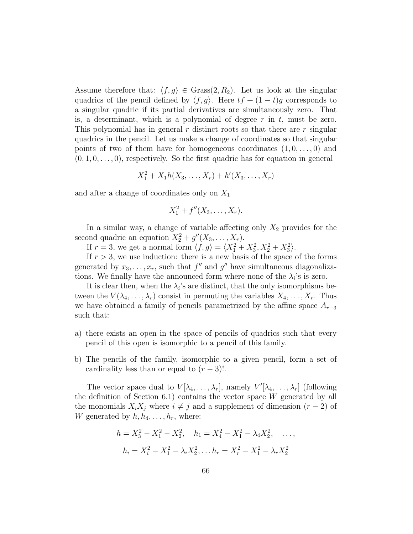Assume therefore that:  $\langle f, g \rangle \in \text{Grass}(2, R_2)$ . Let us look at the singular quadrics of the pencil defined by  $\langle f, g \rangle$ . Here  $tf + (1 - t)g$  corresponds to a singular quadric if its partial derivatives are simultaneously zero. That is, a determinant, which is a polynomial of degree  $r$  in  $t$ , must be zero. This polynomial has in general  $r$  distinct roots so that there are  $r$  singular quadrics in the pencil. Let us make a change of coordinates so that singular points of two of them have for homogeneous coordinates  $(1, 0, \ldots, 0)$  and  $(0, 1, 0, \ldots, 0)$ , respectively. So the first quadric has for equation in general

$$
X_1^2 + X_1 h(X_3, \ldots, X_r) + h'(X_3, \ldots, X_r)
$$

and after a change of coordinates only on  $X_1$ 

$$
X_1^2 + f''(X_3, \ldots, X_r).
$$

In a similar way, a change of variable affecting only  $X_2$  provides for the second quadric an equation  $X_2^2 + g''(X_3, \ldots, X_r)$ .

If  $r = 3$ , we get a normal form  $\langle f, g \rangle = \langle X_1^2 + X_3^2, X_2^2 + X_3^2 \rangle$ .

If  $r > 3$ , we use induction: there is a new basis of the space of the forms generated by  $x_3, \ldots, x_r$ , such that  $f''$  and  $g''$  have simultaneous diagonalizations. We finally have the announced form where none of the  $\lambda_i$ 's is zero.

It is clear then, when the  $\lambda_i$ 's are distinct, that the only isomorphisms between the  $V(\lambda_4,\ldots,\lambda_r)$  consist in permuting the variables  $X_4,\ldots,X_r$ . Thus we have obtained a family of pencils parametrized by the affine space  $A_{r-3}$ such that:

- a) there exists an open in the space of pencils of quadrics such that every pencil of this open is isomorphic to a pencil of this family.
- b) The pencils of the family, isomorphic to a given pencil, form a set of cardinality less than or equal to  $(r-3)!$ .

The vector space dual to  $V[\lambda_4, \ldots, \lambda_r]$ , namely  $V'[\lambda_4, \ldots, \lambda_r]$  (following the definition of Section 6.1) contains the vector space  $W$  generated by all the monomials  $X_i X_j$  where  $i \neq j$  and a supplement of dimension  $(r - 2)$  of W generated by  $h, h_4, \ldots, h_r$ , where:

$$
h = X_3^2 - X_1^2 - X_2^2, \quad h_1 = X_4^2 - X_1^2 - \lambda_4 X_2^2, \quad \dots,
$$
  

$$
h_i = X_i^2 - X_1^2 - \lambda_i X_2^2, \dots, h_r = X_r^2 - X_1^2 - \lambda_r X_2^2
$$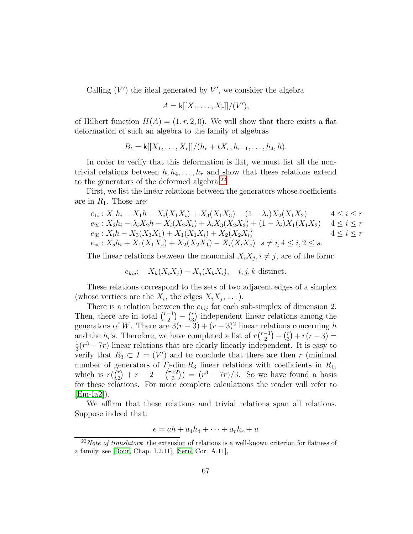Calling  $(V')$  the ideal generated by  $V'$ , we consider the algebra

$$
A = \mathsf{k}[[X_1,\ldots,X_r]]/(V'),
$$

of Hilbert function  $H(A) = (1, r, 2, 0)$ . We will show that there exists a flat deformation of such an algebra to the family of algebras

$$
B_t = k[[X_1, \ldots, X_r]]/(h_r + tX_r, h_{r-1}, \ldots, h_4, h).
$$

In order to verify that this deformation is flat, we must list all the nontrivial relations between  $h, h_4, \ldots, h_r$  and show that these relations extend to the generators of the deformed algebra.<sup>[22](#page-66-0)</sup>

First, we list the linear relations between the generators whose coefficients are in  $R_1$ . Those are:

$$
e_{1i}: X_1h_i - X_1h - X_i(X_1X_i) + X_3(X_1X_3) + (1 - \lambda_i)X_2(X_1X_2) \qquad 4 \le i \le r
$$
  
\n
$$
e_{2i}: X_2h_i - \lambda_iX_2h - X_i(X_2X_i) + \lambda_iX_3(X_2X_3) + (1 - \lambda_i)X_1(X_1X_2) \qquad 4 \le i \le r
$$
  
\n
$$
e_{3i}: X_ih - X_3(X_3X_1) + X_1(X_1X_i) + X_2(X_2X_i) \qquad 4 \le i \le r
$$
  
\n
$$
e_{si}: X_sh_i + X_1(X_1X_s) + X_2(X_2X_1) - X_i(X_iX_s) \qquad s \ne i, 4 \le i, 2 \le s.
$$

The linear relations between the monomial  $X_i X_j, i \neq j$ , are of the form:

 $e_{kij}$ ;  $X_k(X_iX_j) - X_i(X_kX_i)$ , *i*, *j*, *k* distinct.

These relations correspond to the sets of two adjacent edges of a simplex (whose vertices are the  $X_i$ , the edges  $X_i X_j, \ldots$ ).

There is a relation between the  $e_{kij}$  for each sub-simplex of dimension 2. Then, there are in total  $\binom{r-1}{2}$  $\binom{-1}{2} - \binom{r}{3}$  $\binom{r}{3}$  independent linear relations among the generators of W. There are  $3(r-3) + (r-3)^2$  linear relations concerning h and the  $h_i$ 's. Therefore, we have completed a list of  $r\binom{r-1}{2}$  $\binom{r}{2} - \binom{r}{3}$  $\binom{r}{3} + r(r-3) =$ 1  $\frac{1}{3}(r^3 - 7r)$  linear relations that are clearly linearly independent. It is easy to verify that  $R_3 \subset I = (V')$  and to conclude that there are then r (minimal number of generators of  $I$ )-dim  $R_3$  linear relations with coefficients in  $R_1$ , which is  $r(\binom{r}{2})$  $\binom{r}{2} + r - 2 - \binom{r+2}{3}$  $\binom{+2}{3}$ ) =  $(r^3 - 7r)/3$ . So we have found a basis for these relations. For more complete calculations the reader will refer to  $[Em-Ia2]$ .

We affirm that these relations and trivial relations span all relations. Suppose indeed that:

$$
e = ah + a_4h_4 + \cdots + a_rh_r + u
$$

<span id="page-66-0"></span> $^{22}Note$  of translators: the extension of relations is a well-known criterion for flatness of a family, see [\[Bour,](#page-86-1) Chap. I.2.11], [\[Sern,](#page-91-1) Cor. A.11],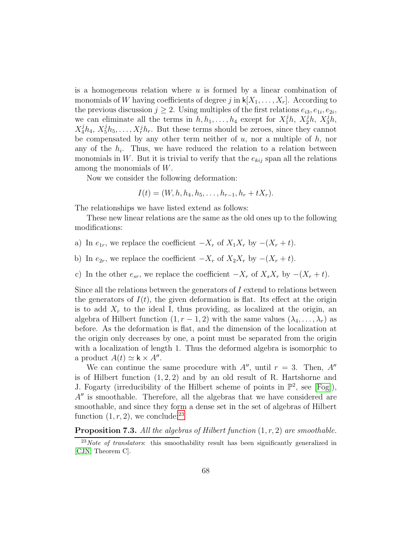is a homogeneous relation where  $u$  is formed by a linear combination of monomials of W having coefficients of degree j in  $\mathsf{k}[X_1,\ldots,X_r]$ . According to the previous discussion  $j \geq 2$ . Using multiples of the first relations  $e_{i3}, e_{1i}, e_{2i}$ , we can eliminate all the terms in  $h, h_1, \ldots, h_4$  except for  $X_1^j h, X_2^j h, X_3^j h,$  $X_4^j h_4, X_5^j h_5, \ldots, X_r^j h_r$ . But these terms should be zeroes, since they cannot be compensated by any other term neither of  $u$ , nor a multiple of  $h$ , nor any of the  $h_i$ . Thus, we have reduced the relation to a relation between monomials in W. But it is trivial to verify that the  $e_{kij}$  span all the relations among the monomials of W.

Now we consider the following deformation:

$$
I(t) = (W, h, h_4, h_5, \ldots, h_{r-1}, h_r + tX_r).
$$

The relationships we have listed extend as follows:

These new linear relations are the same as the old ones up to the following modifications:

- a) In  $e_{1r}$ , we replace the coefficient  $-X_r$  of  $X_1X_r$  by  $-(X_r + t)$ .
- b) In  $e_{2r}$ , we replace the coefficient  $-X_r$  of  $X_2X_r$  by  $-(X_r + t)$ .
- c) In the other  $e_{sr}$ , we replace the coefficient  $-X_r$  of  $X_s X_r$  by  $-(X_r + t)$ .

Since all the relations between the generators of  $I$  extend to relations between the generators of  $I(t)$ , the given deformation is flat. Its effect at the origin is to add  $X_r$  to the ideal I, thus providing, as localized at the origin, an algebra of Hilbert function  $(1, r - 1, 2)$  with the same values  $(\lambda_4, \ldots, \lambda_r)$  as before. As the deformation is flat, and the dimension of the localization at the origin only decreases by one, a point must be separated from the origin with a localization of length 1. Thus the deformed algebra is isomorphic to a product  $A(t) \simeq \mathbf{k} \times A''$ .

We can continue the same procedure with  $A''$ , until  $r = 3$ . Then,  $A''$ is of Hilbert function  $(1, 2, 2)$  and by an old result of R. Hartshorne and J. Fogarty (irreducibility of the Hilbert scheme of points in  $\mathbb{P}^2$ , see [\[Fog\]](#page-74-1)),  $A''$  is smoothable. Therefore, all the algebras that we have considered are smoothable, and since they form a dense set in the set of algebras of Hilbert function  $(1, r, 2)$ , we conclude: <sup>[23](#page-67-1)</sup>

<span id="page-67-0"></span>**Proposition 7.3.** All the algebras of Hilbert function  $(1, r, 2)$  are smoothable.

<span id="page-67-1"></span> $^{23}Note$  of translators: this smoothability result has been significantly generalized in [\[CJN,](#page-87-4) Theorem C].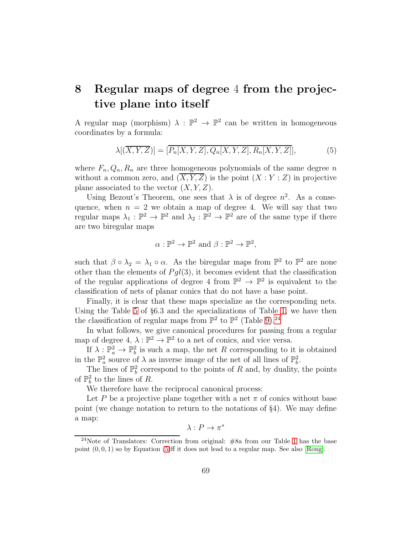# 8 Regular maps of degree 4 from the projective plane into itself

A regular map (morphism)  $\lambda : \mathbb{P}^2 \to \mathbb{P}^2$  can be written in homogeneous coordinates by a formula:

<span id="page-68-1"></span>
$$
\lambda[(\overline{X}, \overline{Y}, \overline{Z})] = [\overline{P_n[X, Y, Z]}, Q_n[X, Y, Z], R_n[X, Y, Z]], \qquad (5)
$$

where  $F_n, Q_n, R_n$  are three homogeneous polynomials of the same degree n without a common zero, and  $(\overline{X}, \overline{Y}, \overline{Z})$  is the point  $(X : Y : Z)$  in projective plane associated to the vector  $(X, Y, Z)$ .

Using Bezout's Theorem, one sees that  $\lambda$  is of degree  $n^2$ . As a consequence, when  $n = 2$  we obtain a map of degree 4. We will say that two regular maps  $\lambda_1 : \mathbb{P}^2 \to \mathbb{P}^2$  and  $\lambda_2 : \mathbb{P}^2 \to \mathbb{P}^2$  are of the same type if there are two biregular maps

$$
\alpha : \mathbb{P}^2 \to \mathbb{P}^2
$$
 and  $\beta : \mathbb{P}^2 \to \mathbb{P}^2$ ,

such that  $\beta \circ \lambda_2 = \lambda_1 \circ \alpha$ . As the biregular maps from  $\mathbb{P}^2$  to  $\mathbb{P}^2$  are none other than the elements of  $P \, gl(3)$ , it becomes evident that the classification of the regular applications of degree 4 from  $\mathbb{P}^2 \to \mathbb{P}^2$  is equivalent to the classification of nets of planar conics that do not have a base point.

Finally, it is clear that these maps specialize as the corresponding nets. Using the Table [5](#page-49-0) of §6.3 and the specializations of Table [1,](#page-9-0) we have then the classification of regular maps from  $\mathbb{P}^2$  to  $\mathbb{P}^2$  (Table [9\)](#page-69-0).<sup>[24](#page-68-0)</sup>

In what follows, we give canonical procedures for passing from a regular map of degree  $4, \lambda : \mathbb{P}^2 \to \mathbb{P}^2$  to a net of conics, and vice versa.

If  $\lambda: \mathbb{P}_a^2 \to \mathbb{P}_b^2$  is such a map, the net R corresponding to it is obtained in the  $\mathbb{P}^2_a$  source of  $\lambda$  as inverse image of the net of all lines of  $\mathbb{P}^2_b$ .

The lines of  $\mathbb{P}^2_b$  correspond to the points of R and, by duality, the points of  $\mathbb{P}^2_b$  to the lines of R.

We therefore have the reciprocal canonical process:

Let P be a projective plane together with a net  $\pi$  of conics without base point (we change notation to return to the notations of §4). We may define a map:

 $\lambda: P \to \pi^*$ 

<span id="page-68-0"></span><sup>&</sup>lt;sup>24</sup>Note of Translators: Correction from original:  $#8a$  from our Table [1](#page-9-0) has the base point  $(0, 0, 1)$  so by Equation  $(5)$ ff it does not lead to a regular map. See also [\[Rong\]](#page-91-2).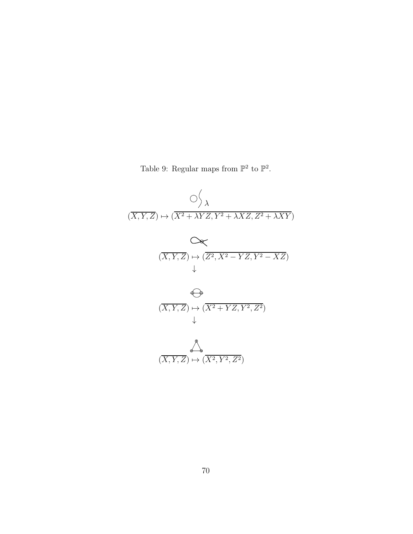Table 9: Regular maps from  $\mathbb{P}^2$  to  $\mathbb{P}^2$ .

<span id="page-69-0"></span>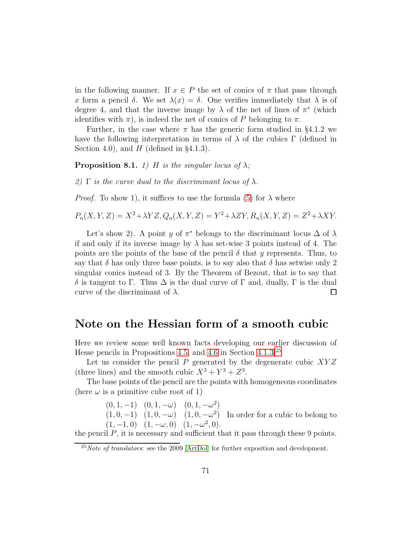in the following manner. If  $x \in P$  the set of conics of  $\pi$  that pass through x form a pencil  $\delta$ . We set  $\lambda(x) = \delta$ . One verifies immediately that  $\lambda$  is of degree 4, and that the inverse image by  $\lambda$  of the net of lines of  $\pi^*$  (which identifies with  $\pi$ ), is indeed the net of conics of P belonging to  $\pi$ .

Further, in the case where  $\pi$  has the generic form studied in §4.1.2 we have the following interpretation in terms of  $\lambda$  of the cubics  $\Gamma$  (defined in Section 4.0), and  $H$  (defined in §4.1.3).

**Proposition 8.1.** 1) H is the singular locus of  $\lambda$ ;

2)  $\Gamma$  is the curve dual to the discriminant locus of  $\lambda$ .

*Proof.* To show 1), it suffices to use the formula [\(5\)](#page-68-1) for  $\lambda$  where

 $P_n(X, Y, Z) = X^2 + \lambda YZ, Q_n(X, Y, Z) = Y^2 + \lambda ZY, R_n(X, Y, Z) = Z^2 + \lambda XY.$ 

Let's show 2). A point y of  $\pi^*$  belongs to the discriminant locus  $\Delta$  of  $\lambda$ if and only if its inverse image by  $\lambda$  has set-wise 3 points instead of 4. The points are the points of the base of the pencil  $\delta$  that y represents. Thus, to say that  $\delta$  has only three base points, is to say also that  $\delta$  has setwise only 2 singular conics instead of 3. By the Theorem of Bezout, that is to say that δ is tangent to Γ. Thus ∆ is the dual curve of Γ and, dually, Γ is the dual curve of the discriminant of  $\lambda$ .  $\Box$ 

### Note on the Hessian form of a smooth cubic

Here we review some well known facts developing our earlier discussion of Hesse pencils in Propositions [4.5,](#page-29-0) and [4.6](#page-30-0) in Section [4.1.3.](#page-29-1)[25](#page-70-0)

Let us consider the pencil  $P$  generated by the degenerate cubic  $XYZ$ (three lines) and the smooth cubic  $X^3 + Y^3 + Z^3$ .

The base points of the pencil are the points with homogeneous coordinates (here  $\omega$  is a primitive cube root of 1)

> $(0, 1, -1)$   $(0, 1, -\omega)$   $(0, 1, -\omega^2)$  $(1, 0, -1)$   $(1, 0, -\omega)$   $(1, 0, -\omega^2)$  In order for a cubic to belong to  $(1, -1, 0)$   $(1, -\omega, 0)$   $(1, -\omega^2, 0)$ .

the pencil  $P$ , it is necessary and sufficient that it pass through these 9 points.

<span id="page-70-0"></span> $^{25}Note$  of translators: see the 2009 [\[ArtDol\]](#page-86-2) for further exposition and development.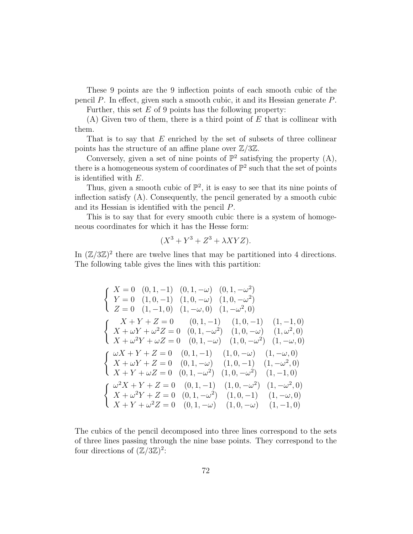These 9 points are the 9 inflection points of each smooth cubic of the pencil P. In effect, given such a smooth cubic, it and its Hessian generate P.

Further, this set  $E$  of 9 points has the following property:

 $(A)$  Given two of them, there is a third point of E that is collinear with them.

That is to say that  $E$  enriched by the set of subsets of three collinear points has the structure of an affine plane over  $\mathbb{Z}/3\mathbb{Z}$ .

Conversely, given a set of nine points of  $\mathbb{P}^2$  satisfying the property (A), there is a homogeneous system of coordinates of  $\mathbb{P}^2$  such that the set of points is identified with E.

Thus, given a smooth cubic of  $\mathbb{P}^2$ , it is easy to see that its nine points of inflection satisfy (A). Consequently, the pencil generated by a smooth cubic and its Hessian is identified with the pencil P.

This is to say that for every smooth cubic there is a system of homogeneous coordinates for which it has the Hesse form:

$$
(X^3 + Y^3 + Z^3 + \lambda XYZ).
$$

In  $(\mathbb{Z}/3\mathbb{Z})^2$  there are twelve lines that may be partitioned into 4 directions. The following table gives the lines with this partition:

$$
\begin{cases}\nX = 0 \quad (0, 1, -1) \quad (0, 1, -\omega) \quad (0, 1, -\omega^2) \\
Y = 0 \quad (1, 0, -1) \quad (1, 0, -\omega) \quad (1, 0, -\omega^2) \\
Z = 0 \quad (1, -1, 0) \quad (1, -\omega, 0) \quad (1, -\omega^2, 0) \\
X + Y + Z = 0 \quad (0, 1, -1) \quad (1, 0, -1) \quad (1, -1, 0) \\
X + \omega Y + \omega^2 Z = 0 \quad (0, 1, -\omega^2) \quad (1, 0, -\omega) \quad (1, \omega^2, 0) \\
X + \omega^2 Y + \omega Z = 0 \quad (0, 1, -\omega) \quad (1, 0, -\omega^2) \quad (1, -\omega, 0) \\
X + Y + Z = 0 \quad (0, 1, -1) \quad (1, 0, -\omega) \quad (1, -\omega, 0) \\
X + \omega Y + Z = 0 \quad (0, 1, -\omega) \quad (1, 0, -1) \quad (1, -\omega^2, 0) \\
X + Y + \omega Z = 0 \quad (0, 1, -\omega^2) \quad (1, 0, -\omega^2) \quad (1, -1, 0) \\
X + \omega^2 Y + Z = 0 \quad (0, 1, -1) \quad (1, 0, -\omega^2) \quad (1, -\omega^2, 0) \\
X + \omega^2 Y + Z = 0 \quad (0, 1, -\omega^2) \quad (1, 0, -1) \quad (1, -\omega, 0) \\
X + Y + \omega^2 Z = 0 \quad (0, 1, -\omega) \quad (1, 0, -\omega) \quad (1, -1, 0)\n\end{cases}
$$

The cubics of the pencil decomposed into three lines correspond to the sets of three lines passing through the nine base points. They correspond to the four directions of  $(\mathbb{Z}/3\mathbb{Z})^2$ :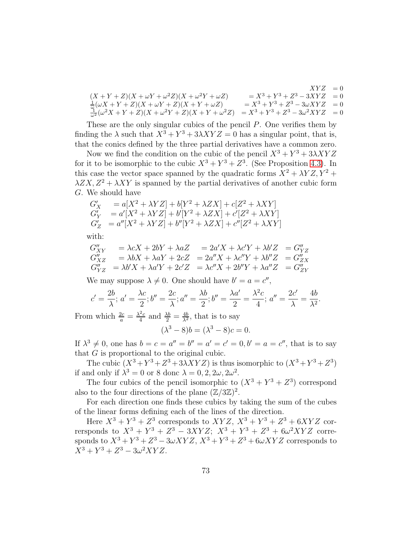$$
(X + Y + Z)(X + \omega Y + \omega^{2}Z)(X + \omega^{2}Y + \omega Z) = X^{3} + Y^{3} + Z^{3} - 3XYZ = 0
$$
  
\n
$$
\frac{1}{\omega}(\omega X + Y + Z)(X + \omega Y + Z)(X + Y + \omega Z) = X^{3} + Y^{3} + Z^{3} - 3\omega XYZ = 0
$$
  
\n
$$
\frac{1}{\omega^{2}}(\omega^{2}X + Y + Z)(X + \omega^{2}Y + Z)(X + Y + \omega^{2}Z) = X^{3} + Y^{3} + Z^{3} - 3\omega^{2}XYZ = 0
$$

These are the only singular cubics of the pencil P. One verifies them by finding the  $\lambda$  such that  $X^3 + Y^3 + 3\lambda XYZ = 0$  has a singular point, that is, that the conics defined by the three partial derivatives have a common zero.

Now we find the condition on the cubic of the pencil  $X^3 + Y^3 + 3\lambda XYZ$ for it to be isomorphic to the cubic  $X^3 + Y^3 + Z^3$ . (See Proposition [4.3\)](#page-26-0). In this case the vector space spanned by the quadratic forms  $\overline{X^2 + \lambda YZ}, \overline{Y^2 + \lambda YZ}$  $\lambda ZX, Z^2 + \lambda XY$  is spanned by the partial derivatives of another cubic form G. We should have

$$
G'_{X} = a[X^{2} + \lambda YZ] + b[Y^{2} + \lambda ZX] + c[Z^{2} + \lambda XY]
$$
  
\n
$$
G'_{Y} = a'[X^{2} + \lambda YZ] + b'[Y^{2} + \lambda ZX] + c'[Z^{2} + \lambda XY]
$$
  
\n
$$
G'_{Z} = a''[X^{2} + \lambda YZ] + b''[Y^{2} + \lambda ZX] + c''[Z^{2} + \lambda XY]
$$

with:

$$
G''_{XY} = \lambda cX + 2bY + \lambda aZ = 2a'X + \lambda c'Y + \lambda b'Z = G''_{YZ}
$$
  
\n
$$
G''_{XZ} = \lambda bX + \lambda aY + 2cZ = 2a''X + \lambda c''Y + \lambda b''Z = G''_{ZX}
$$
  
\n
$$
G''_{YZ} = \lambda b'X + \lambda a'Y + 2c'Z = \lambda c''X + 2b''Y + \lambda a''Z = G''_{ZY}
$$

We may suppose  $\lambda \neq 0$ . One should have  $b' = a = c''$ ,

$$
c' = \frac{2b}{\lambda}; \ a' = \frac{\lambda c}{2}; b'' = \frac{2c}{\lambda}; a'' = \frac{\lambda b}{2}; b'' = \frac{\lambda a'}{2} = \frac{\lambda^2 c}{4}; \ a'' = \frac{2c'}{\lambda} = \frac{4b}{\lambda^2}.
$$

From which  $\frac{2c}{a} = \frac{\lambda^2 c}{4}$  $\frac{a_2}{4}$  and  $\frac{\lambda b}{2} = \frac{4b}{\lambda^2}$ , that is to say

$$
(\lambda^3 - 8)b = (\lambda^3 - 8)c = 0.
$$

If  $\lambda^3 \neq 0$ , one has  $b = c = a'' = b'' = a' = c' = 0$ ,  $b' = a = c''$ , that is to say that G is proportional to the original cubic.

The cubic  $(X^3 + Y^3 + Z^3 + 3\lambda XYZ)$  is thus isomorphic to  $(X^3 + Y^3 + Z^3)$ if and only if  $\lambda^3 = 0$  or 8 donc  $\lambda = 0, 2, 2\omega, 2\omega^2$ .

The four cubics of the pencil isomorphic to  $(X^3 + Y^3 + Z^3)$  correspond also to the four directions of the plane  $(\mathbb{Z}/3\mathbb{Z})^2$ .

For each direction one finds these cubics by taking the sum of the cubes of the linear forms defining each of the lines of the direction.

Here  $X^3 + Y^3 + Z^3$  corresponds to  $XYZ$ ,  $X^3 + Y^3 + Z^3 + 6XYZ$  corrersponds to  $X^3 + Y^3 + Z^3 - 3XYZ$ ;  $X^3 + Y^3 + Z^3 + 6\omega^2 XYZ$  corresponds to  $X^3 + Y^3 + Z^3 - 3\omega XYZ$ ,  $X^3 + Y^3 + Z^3 + 6\omega XYZ$  corresponds to  $X^3 + Y^3 + Z^3 - 3\omega^2 XYZ.$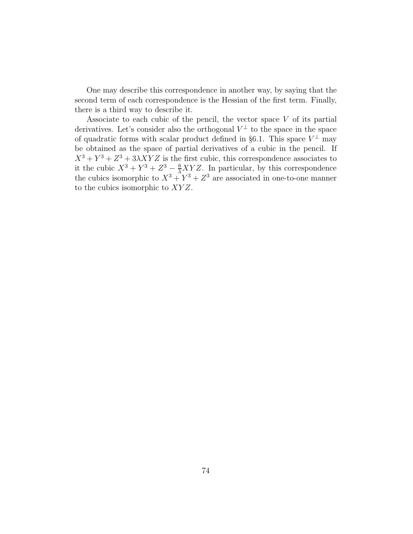One may describe this correspondence in another way, by saying that the second term of each correspondence is the Hessian of the first term. Finally, there is a third way to describe it.

Associate to each cubic of the pencil, the vector space  $V$  of its partial derivatives. Let's consider also the orthogonal  $V^{\perp}$  to the space in the space of quadratic forms with scalar product defined in §6.1. This space  $V^{\perp}$  may be obtained as the space of partial derivatives of a cubic in the pencil. If  $X^3 + Y^3 + Z^3 + 3\lambda XYZ$  is the first cubic, this correspondence associates to it the cubic  $X^3 + Y^3 + Z^3 - \frac{6}{\lambda}XYZ$ . In particular, by this correspondence the cubics isomorphic to  $X^3 + Y^3 + Z^3$  are associated in one-to-one manner to the cubics isomorphic to  $XYZ$ .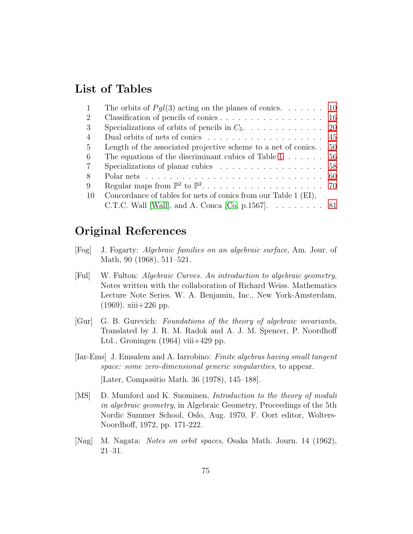## List of Tables

| Concordance of tables for nets of conics from our Table 1 (EI), |                                                                                                                                                                                                                                                                                                                                                                                                                                                                                                           |
|-----------------------------------------------------------------|-----------------------------------------------------------------------------------------------------------------------------------------------------------------------------------------------------------------------------------------------------------------------------------------------------------------------------------------------------------------------------------------------------------------------------------------------------------------------------------------------------------|
|                                                                 |                                                                                                                                                                                                                                                                                                                                                                                                                                                                                                           |
|                                                                 | The orbits of $Pgl(3)$ acting on the planes of conics 10<br>Classification of pencils of conics 16<br>Dual orbits of nets of conics $\ldots \ldots \ldots \ldots \ldots \ldots \ldots$ 45<br>Length of the associated projective scheme to a net of conics. $50$<br>The equations of the discriminant cubics of Table $1 \ldots \ldots \ldots 56$<br>Specializations of planar cubics $\ldots \ldots \ldots \ldots \ldots 58$<br>C.T.C. Wall [Wall], and A. Conca [Co, p.1567]. $\ldots \ldots \ldots$ 81 |

# Original References

- [Fog] J. Fogarty: Algebraic families on an algebraic surface, Am. Jour. of Math, 90 (1968), 511–521.
- [Ful] W. Fulton: Algebraic Curves. An introduction to algebraic geometry, Notes written with the collaboration of Richard Weiss. Mathematics Lecture Note Series. W. A. Benjamin, Inc., New York-Amsterdam,  $(1969)$ . xiii $+226$  pp.
- [Gur] G. B. Gurevich: Foundations of the theory of algebraic invariants, Translated by J. R. M. Radok and A. J. M. Spencer, P. Noordhoff Ltd., Groningen  $(1964)$  viii $+429$  pp.
- [Iar-Ems] J. Emsalem and A. Iarrobino: Finite algebras having small tangent space: some zero-dimensional generic singularities, to appear. [Later, Compositio Math. 36 (1978), 145–188].
- [MS] D. Mumford and K. Suominen, Introduction to the theory of moduli in algebraic geometry, in Algebraic Geometry, Proceedings of the 5th Nordic Summer School, Oslo, Aug. 1970, F. Oort editor, Wolters-Noordhoff, 1972, pp. 171-222.
- [Nag] M. Nagata: Notes on orbit spaces, Osaka Math. Journ. 14 (1962), 21–31.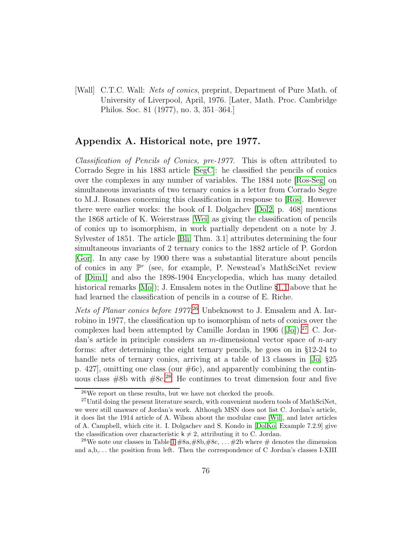<span id="page-75-0"></span>[Wall] C.T.C. Wall: Nets of conics, preprint, Department of Pure Math. of University of Liverpool, April, 1976. [Later, Math. Proc. Cambridge Philos. Soc. 81 (1977), no. 3, 351–364.]

### Appendix A. Historical note, pre 1977.

Classification of Pencils of Conics, pre-1977. This is often attributed to Corrado Segre in his 1883 article [\[SegC\]](#page-91-0): he classified the pencils of conics over the complexes in any number of variables. The 1884 note [\[Ros-Seg\]](#page-91-1) on simultaneous invariants of two ternary conics is a letter from Corrado Segre to M.J. Rosanes concerning this classification in response to [\[Ros\]](#page-91-2). However there were earlier works: the book of I. Dolgachev [\[Dol2,](#page-87-1) p. 468] mentions the 1868 article of K. Weierstrass [\[Wei\]](#page-92-0) as giving the classification of pencils of conics up to isomorphism, in work partially dependent on a note by J. Sylvester of 1851. The article [\[Bli,](#page-86-0) Thm. 3.1] attributes determining the four simultaneous invariants of 2 ternary conics to the 1882 article of P. Gordon [\[Gor\]](#page-89-0). In any case by 1900 there was a substantial literature about pencils of conics in any  $\mathbb{P}^r$  (see, for example, P. Newstead's MathSciNet review of [\[Dim1\]](#page-87-2) and also the 1898-1904 Encyclopedia, which has many detailed historical remarks [\[Mo\]](#page-90-0)); J. Emsalem notes in the Outline §[1.1](#page-10-0) above that he had learned the classification of pencils in a course of E. Riche.

Nets of Planar conics before 1977.<sup>[26](#page-75-1)</sup> Unbeknowst to J. Emsalem and A. Iarrobino in 1977, the classification up to isomorphism of nets of conics over the complexeshad been attempted by Camille Jordan in 1906 ([\[Jo\]](#page-89-1)).<sup>[27](#page-75-2)</sup> C. Jordan's article in principle considers an  $m$ -dimensional vector space of  $n$ -ary forms: after determining the eight ternary pencils, he goes on in §12-24 to handle nets of ternary conics, arriving at a table of 13 classes in [\[Jo,](#page-89-1)  $\S 25$ ] p. 427], omitting one class (our #6c), and apparently combining the continuous class  $#8b$  with  $#8c.^{28}$  $#8c.^{28}$  $#8c.^{28}$  He continues to treat dimension four and five

<span id="page-75-1"></span> $26$ We report on these results, but we have not checked the proofs.

<span id="page-75-2"></span> $^{27}$ Until doing the present literature search, with convenient modern tools of MathSciNet, we were still unaware of Jordan's work. Although MSN does not list C. Jordan's article, it does list the 1914 article of A. Wilson about the modular case [\[Wil\]](#page-92-1), and later articles of A. Campbell, which cite it. I. Dolgachev and S. Kondo in [\[DolKo,](#page-88-0) Example 7.2.9] give the classification over characteristic  $k \neq 2$ , attributing it to C. Jordan.

<span id="page-75-3"></span><sup>&</sup>lt;sup>28</sup>We note our classes in Table [1](#page-9-0)  $\#8a, \#8b, \#8c, \ldots, \#2b$  where  $\#$  denotes the dimension and  $a, b, \ldots$  the position from left. Then the correspondence of C Jordan's classes I-XIII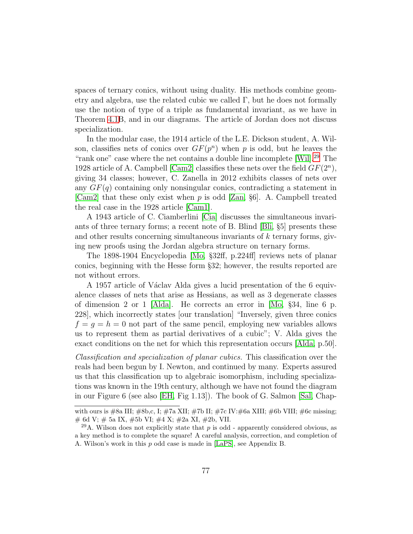spaces of ternary conics, without using duality. His methods combine geometry and algebra, use the related cubic we called  $\Gamma$ , but he does not formally use the notion of type of a triple as fundamental invariant, as we have in Theorem [4.1B](#page-22-0), and in our diagrams. The article of Jordan does not discuss specialization.

In the modular case, the 1914 article of the L.E. Dickson student, A. Wilson, classifies nets of conics over  $GF(p^n)$  when p is odd, but he leaves the "rank one" case where the net contains a double line incomplete [Will.<sup>[29](#page-76-0)</sup> The 1928 article of A. Campbell [\[Cam2\]](#page-86-1) classifies these nets over the field  $GF(2<sup>n</sup>)$ , giving 34 classes; however, C. Zanella in 2012 exhibits classes of nets over any  $GF(q)$  containing only nonsingular conics, contradicting a statement in [\[Cam2\]](#page-86-1) that these only exist when p is odd [\[Zan,](#page-93-0)  $\S6$ ]. A. Campbell treated the real case in the 1928 article [\[Cam1\]](#page-86-2).

A 1943 article of C. Ciamberlini [\[Cia\]](#page-87-3) discusses the simultaneous invariants of three ternary forms; a recent note of B. Blind [\[Bli,](#page-86-0) §5] presents these and other results concerning simultaneous invariants of  $k$  ternary forms, giving new proofs using the Jordan algebra structure on ternary forms.

The 1898-1904 Encyclopedia [\[Mo,](#page-90-0) §32ff, p.224ff] reviews nets of planar conics, beginning with the Hesse form §32; however, the results reported are not without errors.

A 1957 article of Václav Alda gives a lucid presentation of the 6 equivalence classes of nets that arise as Hessians, as well as 3 degenerate classes of dimension 2 or 1 [\[Alda\]](#page-85-0). He corrects an error in [\[Mo,](#page-90-0) §34, line 6 p. 228], which incorrectly states [our translation] "Inversely, given three conics  $f = g = h = 0$  not part of the same pencil, employing new variables allows us to represent them as partial derivatives of a cubic"; V. Alda gives the exact conditions on the net for which this representation occurs [\[Alda,](#page-85-0) p.50].

Classification and specialization of planar cubics. This classification over the reals had been begun by I. Newton, and continued by many. Experts assured us that this classification up to algebraic isomorphism, including specializations was known in the 19th century, although we have not found the diagram in our Figure 6 (see also [\[EH,](#page-88-1) Fig 1.13]). The book of G. Salmon [\[Sal,](#page-91-3) Chap-

with ours is #8a III; #8b,c, I; #7a XII; #7b II; #7c IV:#6a XIII; #6b VIII; #6c missing; # 6d V; # 5a IX, #5b VI; #4 X; #2a XI, #2b, VII.

<span id="page-76-0"></span><sup>&</sup>lt;sup>29</sup>A. Wilson does not explicitly state that p is odd - apparently considered obvious, as a key method is to complete the square! A careful analysis, correction, and completion of A. Wilson's work in this p odd case is made in [\[LaPS\]](#page-90-1), see Appendix B.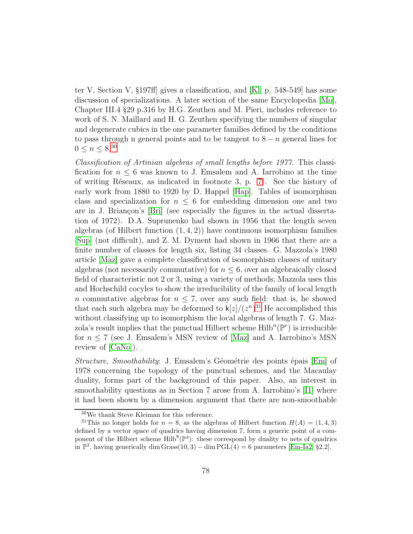ter V, Section V, §197ff] gives a classification, and [\[Kl,](#page-90-2) p. 548-549] has some discussion of specializations. A later section of the same Encyclopedia [\[Mo\]](#page-90-0), Chapter III.4 §29 p.316 by H.G. Zeuthen and M. Pieri, includes reference to work of S. N. Maillard and H. G. Zeuthen specifying the numbers of singular and degenerate cubics in the one parameter families defined by the conditions to pass through n general points and to be tangent to  $8 - n$  general lines for  $0 \leq n \leq 8^{.30}$  $0 \leq n \leq 8^{.30}$  $0 \leq n \leq 8^{.30}$ 

Classification of Artinian algebras of small lengths before 1977. This classification for  $n \leq 6$  was known to J. Emsalem and A. Iarrobino at the time of writing Réseaux, as indicated in footnote 3, p.  $7$ ). See the history of early work from 1880 to 1920 by D. Happel [\[Hap\]](#page-89-2). Tables of isomorphism class and specialization for  $n \leq 6$  for embedding dimension one and two are in J. Briançon's [\[Bri\]](#page-86-3) (see especially the figures in the actual dissertation of 1972). D.A. Suprunenko had shown in 1956 that the length seven algebras (of Hilbert function  $(1, 4, 2)$ ) have continuous isomorphism families [\[Sup\]](#page-92-2) (not difficult), and Z. M. Dyment had shown in 1966 that there are a finite number of classes for length six, listing 34 classes. G. Mazzola's 1980 article [\[Maz\]](#page-90-3) gave a complete classification of isomorphism classes of unitary algebras (not necessarily commutative) for  $n \leq 6$ , over an algebraically closed field of characteristic not 2 or 3, using a variety of methods; Mazzola uses this and Hochschild cocyles to show the irreducibility of the family of local length n commutative algebras for  $n \leq 7$ , over any such field: that is, he showed that each such algebra may be deformed to  $\mathsf{k}[z]/(z^n)^{31}$  $\mathsf{k}[z]/(z^n)^{31}$  $\mathsf{k}[z]/(z^n)^{31}$  He accomplished this without classifying up to isomorphism the local algebras of length 7. G. Mazzola's result implies that the punctual Hilbert scheme  $\mathrm{Hilb}^n(\mathbb{P}^r)$  is irreducible for  $n \leq 7$  (see J. Emsalem's MSN review of [\[Maz\]](#page-90-3) and A. Iarrobino's MSN review of [\[CaNo\]](#page-86-4)).

Structure, Smoothability: J. Emsalem's Géométrie des points épais [\[Em\]](#page-88-2) of 1978 concerning the topology of the punctual schemes, and the Macaulay duality, forms part of the background of this paper. Also, an interest in smoothability questions as in Section 7 arose from A. Iarrobino's [\[I1\]](#page-89-3) where it had been shown by a dimension argument that there are non-smoothable

<span id="page-77-0"></span><sup>30</sup>We thank Steve Kleiman for this reference.

<span id="page-77-1"></span><sup>&</sup>lt;sup>31</sup>This no longer holds for  $n = 8$ , as the algebras of Hilbert function  $H(A) = (1, 4, 3)$ defined by a vector space of quadrics having dimension 7, form a generic point of a component of the Hilbert scheme  $Hilb^{8}(\mathbb{P}^{4})$ : these correspond by duality to nets of quadrics in  $\mathbb{P}^3$ , having generically dim Grass $(10, 3) - \dim \mathrm{PGL}(4) = 6$  parameters [\[Em-Ia2,](#page-88-3) §2.2].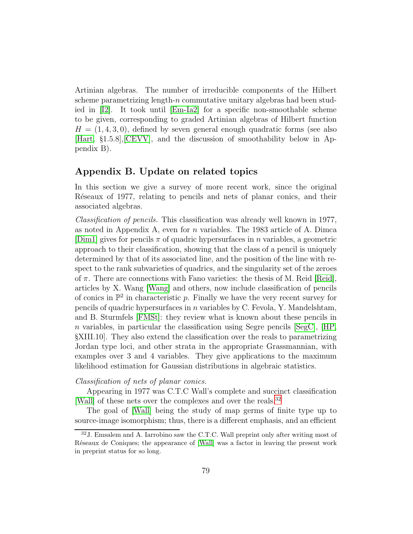Artinian algebras. The number of irreducible components of the Hilbert scheme parametrizing length- $n$  commutative unitary algebras had been studied in [\[I2\]](#page-89-4). It took until [\[Em-Ia2\]](#page-88-3) for a specific non-smoothable scheme to be given, corresponding to graded Artinian algebras of Hilbert function  $H = (1, 4, 3, 0)$ , defined by seven general enough quadratic forms (see also [\[Hart,](#page-89-5) §1.5.8],[\[CEVV\]](#page-86-5), and the discussion of smoothability below in Appendix B).

#### Appendix B. Update on related topics

In this section we give a survey of more recent work, since the original Reseaux of 1977, relating to pencils and nets of planar conics, and their associated algebras.

Classification of pencils. This classification was already well known in 1977, as noted in Appendix A, even for  $n$  variables. The 1983 article of A. Dimca [\[Dim1\]](#page-87-2) gives for pencils  $\pi$  of quadric hypersurfaces in n variables, a geometric approach to their classification, showing that the class of a pencil is uniquely determined by that of its associated line, and the position of the line with respect to the rank subvarieties of quadrics, and the singularity set of the zeroes of  $\pi$ . There are connections with Fano varieties: the thesis of M. Reid [\[Reid\]](#page-91-4), articles by X. Wang [\[Wang\]](#page-92-3) and others, now include classification of pencils of conics in  $\mathbb{P}^2$  in characteristic p. Finally we have the very recent survey for pencils of quadric hypersurfaces in  $n$  variables by C. Fevola, Y. Mandelshtam, and B. Sturmfels [\[FMSt\]](#page-89-6): they review what is known about these pencils in n variables, in particular the classification using Segre pencils  $[SegC], [HP]$ §XIII.10]. They also extend the classification over the reals to parametrizing Jordan type loci, and other strata in the appropriate Grassmannian, with examples over 3 and 4 variables. They give applications to the maximum likelihood estimation for Gaussian distributions in algebraic statistics.

#### Classification of nets of planar conics.

Appearing in 1977 was C.T.C Wall's complete and succinct classification [\[Wall\]](#page-75-0) of these nets over the complexes and over the reals.<sup>[32](#page-78-0)</sup>

The goal of [\[Wall\]](#page-75-0) being the study of map germs of finite type up to source-image isomorphism; thus, there is a different emphasis, and an efficient

<span id="page-78-0"></span><sup>32</sup>J. Emsalem and A. Iarrobino saw the C.T.C. Wall preprint only after writing most of Reseaux de Coniques; the appearance of [\[Wall\]](#page-75-0) was a factor in leaving the present work in preprint status for so long.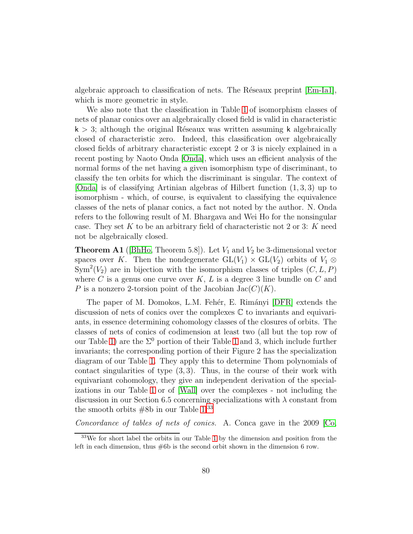algebraic approach to classification of nets. The Réseaux preprint  $|Em-Ia1|$ , which is more geometric in style.

We also note that the classification in Table [1](#page-9-0) of isomorphism classes of nets of planar conics over an algebraically closed field is valid in characteristic  $k > 3$ ; although the original Réseaux was written assuming k algebraically closed of characteristic zero. Indeed, this classification over algebraically closed fields of arbitrary characteristic except 2 or 3 is nicely explained in a recent posting by Naoto Onda [\[Onda\]](#page-90-4), which uses an efficient analysis of the normal forms of the net having a given isomorphism type of discriminant, to classify the ten orbits for which the discriminant is singular. The context of [\[Onda\]](#page-90-4) is of classifying Artinian algebras of Hilbert function (1, 3, 3) up to isomorphism - which, of course, is equivalent to classifying the equivalence classes of the nets of planar conics, a fact not noted by the author. N. Onda refers to the following result of M. Bhargava and Wei Ho for the nonsingular case. They set K to be an arbitrary field of characteristic not 2 or 3: K need not be algebraically closed.

**Theorem A1** ([\[BhHo,](#page-86-6) Theorem 5.8]). Let  $V_1$  and  $V_2$  be 3-dimensional vector spaces over K. Then the nondegenerate  $GL(V_1) \times GL(V_2)$  orbits of  $V_1 \otimes$  $\text{Sym}^2(V_2)$  are in bijection with the isomorphism classes of triples  $(C, L, P)$ where C is a genus one curve over K, L is a degree 3 line bundle on C and P is a nonzero 2-torsion point of the Jacobian  $Jac(C)(K)$ .

The paper of M. Domokos, L.M. Fehér, E. Rimányi [\[DFR\]](#page-88-5) extends the discussion of nets of conics over the complexes C to invariants and equivariants, in essence determining cohomology classes of the closures of orbits. The classes of nets of conics of codimension at least two (all but the top row of our Table [1\)](#page-9-0) are the  $\Sigma^0$  portion of their Table [1](#page-9-0) and 3, which include further invariants; the corresponding portion of their Figure 2 has the specialization diagram of our Table [1.](#page-9-0) They apply this to determine Thom polynomials of contact singularities of type  $(3,3)$ . Thus, in the course of their work with equivariant cohomology, they give an independent derivation of the specializations in our Table [1](#page-9-0) or of [\[Wall\]](#page-75-0) over the complexes - not including the discussion in our Section 6.5 concerning specializations with  $\lambda$  constant from the smooth orbits  $#8b$  in our Table [1.](#page-9-0)<sup>[33](#page-79-0)</sup>

Concordance of tables of nets of conics. A. Conca gave in the 2009 [\[Co,](#page-87-0)

<span id="page-79-0"></span><sup>&</sup>lt;sup>33</sup>We for short label the orbits in our Table [1](#page-9-0) by the dimension and position from the left in each dimension, thus  $\#6b$  is the second orbit shown in the dimension 6 row.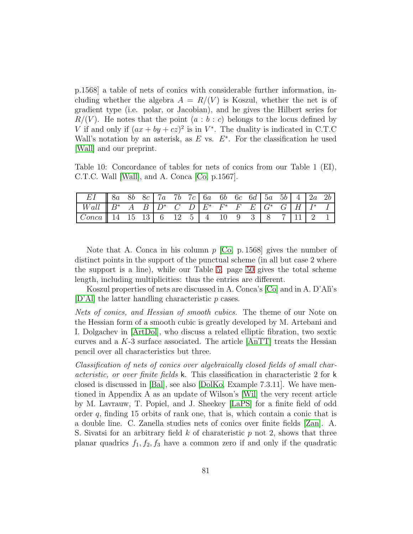p.1568] a table of nets of conics with considerable further information, including whether the algebra  $A = R/(V)$  is Koszul, whether the net is of gradient type (i.e. polar, or Jacobian), and he gives the Hilbert series for  $R/(V)$ . He notes that the point  $(a:b:c)$  belongs to the locus defined by V if and only if  $(ax + by + cz)^2$  is in  $V^*$ . The duality is indicated in C.T.C Wall's notation by an asterisk, as  $E$  vs.  $E^*$ . For the classification he used [\[Wall\]](#page-75-0) and our preprint.

<span id="page-80-0"></span>Table 10: Concordance of tables for nets of conics from our Table 1 (EI), C.T.C. Wall [\[Wall\]](#page-75-0), and A. Conca [\[Co,](#page-87-0) p.1567].

| EI    8a 8b 8c    7a 7b 7c    6a 6b 6c 6d    5a 5b $\boxed{4}$    2a 2b |  |  |  |  |  |  |  |  |
|-------------------------------------------------------------------------|--|--|--|--|--|--|--|--|
|                                                                         |  |  |  |  |  |  |  |  |
|                                                                         |  |  |  |  |  |  |  |  |

Note that A. Conca in his column  $p$  [\[Co,](#page-87-0) p. 1568] gives the number of distinct points in the support of the punctual scheme (in all but case 2 where the support is a line), while our Table [5,](#page-49-0) page [50](#page-49-0) gives the total scheme length, including multiplicities: thus the entries are different.

Koszul properties of nets are discussed in A. Conca's [\[Co\]](#page-87-0) and in A. D'Ali's  $[D'Al]$  the latter handling characteristic p cases.

Nets of conics, and Hessian of smooth cubics. The theme of our Note on the Hessian form of a smooth cubic is greatly developed by M. Artebani and I. Dolgachev in [\[ArtDol\]](#page-86-7), who discuss a related elliptic fibration, two sextic curves and a  $K$ -3 surface associated. The article  $[AnTT]$  treats the Hessian pencil over all characteristics but three.

Classification of nets of conics over algebraically closed fields of small characteristic, or over finite fields k. This classification in characteristic 2 for k closed is discussed in [\[Bal\]](#page-86-8), see also [\[DolKo,](#page-88-0) Example 7.3.11]. We have mentioned in Appendix A as an update of Wilson's [\[Wil\]](#page-92-1) the very recent article by M. Lavrauw, T. Popiel, and J. Sheekey [\[LaPS\]](#page-90-1) for a finite field of odd order  $q$ , finding 15 orbits of rank one, that is, which contain a conic that is a double line. C. Zanella studies nets of conics over finite fields [\[Zan\]](#page-93-0). A. S. Sivatsi for an arbitrary field  $k$  of charateristic  $p$  not 2, shows that three planar quadrics  $f_1, f_2, f_3$  have a common zero if and only if the quadratic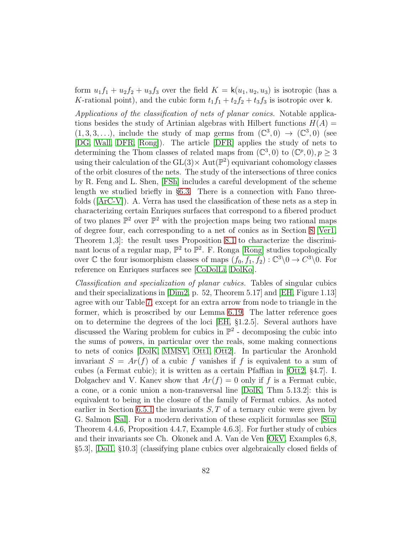form  $u_1f_1 + u_2f_2 + u_3f_3$  over the field  $K = \mathsf{k}(u_1, u_2, u_3)$  is isotropic (has a K-rational point), and the cubic form  $t_1f_1 + t_2f_2 + t_3f_3$  is isotropic over k.

Applications of the classification of nets of planar conics. Notable applications besides the study of Artinian algebras with Hilbert functions  $H(A)$  =  $(1,3,3,\ldots)$ , include the study of map germs from  $(\mathbb{C}^3,0) \to (\mathbb{C}^3,0)$  (see [\[DG,](#page-87-5) [Wall,](#page-92-4) [DFR,](#page-88-5) [Rong\]](#page-91-5)). The article [\[DFR\]](#page-88-5) applies the study of nets to determining the Thom classes of related maps from  $(\mathbb{C}^3,0)$  to  $(\mathbb{C}^p,0), p \geq 3$ using their calculation of the  $GL(3) \times Aut(\mathbb{P}^2)$  equivariant cohomology classes of the orbit closures of the nets. The study of the intersections of three conics by R. Feng and L. Shen, [\[FSh\]](#page-88-6) includes a careful development of the scheme length we studied briefly in §[6.3.](#page-47-0) There is a connection with Fano three-folds $([ArC-V])$  $([ArC-V])$  $([ArC-V])$ . A. Verra has used the classification of these nets as a step in characterizing certain Enriques surfaces that correspond to a fibered product of two planes  $\mathbb{P}^2$  over  $\mathbb{P}^2$  with the projection maps being two rational maps of degree four, each corresponding to a net of conics as in Section [8](#page-68-0) [\[Ver1,](#page-92-5) Theorem 1,3]: the result uses Proposition 8.1 to characterize the discriminant locus of a regular map,  $\mathbb{P}^2$  to  $\mathbb{P}^2$ . F. Ronga [\[Rong\]](#page-91-5) studies topologically over  $\mathbb C$  the four isomorphism classes of maps  $(f_0, f_1, f_2) : \mathbb C^3 \setminus 0 \to C^3 \setminus 0$ . For reference on Enriques surfaces see [\[CoDolLi,](#page-87-6) [DolKo\]](#page-88-0).

Classification and specialization of planar cubics. Tables of singular cubics and their specializations in [\[Dim2,](#page-87-7) p. 52, Theorem 5.17] and [\[EH,](#page-88-1) Figure 1.13] agree with our Table [7,](#page-57-0) except for an extra arrow from node to triangle in the former, which is proscribed by our Lemma [6.19.](#page-55-1) The latter reference goes on to determine the degrees of the loci [\[EH,](#page-88-1) §1.2.5]. Several authors have discussed the Waring problem for cubics in  $\mathbb{P}^2$  - decomposing the cubic into the sums of powers, in particular over the reals, some making connections to nets of conics [\[DolK,](#page-88-7) [MMSV,](#page-90-5) [Ott1,](#page-90-6) [Ott2\]](#page-90-7). In particular the Aronhold invariant  $S = Ar(f)$  of a cubic f vanishes if f is equivalent to a sum of cubes (a Fermat cubic); it is written as a certain Pfaffian in [\[Ott2,](#page-90-7) §4.7]. I. Dolgachev and V. Kanev show that  $Ar(f) = 0$  only if f is a Fermat cubic, a cone, or a conic union a non-transversal line [\[DolK,](#page-88-7) Thm 5.13.2]: this is equivalent to being in the closure of the family of Fermat cubics. As noted earlier in Section [6.5.1](#page-50-0) the invariants  $S, T$  of a ternary cubic were given by G. Salmon [\[Sal\]](#page-91-3). For a modern derivation of these explicit formulas see [\[Stu,](#page-92-6) Theorem 4.4.6, Proposition 4.4.7, Example 4.6.3]. For further study of cubics and their invariants see Ch. Okonek and A. Van de Ven [\[OkV,](#page-90-8) Examples 6,8, §5.3], [\[Dol1,](#page-87-8) §10.3] (classifying plane cubics over algebraically closed fields of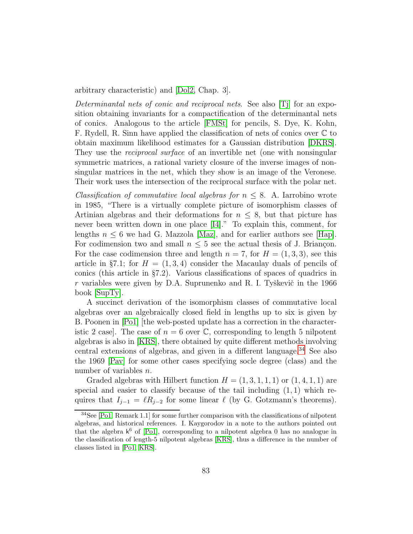arbitrary characteristic) and [\[Dol2,](#page-87-1) Chap. 3].

Determinantal nets of conic and reciprocal nets. See also [\[Tj\]](#page-92-7) for an exposition obtaining invariants for a compactification of the determinantal nets of conics. Analogous to the article [\[FMSt\]](#page-89-6) for pencils, S. Dye, K. Kohn, F. Rydell, R. Sinn have applied the classification of nets of conics over C to obtain maximum likelihood estimates for a Gaussian distribution [\[DKRS\]](#page-88-8). They use the *reciprocal surface* of an invertible net (one with nonsingular symmetric matrices, a rational variety closure of the inverse images of nonsingular matrices in the net, which they show is an image of the Veronese. Their work uses the intersection of the reciprocal surface with the polar net.

*Classification of commutative local algebras for*  $n \leq 8$ *.* A. Iarrobino wrote in 1985, "There is a virtually complete picture of isomorphism classes of Artinian algebras and their deformations for  $n \leq 8$ , but that picture has never been written down in one place [\[I4\]](#page-89-8)." To explain this, comment, for lengths  $n \leq 6$  we had G. Mazzola [\[Maz\]](#page-90-3), and for earlier authors see [\[Hap\]](#page-89-2). For codimension two and small  $n \leq 5$  see the actual thesis of J. Briançon. For the case codimension three and length  $n = 7$ , for  $H = (1, 3, 3)$ , see this article in §7.1; for  $H = (1, 3, 4)$  consider the Macaulay duals of pencils of conics (this article in §7.2). Various classifications of spaces of quadrics in r variables were given by D.A. Suprunenko and R. I. Tyškevič in the 1966 book [\[SupTy\]](#page-92-8).

A succinct derivation of the isomorphism classes of commutative local algebras over an algebraically closed field in lengths up to six is given by B. Poonen in [\[Po1\]](#page-90-9) [the web-posted update has a correction in the characteristic 2 case. The case of  $n = 6$  over  $\mathbb{C}$ , corresponding to length 5 nilpotent algebras is also in [\[KRS\]](#page-90-10), there obtained by quite different methods involving central extensions of algebras, and given in a different language.<sup>[34](#page-82-0)</sup> See also the 1969 [\[Pav\]](#page-90-11) for some other cases specifying socle degree (class) and the number of variables n.

Graded algebras with Hilbert function  $H = (1, 3, 1, 1, 1)$  or  $(1, 4, 1, 1)$  are special and easier to classify because of the tail including  $(1, 1)$  which requires that  $I_{j-1} = \ell R_{j-2}$  for some linear  $\ell$  (by G. Gotzmann's theorems).

<span id="page-82-0"></span><sup>34</sup>See [\[Po1,](#page-90-9) Remark 1.1] for some further comparison with the classifications of nilpotent algebras, and historical references. I. Kaygorodov in a note to the authors pointed out that the algebra  $k^6$  of [\[Po1\]](#page-90-9), corresponding to a nilpotent algebra 0 has no analogue in the classification of length-5 nilpotent algebras [\[KRS\]](#page-90-10), thus a difference in the number of classes listed in [\[Po1,](#page-90-9) [KRS\]](#page-90-10).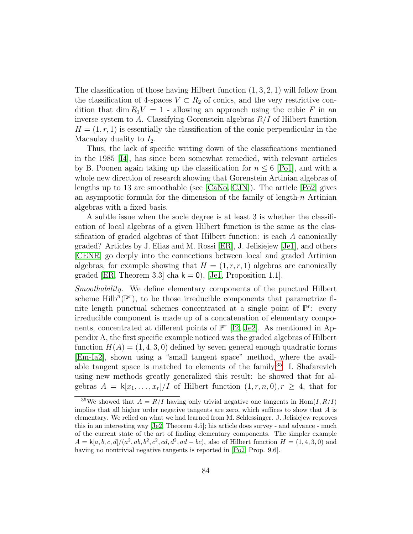The classification of those having Hilbert function  $(1, 3, 2, 1)$  will follow from the classification of 4-spaces  $V \subset R_2$  of conics, and the very restrictive condition that dim  $R_1V = 1$  - allowing an approach using the cubic F in an inverse system to A. Classifying Gorenstein algebras  $R/I$  of Hilbert function  $H = (1, r, 1)$  is essentially the classification of the conic perpendicular in the Macaulay duality to  $I_2$ .

Thus, the lack of specific writing down of the classifications mentioned in the 1985 [\[I4\]](#page-89-8), has since been somewhat remedied, with relevant articles by B. Poonen again taking up the classification for  $n \leq 6$  [\[Po1\]](#page-90-9), and with a whole new direction of research showing that Gorenstein Artinian algebras of lengths up to 13 are smoothable (see [\[CaNo,](#page-86-4) [CJN\]](#page-87-9)). The article [\[Po2\]](#page-91-6) gives an asymptotic formula for the dimension of the family of length- $n$  Artinian algebras with a fixed basis.

A subtle issue when the socle degree is at least 3 is whether the classification of local algebras of a given Hilbert function is the same as the classification of graded algebras of that Hilbert function: is each A canonically graded? Articles by J. Elias and M. Rossi [\[ER\]](#page-88-9), J. Jelisiejew [\[Je1\]](#page-89-9), and others [\[CENR\]](#page-87-10) go deeply into the connections between local and graded Artinian algebras, for example showing that  $H = (1, r, r, 1)$  algebras are canonically graded [\[ER,](#page-88-9) Theorem 3.3] cha  $k = 0$ ), [\[Je1,](#page-89-9) Proposition 1.1].

Smoothability. We define elementary components of the punctual Hilbert scheme  $\text{Hilb}^n(\mathbb{P}^r)$ , to be those irreducible components that parametrize finite length punctual schemes concentrated at a single point of  $\mathbb{P}^r$ : every irreducible component is made up of a concatenation of elementary components, concentrated at different points of  $\mathbb{P}^r$  [\[I2,](#page-89-4) [Je2\]](#page-89-10). As mentioned in Appendix A, the first specific example noticed was the graded algebras of Hilbert function  $H(A) = (1, 4, 3, 0)$  defined by seven general enough quadratic forms [\[Em-Ia2\]](#page-88-3), shown using a "small tangent space" method, where the available tangent space is matched to elements of the family.[35](#page-83-0) I. Shafarevich using new methods greatly generalized this result: he showed that for algebras  $A = k[x_1, \ldots, x_r]/I$  of Hilbert function  $(1, r, n, 0), r \geq 4$ , that for

<span id="page-83-0"></span><sup>&</sup>lt;sup>35</sup>We showed that  $A = R/I$  having only trivial negative one tangents in Hom $(I, R/I)$ implies that all higher order negative tangents are zero, which suffices to show that  $A$  is elementary. We relied on what we had learned from M. Schlessinger. J. Jelisiejew reproves this in an interesting way [\[Je2,](#page-89-10) Theorem 4.5]; his article does survey - and advance - much of the current state of the art of finding elementary components. The simpler example  $A = k[a, b, c, d]/(a^2, ab, b^2, c^2, cd, d^2, ad - bc)$ , also of Hilbert function  $H = (1, 4, 3, 0)$  and having no nontrivial negative tangents is reported in [\[Po2,](#page-91-6) Prop. 9.6].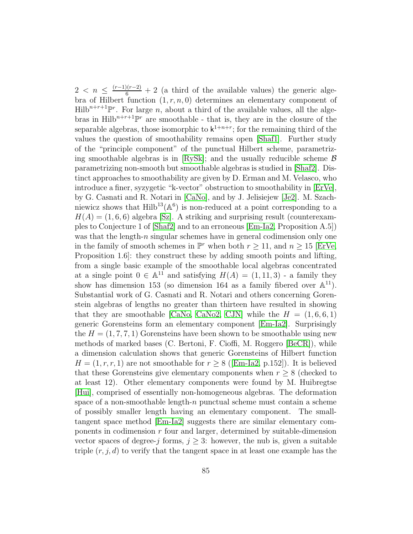$2 < n \leq \frac{(r-1)(r-2)}{6} + 2$  (a third of the available values) the generic algebra of Hilbert function  $(1, r, n, 0)$  determines an elementary component of  $Hilb^{n+r+1}$ <sup>pr</sup>. For large *n*, about a third of the available values, all the algebras in  $Hilb^{n+r+1}$ <sup>pr</sup> are smoothable - that is, they are in the closure of the separable algebras, those isomorphic to  $k^{1+n+r}$ ; for the remaining third of the values the question of smoothability remains open [\[Shaf1\]](#page-91-7). Further study of the "principle component" of the punctual Hilbert scheme, parametriz-ing smoothable algebras is in [\[RySk\]](#page-91-8); and the usually reducible scheme  $\beta$ parametrizing non-smooth but smoothable algebras is studied in [\[Shaf2\]](#page-92-9). Distinct approaches to smoothability are given by D. Erman and M. Velasco, who introduce a finer, syzygetic "k-vector" obstruction to smoothability in [\[ErVe\]](#page-88-10), by G. Casnati and R. Notari in [\[CaNo\]](#page-86-4), and by J. Jelisiejew [\[Je2\]](#page-89-10). M. Szachniewicz shows that  $\text{Hilb}^{13}(\mathbb{A}^6)$  is non-reduced at a point corresponding to a  $H(A) = (1, 6, 6)$  algebra [\[Sz\]](#page-92-10). A striking and surprising result (counterexamples to Conjecture 1 of [\[Shaf2\]](#page-92-9) and to an erroneous [\[Em-Ia2,](#page-88-3) Proposition A.5]) was that the length- $n$  singular schemes have in general codimension only one in the family of smooth schemes in  $\mathbb{P}^r$  when both  $r \ge 11$ , and  $n \ge 15$  [\[ErVe,](#page-88-10) Proposition 1.6]: they construct these by adding smooth points and lifting, from a single basic example of the smoothable local algebras concentrated at a single point  $0 \in \mathbb{A}^{11}$  and satisfying  $H(A) = (1, 11, 3)$  - a family they show has dimension 153 (so dimension 164 as a family fibered over  $\mathbb{A}^{11}$ ). Substantial work of G. Casnati and R. Notari and others concerning Gorenstein algebras of lengths no greater than thirteen have resulted in showing that they are smoothable [\[CaNo,](#page-86-4) [CaNo2,](#page-87-11) [CJN\]](#page-87-9) while the  $H = (1, 6, 6, 1)$ generic Gorensteins form an elementary component [\[Em-Ia2\]](#page-88-3). Surprisingly the  $H = (1, 7, 7, 1)$  Gorensteins have been shown to be smoothable using new methods of marked bases (C. Bertoni, F. Cioffi, M. Roggero [\[BeCR\]](#page-86-9)), while a dimension calculation shows that generic Gorensteins of Hilbert function  $H = (1, r, r, 1)$  $H = (1, r, r, 1)$  $H = (1, r, r, 1)$  are not smoothable for  $r \geq 8$  ([\[Em-Ia2,](#page-88-3) p.152]). It is believed that these Gorensteins give elementary components when  $r \geq 8$  (checked to at least 12). Other elementary components were found by M. Huibregtse [\[Hui\]](#page-89-11), comprised of essentially non-homogeneous algebras. The deformation space of a non-smoothable length-n punctual scheme must contain a scheme of possibly smaller length having an elementary component. The smalltangent space method [\[Em-Ia2\]](#page-88-3) suggests there are similar elementary components in codimension  $r$  four and larger, determined by suitable-dimension vector spaces of degree-j forms,  $j \geq 3$ : however, the nub is, given a suitable triple  $(r, j, d)$  to verify that the tangent space in at least one example has the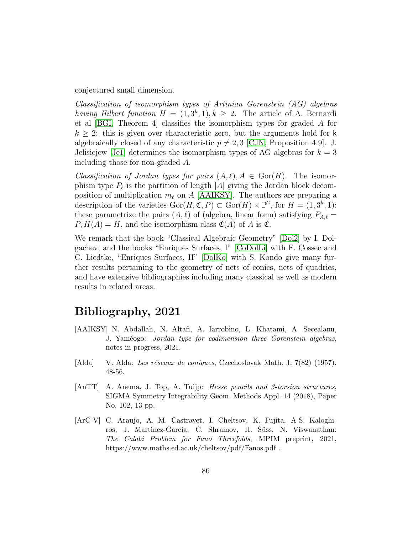conjectured small dimension.

Classification of isomorphism types of Artinian Gorenstein (AG) algebras having Hilbert function  $H = (1, 3^k, 1), k \ge 2$ . The article of A. Bernardi et al [\[BGI,](#page-86-10) Theorem 4] classifies the isomorphism types for graded A for  $k \geq 2$ : this is given over characteristic zero, but the arguments hold for k algebraically closed of any characteristic  $p \neq 2, 3$  [\[CJN,](#page-87-9) Proposition 4.9]. J. Jelisiejew [\[Je1\]](#page-89-9) determines the isomorphism types of AG algebras for  $k = 3$ including those for non-graded A.

Classification of Jordan types for pairs  $(A, \ell), A \in \text{Gor}(H)$ . The isomorphism type  $P_{\ell}$  is the partition of length  $|A|$  giving the Jordan block decomposition of multiplication  $m_{\ell}$  on A [\[AAIKSY\]](#page-85-3). The authors are preparing a description of the varieties  $\text{Gor}(H, \mathfrak{C}, P) \subset \text{Gor}(H) \times \mathbb{P}^2$ , for  $H = (1, 3^k, 1)$ : these parametrize the pairs  $(A, \ell)$  of (algebra, linear form) satisfying  $P_{A,\ell}$  =  $P, H(A) = H$ , and the isomorphism class  $\mathfrak{C}(A)$  of A is  $\mathfrak{C}$ .

We remark that the book "Classical Algebraic Geometry" [\[Dol2\]](#page-87-1) by I. Dolgachev, and the books "Enriques Surfaces, I" [\[CoDolLi\]](#page-87-6) with F. Cossec and C. Liedtke, "Enriques Surfaces, II" [\[DolKo\]](#page-88-0) with S. Kondo give many further results pertaining to the geometry of nets of conics, nets of quadrics, and have extensive bibliographies including many classical as well as modern results in related areas.

## Bibliography, 2021

- <span id="page-85-3"></span>[AAIKSY] N. Abdallah, N. Altafi, A. Iarrobino, L. Khatami, A. Secealanu, J. Yaméogo: Jordan type for codimension three Gorenstein algebras, notes in progress, 2021.
- <span id="page-85-0"></span>[Alda] V. Alda: Les réseaux de coniques, Czechoslovak Math. J. 7(82) (1957), 48-56.
- <span id="page-85-1"></span>[AnTT] A. Anema, J. Top, A. Tuijp: Hesse pencils and 3-torsion structures, SIGMA Symmetry Integrability Geom. Methods Appl. 14 (2018), Paper No. 102, 13 pp.
- <span id="page-85-2"></span>[ArC-V] C. Araujo, A. M. Castravet, I. Cheltsov, K. Fujita, A-S. Kaloghiros, J. Martinez-Garcia, C. Shramov, H. Süss, N. Viswanathan: The Calabi Problem for Fano Threefolds, MPIM preprint, 2021, https://www.maths.ed.ac.uk/cheltsov/pdf/Fanos.pdf .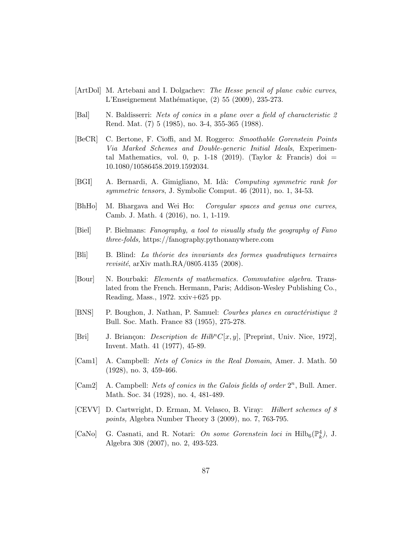- <span id="page-86-7"></span>[ArtDol] M. Artebani and I. Dolgachev: The Hesse pencil of plane cubic curves, L'Enseignement Math´ematique, (2) 55 (2009), 235-273.
- <span id="page-86-8"></span>[Bal] N. Baldisserri: Nets of conics in a plane over a field of characteristic 2 Rend. Mat. (7) 5 (1985), no. 3-4, 355-365 (1988).
- <span id="page-86-9"></span>[BeCR] C. Bertone, F. Cioffi, and M. Roggero: Smoothable Gorenstein Points Via Marked Schemes and Double-generic Initial Ideals, Experimental Mathematics, vol. 0, p. 1-18 (2019). (Taylor & Francis) doi  $=$ 10.1080/10586458.2019.1592034.
- <span id="page-86-10"></span>[BGI] A. Bernardi, A. Gimigliano, M. Idà: Computing symmetric rank for symmetric tensors, J. Symbolic Comput. 46 (2011), no. 1, 34-53.
- <span id="page-86-6"></span>[BhHo] M. Bhargava and Wei Ho: Coregular spaces and genus one curves, Camb. J. Math. 4 (2016), no. 1, 1-119.
- [Biel] P. Bielmans: Fanography, a tool to visually study the geography of Fano three-folds, https://fanography.pythonanywhere.com
- <span id="page-86-0"></span>[Bli] B. Blind: La th´eorie des invariants des formes quadratiques ternaires revisité, arXiv math.RA/0805.4135 (2008).
- [Bour] N. Bourbaki: Elements of mathematics. Commutative algebra. Translated from the French. Hermann, Paris; Addison-Wesley Publishing Co., Reading, Mass., 1972. xxiv+625 pp.
- [BNS] P. Boughon, J. Nathan, P. Samuel: *Courbes planes en caractéristique 2* Bull. Soc. Math. France 83 (1955), 275-278.
- <span id="page-86-3"></span>[Bri] J. Briançon: *Description de Hilb<sup>n</sup>C*[x, y], [Preprint, Univ. Nice, 1972], Invent. Math. 41 (1977), 45-89.
- <span id="page-86-2"></span>[Cam1] A. Campbell: Nets of Conics in the Real Domain, Amer. J. Math. 50 (1928), no. 3, 459-466.
- <span id="page-86-1"></span>[Cam2] A. Campbell: Nets of conics in the Galois fields of order  $2^n$ , Bull. Amer. Math. Soc. 34 (1928), no. 4, 481-489.
- <span id="page-86-5"></span>[CEVV] D. Cartwright, D. Erman, M. Velasco, B. Viray: Hilbert schemes of 8 points, Algebra Number Theory 3 (2009), no. 7, 763-795.
- <span id="page-86-4"></span>[CaNo] G. Casnati, and R. Notari: On some Gorenstein loci in  $\mathrm{Hilb}_6(\mathbb{P}_k^4)$ , J. Algebra 308 (2007), no. 2, 493-523.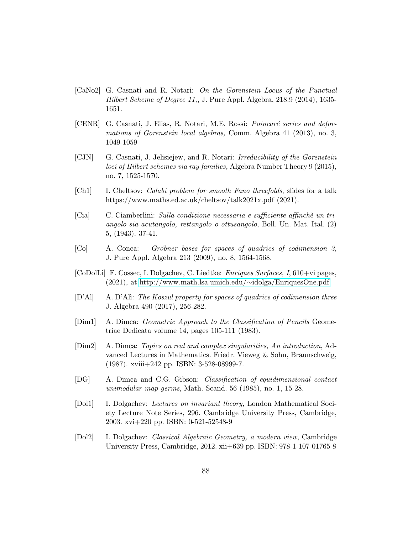- <span id="page-87-11"></span>[CaNo2] G. Casnati and R. Notari: On the Gorenstein Locus of the Punctual Hilbert Scheme of Degree 11,, J. Pure Appl. Algebra, 218:9 (2014), 1635- 1651.
- <span id="page-87-10"></span>[CENR] G. Casnati, J. Elias, R. Notari, M.E. Rossi: *Poincaré series and defor*mations of Gorenstein local algebras, Comm. Algebra 41 (2013), no. 3, 1049-1059
- <span id="page-87-9"></span>[CJN] G. Casnati, J. Jelisiejew, and R. Notari: Irreducibility of the Gorenstein loci of Hilbert schemes via ray families, Algebra Number Theory 9 (2015), no. 7, 1525-1570.
- [Ch1] I. Cheltsov: Calabi problem for smooth Fano threefolds, slides for a talk https://www.maths.ed.ac.uk/cheltsov/talk2021x.pdf (2021).
- <span id="page-87-3"></span>[Cia] C. Ciamberlini: Sulla condizione necessaria e sufficiente affinch`e un triangolo sia acutangolo, rettangolo o ottusangolo, Boll. Un. Mat. Ital. (2) 5, (1943). 37-41.
- <span id="page-87-0"></span>[Co] A. Conca: Gröbner bases for spaces of quadrics of codimension 3, J. Pure Appl. Algebra 213 (2009), no. 8, 1564-1568.
- <span id="page-87-6"></span>[CoDolLi] F. Cossec, I. Dolgachev, C. Liedtke: Enriques Surfaces, I, 610+vi pages, (2021), at [http://www.math.lsa.umich.edu/](http://www.math.lsa.umich.edu/~idolga/EnriquesOne.pdf)∼idolga/EnriquesOne.pdf
- <span id="page-87-4"></span>[D'Al] A. D'Alì: The Koszul property for spaces of quadrics of codimension three J. Algebra 490 (2017), 256-282.
- <span id="page-87-2"></span>[Dim1] A. Dimca: Geometric Approach to the Classification of Pencils Geometriae Dedicata volume 14, pages 105-111 (1983).
- <span id="page-87-7"></span>[Dim2] A. Dimca: Topics on real and complex singularities, An introduction, Advanced Lectures in Mathematics. Friedr. Vieweg & Sohn, Braunschweig, (1987). xviii+242 pp. ISBN: 3-528-08999-7.
- <span id="page-87-5"></span>[DG] A. Dimca and C.G. Gibson: Classification of equidimensional contact unimodular map germs, Math. Scand. 56 (1985), no. 1, 15-28.
- <span id="page-87-8"></span>[Dol1] I. Dolgachev: Lectures on invariant theory, London Mathematical Society Lecture Note Series, 296. Cambridge University Press, Cambridge, 2003. xvi+220 pp. ISBN: 0-521-52548-9
- <span id="page-87-1"></span>[Dol2] I. Dolgachev: Classical Algebraic Geometry, a modern view, Cambridge University Press, Cambridge, 2012. xii+639 pp. ISBN: 978-1-107-01765-8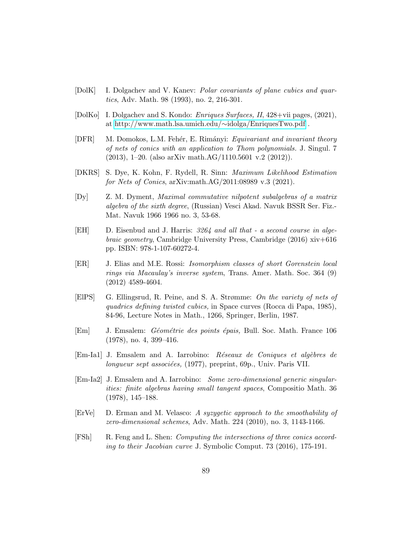- <span id="page-88-7"></span>[DolK] I. Dolgachev and V. Kanev: Polar covariants of plane cubics and quartics, Adv. Math. 98 (1993), no. 2, 216-301.
- <span id="page-88-0"></span>[DolKo] I. Dolgachev and S. Kondo: Enriques Surfaces, II, 428+vii pages, (2021), at [http://www.math.lsa.umich.edu/](http://www.math.lsa.umich.edu/~idolga/EnriquesTwo.pdf)∼idolga/EnriquesTwo.pdf .
- <span id="page-88-5"></span>[DFR] M. Domokos, L.M. Fehér, E. Rimányi: *Equivariant and invariant theory* of nets of conics with an application to Thom polynomials. J. Singul. 7 (2013), 1–20. (also arXiv math.AG/1110.5601 v.2 (2012)).
- <span id="page-88-8"></span>[DKRS] S. Dye, K. Kohn, F. Rydell, R. Sinn: Maximum Likelihood Estimation for Nets of Conics, arXiv:math.AG/2011:08989 v.3 (2021).
- [Dy] Z. M. Dyment, Maximal commutative nilpotent subalgebras of a matrix algebra of the sixth degree, (Russian) Vesci Akad. Navuk BSSR Ser. Fiz.- Mat. Navuk 1966 1966 no. 3, 53-68.
- <span id="page-88-1"></span>[EH] D. Eisenbud and J. Harris: 3264 and all that - a second course in algebraic geometry, Cambridge University Press, Cambridge (2016) xiv+616 pp. ISBN: 978-1-107-60272-4.
- <span id="page-88-9"></span>[ER] J. Elias and M.E. Rossi: Isomorphism classes of short Gorenstein local rings via Macaulay's inverse system, Trans. Amer. Math. Soc. 364 (9) (2012) 4589-4604.
- [ElPS] G. Ellingsrud, R. Peine, and S. A. Strømme: On the variety of nets of quadrics defining twisted cubics, in Space curves (Rocca di Papa, 1985), 84-96, Lecture Notes in Math., 1266, Springer, Berlin, 1987.
- <span id="page-88-2"></span>[Em] J. Emsalem: *Géométrie des points épais*, Bull. Soc. Math. France 106 (1978), no. 4, 399–416.
- <span id="page-88-4"></span>[Em-Ia1] J. Emsalem and A. Iarrobino: Réseaux de Coniques et algèbres de  $\ell$ longueur sept associées, (1977), preprint, 69p., Univ. Paris VII.
- <span id="page-88-3"></span>[Em-Ia2] J. Emsalem and A. Iarrobino: Some zero-dimensional generic singularities: finite algebras having small tangent spaces, Compositio Math. 36 (1978), 145–188.
- <span id="page-88-10"></span>[ErVe] D. Erman and M. Velasco: A syzygetic approach to the smoothability of zero-dimensional schemes, Adv. Math. 224 (2010), no. 3, 1143-1166.
- <span id="page-88-6"></span>[FSh] R. Feng and L. Shen: Computing the intersections of three conics according to their Jacobian curve J. Symbolic Comput. 73 (2016), 175-191.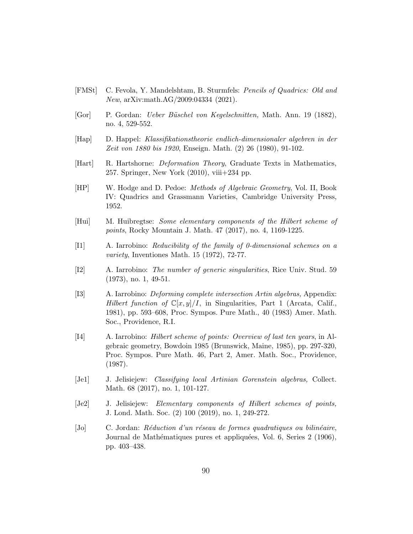- <span id="page-89-6"></span>[FMSt] C. Fevola, Y. Mandelshtam, B. Sturmfels: Pencils of Quadrics: Old and New, arXiv:math.AG/2009:04334 (2021).
- <span id="page-89-0"></span>[Gor] P. Gordan: Ueber B¨uschel von Kegelschnitten, Math. Ann. 19 (1882), no. 4, 529-552.
- <span id="page-89-2"></span>[Hap] D. Happel: Klassifikationstheorie endlich-dimensionaler algebren in der Zeit von 1880 bis 1920, Enseign. Math. (2) 26 (1980), 91-102.
- <span id="page-89-5"></span>[Hart] R. Hartshorne: Deformation Theory, Graduate Texts in Mathematics, 257. Springer, New York  $(2010)$ , viii $+234$  pp.
- <span id="page-89-7"></span>[HP] W. Hodge and D. Pedoe: Methods of Algebraic Geometry, Vol. II, Book IV: Quadrics and Grassmann Varieties, Cambridge University Press, 1952.
- <span id="page-89-11"></span>[Hui] M. Huibregtse: Some elementary components of the Hilbert scheme of points, Rocky Mountain J. Math. 47 (2017), no. 4, 1169-1225.
- <span id="page-89-3"></span>[I1] A. Iarrobino: Reducibility of the family of 0-dimensional schemes on a variety, Inventiones Math. 15 (1972), 72-77.
- <span id="page-89-4"></span>[I2] A. Iarrobino: The number of generic singularities, Rice Univ. Stud. 59 (1973), no. 1, 49-51.
- [I3] A. Iarrobino: Deforming complete intersection Artin algebras, Appendix: Hilbert function of  $\mathbb{C}[x,y]/I$ , in Singularities, Part 1 (Arcata, Calif., 1981), pp. 593–608, Proc. Sympos. Pure Math., 40 (1983) Amer. Math. Soc., Providence, R.I.
- <span id="page-89-8"></span>[I4] A. Iarrobino: Hilbert scheme of points: Overview of last ten years, in Algebraic geometry, Bowdoin 1985 (Brunswick, Maine, 1985), pp. 297-320, Proc. Sympos. Pure Math. 46, Part 2, Amer. Math. Soc., Providence, (1987).
- <span id="page-89-9"></span>[Je1] J. Jelisiejew: Classifying local Artinian Gorenstein algebras, Collect. Math. 68 (2017), no. 1, 101-127.
- <span id="page-89-10"></span>[Je2] J. Jelisiejew: Elementary components of Hilbert schemes of points, J. Lond. Math. Soc. (2) 100 (2019), no. 1, 249-272.
- <span id="page-89-1"></span> $[Jo]$  C. Jordan: Réduction d'un réseau de formes quadratiques ou bilinéaire, Journal de Mathématiques pures et appliquées, Vol. 6, Series 2 (1906), pp. 403–438.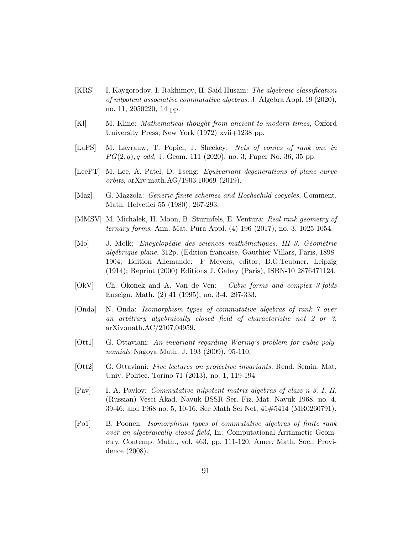- <span id="page-90-10"></span>[KRS] I. Kaygorodov, I. Rakhimov, H. Said Husain: The algebraic classification of nilpotent associative commutative algebras. J. Algebra Appl. 19 (2020), no. 11, 2050220, 14 pp.
- <span id="page-90-2"></span>[Kl] M. Kline: Mathematical thought from ancient to modern times, Oxford University Press, New York (1972) xvii+1238 pp.
- <span id="page-90-1"></span>[LaPS] M. Lavrauw, T. Popiel, J. Sheekey: Nets of conics of rank one in  $PG(2, q), q \text{ odd}, \text{ J. Geom. } 111 (2020), \text{ no. } 3, \text{ Paper No. } 36, 35 \text{ pp.}$
- [LeePT] M. Lee, A. Patel, D. Tseng: Equivariant degenerations of plane curve orbits, arXiv:math.AG/1903.10069 (2019).
- <span id="page-90-3"></span>[Maz] G. Mazzola: Generic finite schemes and Hochschild cocycles, Comment. Math. Helvetici 55 (1980), 267-293.
- <span id="page-90-5"></span>[MMSV] M. Michałek, H. Moon, B. Sturmfels, E. Ventura: Real rank geometry of ternary forms, Ann. Mat. Pura Appl. (4) 196 (2017), no. 3, 1025-1054.
- <span id="page-90-0"></span>[Mo] J. Molk: *Encyclopédie des sciences mathématiques. III 3. Géométrie* algébrique plane, 312p. (Edition française, Gauthier-Villars, Paris, 1898-1904; Edition Allemande: F Meyers, editor, B.G.Teubner, Leipzig (1914); Reprint (2000) Editions J. Gabay (Paris), ISBN-10 2876471124.
- <span id="page-90-8"></span>[OkV] Ch. Okonek and A. Van de Ven: Cubic forms and complex 3-folds Enseign. Math. (2) 41 (1995), no. 3-4, 297-333.
- <span id="page-90-4"></span>[Onda] N. Onda: Isomorphism types of commutative algebras of rank 7 over an arbitrary algebraically closed field of characteristic not 2 or 3, arXiv:math.AC/2107.04959.
- <span id="page-90-6"></span>[Ott1] G. Ottaviani: An invariant regarding Waring's problem for cubic polynomials Nagoya Math. J. 193 (2009), 95-110.
- <span id="page-90-7"></span>[Ott2] G. Ottaviani: Five lectures on projective invariants, Rend. Semin. Mat. Univ. Politec. Torino 71 (2013), no. 1, 119-194
- <span id="page-90-11"></span>[Pav] I. A. Pavlov: Commutative nilpotent matrix algebras of class n-3. I, II, (Russian) Vesci Akad. Navuk BSSR Ser. Fiz.-Mat. Navuk 1968, no. 4, 39-46; and 1968 no. 5, 10-16. See Math Sci Net, 41#5414 (MR0260791).
- <span id="page-90-9"></span>[Po1] B. Poonen: Isomorphism types of commutative algebras of finite rank over an algebraically closed field, In: Computational Arithmetic Geometry. Contemp. Math., vol. 463, pp. 111-120. Amer. Math. Soc., Providence (2008).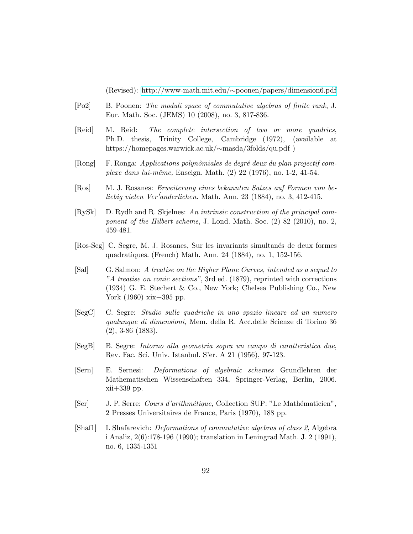(Revised): http://www-math.mit.edu/∼[poonen/papers/dimension6.pdf](http://www-math.mit.edu/~poonen/papers/dimension6.pdf)

- <span id="page-91-6"></span>[Po2] B. Poonen: The moduli space of commutative algebras of finite rank, J. Eur. Math. Soc. (JEMS) 10 (2008), no. 3, 817-836.
- <span id="page-91-4"></span>[Reid] M. Reid: The complete intersection of two or more quadrics, Ph.D. thesis, Trinity College, Cambridge (1972), (available at https://homepages.warwick.ac.uk/∼masda/3folds/qu.pdf )
- <span id="page-91-5"></span> $[Rong]$  F. Ronga: Applications polynômiales de degré deux du plan projectif complexe dans lui-même, Enseign. Math.  $(2)$  22 (1976), no. 1-2, 41-54.
- <span id="page-91-2"></span>[Ros] M. J. Rosanes: Erweiterung eines bekannten Satzes auf Formen von beliebig vielen Ver´'anderlichen. Math. Ann. 23 (1884), no. 3, 412-415.
- <span id="page-91-8"></span>[RySk] D. Rydh and R. Skjelnes: An intrinsic construction of the principal component of the Hilbert scheme, J. Lond. Math. Soc. (2) 82 (2010), no. 2, 459-481.
- <span id="page-91-1"></span>[Ros-Seg] C. Segre, M. J. Rosanes, Sur les invariants simultan´es de deux formes quadratiques. (French) Math. Ann. 24 (1884), no. 1, 152-156.
- <span id="page-91-3"></span>[Sal] G. Salmon: A treatise on the Higher Plane Curves, intended as a sequel to "A treatise on conic sections", 3rd ed. (1879), reprinted with corrections (1934) G. E. Stechert & Co., New York; Chelsea Publishing Co., New York (1960) xix+395 pp.
- <span id="page-91-0"></span>[SegC] C. Segre: Studio sulle quadriche in uno spazio lineare ad un numero qualunque di dimensioni, Mem. della R. Acc.delle Scienze di Torino 36 (2), 3-86 (1883).
- [SegB] B. Segre: Intorno alla geometria sopra un campo di caratteristica due, Rev. Fac. Sci. Univ. Istanbul. S'er. A 21 (1956), 97-123.
- [Sern] E. Sernesi: Deformations of algebraic schemes Grundlehren der Mathematischen Wissenschaften 334, Springer-Verlag, Berlin, 2006. xii+339 pp.
- [Ser] J. P. Serre: Cours d'arithmétique, Collection SUP: "Le Mathématicien", 2 Presses Universitaires de France, Paris (1970), 188 pp.
- <span id="page-91-7"></span>[Shaf1] I. Shafarevich: Deformations of commutative algebras of class 2, Algebra i Analiz, 2(6):178-196 (1990); translation in Leningrad Math. J. 2 (1991), no. 6, 1335-1351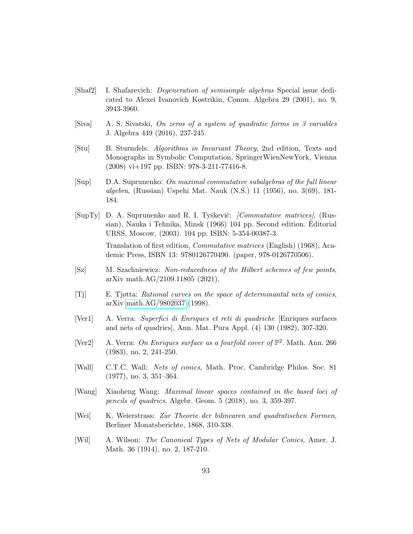- <span id="page-92-9"></span>[Shaf2] I. Shafarevich: Degeneration of semisimple algebras Special issue dedicated to Alexei Ivanovich Kostrikin, Comm. Algebra 29 (2001), no. 9, 3943-3960.
- [Siva] A. S. Sivatski, On zeros of a system of quadratic forms in 3 variables J. Algebra 449 (2016), 237-245.
- <span id="page-92-6"></span>[Stu] B. Sturmfels: Algorithms in Invariant Theory, 2nd edition, Texts and Monographs in Symbolic Computation, SpringerWienNewYork, Vienna (2008) vi+197 pp. ISBN: 978-3-211-77416-8.
- <span id="page-92-2"></span>[Sup] D.A. Suprunenko: On maximal commutative subalgebras of the full linear algebra, (Russian) Uspehi Mat. Nauk (N.S.) 11 (1956), no. 3(69), 181- 184.
- <span id="page-92-8"></span> $[SupTy]$  D. A. Suprunenko and R. I. Tyškevič: *[Commutative matrices]*, (Russian), Nauka i Tehnika, Minsk (1966) 104 pp. Second edition. Editorial ` URSS, Moscow, (2003). 104 pp. ISBN: 5-354-00387-3.

Translation of first edition, Commutative matrices (English) (1968), Academic Press, ISBN 13: 9780126770490. (paper, 978-0126770506).

- <span id="page-92-10"></span>[Sz] M. Szachniewicz: Non-reducedness of the Hilbert schemes of few points, arXiv math.AG/2109.11805 (2021).
- <span id="page-92-7"></span>[Tj] E. Tjøtta: Rational curves on the space of determinantal nets of conics, arXiv [math.AG/9802037](http://arxiv.org/abs/math/9802037) (1998).
- <span id="page-92-5"></span>[Ver1] A. Verra: Superfici di Enriques et reti di quadriche [Enriques surfaces and nets of quadrics], Ann. Mat. Pura Appl. (4) 130 (1982), 307-320.
- [Ver2] A. Verra: On Enriques surface as a fourfold cover of  $\mathbb{P}^2$ . Math. Ann. 266 (1983), no. 2, 241-250.
- <span id="page-92-4"></span>[Wall] C.T.C. Wall: Nets of conics, Math. Proc. Cambridge Philos. Soc. 81 (1977), no. 3, 351–364.
- <span id="page-92-3"></span>[Wang] Xiaoheng Wang: Maximal linear spaces contained in the based loci of pencils of quadrics, Algebr. Geom. 5 (2018), no. 3, 359-397.
- <span id="page-92-0"></span>[Wei] K. Weierstrass: Zur Theorie der bilinearen und quadratischen Formen, Berliner Monatsberichte, 1868, 310-338.
- <span id="page-92-1"></span>[Wil] A. Wilson: The Canonical Types of Nets of Modular Conics, Amer. J. Math. 36 (1914), no. 2, 187-210.